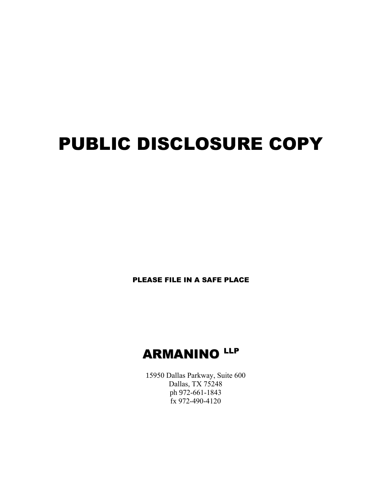# PUBLIC DISCLOSURE COPY

PLEASE FILE IN A SAFE PLACE

## armanino <sup>llp</sup>

15950 Dallas Parkway, Suite 600 Dallas, TX 75248 ph 972-661-1843 fx 972-490-4120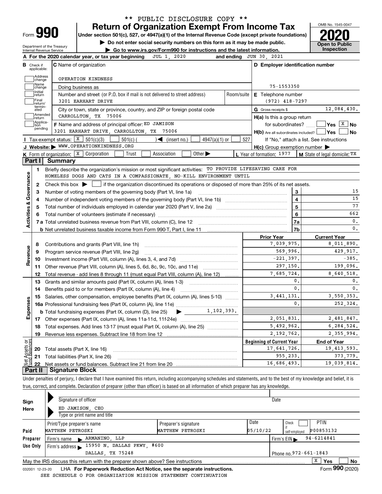| Form |  |
|------|--|

## **Return of Organization Exempt From Income Tax** \*\* PUBLIC DISCLOSURE COPY \*\*

**Under section 501(c), 527, or 4947(a)(1) of the Internal Revenue Code (except private foundations) 2020**

**| Do not enter social security numbers on this form as it may be made public.**

Department of the Treasury Internal Revenue Service

**| Go to www.irs.gov/Form990 for instructions and the latest information. Inspection**



|                                            |                                  | A For the 2020 calendar year, or tax year beginning<br>JUL 1, 2020                                                                                  |            | and ending JUN 30, 2021                             |                |                                                                                                                                                                                       |
|--------------------------------------------|----------------------------------|-----------------------------------------------------------------------------------------------------------------------------------------------------|------------|-----------------------------------------------------|----------------|---------------------------------------------------------------------------------------------------------------------------------------------------------------------------------------|
|                                            | <b>B</b> Check if<br>applicable: | <b>C</b> Name of organization                                                                                                                       |            | D Employer identification number                    |                |                                                                                                                                                                                       |
|                                            | Address<br>change                | OPERATION KINDNESS                                                                                                                                  |            |                                                     |                |                                                                                                                                                                                       |
|                                            | Name<br>change                   | Doing business as                                                                                                                                   |            | 75-1553350                                          |                |                                                                                                                                                                                       |
|                                            | Initial<br>return                | Number and street (or P.O. box if mail is not delivered to street address)                                                                          | Room/suite | <b>E</b> Telephone number                           |                |                                                                                                                                                                                       |
|                                            | Final<br>return/                 | 3201 EARHART DRIVE                                                                                                                                  |            | $(972)$ 418-7297                                    |                |                                                                                                                                                                                       |
|                                            | termin-<br>ated                  | City or town, state or province, country, and ZIP or foreign postal code                                                                            |            | G Gross receipts \$                                 |                | 12,084,430.                                                                                                                                                                           |
|                                            | Amended<br>return                | CARROLLTON, TX 75006                                                                                                                                |            | $H(a)$ is this a group return                       |                |                                                                                                                                                                                       |
|                                            | Applica-<br>tion<br>pending      | F Name and address of principal officer: ED JAMISON<br>3201 EARHART DRIVE, CARROLLTON, TX 75006                                                     |            | $H(b)$ Are all subordinates included? $\Box$ Yes    |                | for subordinates? $\frac{\Box}{\Box}$ Yes $\boxed{\overline{X}}$ No<br>  No                                                                                                           |
|                                            |                                  | Tax-exempt status: $X \ 501(c)(3)$<br>$501(c)$ (<br>$\sqrt{\bullet}$ (insert no.)<br>$4947(a)(1)$ or                                                | 527        |                                                     |                | If "No," attach a list. See instructions                                                                                                                                              |
|                                            |                                  | J Website: WWW.OPERATIONKINDNESS.ORG                                                                                                                |            | $H(c)$ Group exemption number $\blacktriangleright$ |                |                                                                                                                                                                                       |
|                                            |                                  | <b>K</b> Form of organization: $\boxed{\textbf{X}}$ Corporation<br>Association<br>Other $\blacktriangleright$<br>Trust                              |            | L Year of formation: 1977                           |                | $\mathsf{M}$ State of legal domicile; $\mathbb{T}^{\mathbf{X}}$                                                                                                                       |
|                                            | Part I                           | Summary                                                                                                                                             |            |                                                     |                |                                                                                                                                                                                       |
|                                            | 1.                               | Briefly describe the organization's mission or most significant activities: TO PROVIDE LIFESAVING CARE FOR                                          |            |                                                     |                |                                                                                                                                                                                       |
|                                            |                                  | HOMELESS DOGS AND CATS IN A COMPASSIONATE, NO-KILL ENVIRONMENT UNTIL                                                                                |            |                                                     |                |                                                                                                                                                                                       |
|                                            | $\mathbf{2}$                     | Check this box $\blacktriangleright$ $\blacksquare$ if the organization discontinued its operations or disposed of more than 25% of its net assets. |            |                                                     |                |                                                                                                                                                                                       |
|                                            | 3                                | Number of voting members of the governing body (Part VI, line 1a)                                                                                   |            |                                                     | 3              | 15                                                                                                                                                                                    |
|                                            |                                  |                                                                                                                                                     |            |                                                     | 4              | 15                                                                                                                                                                                    |
|                                            | 5                                |                                                                                                                                                     |            |                                                     | 5              | 77                                                                                                                                                                                    |
|                                            |                                  |                                                                                                                                                     |            |                                                     | 6              | 662                                                                                                                                                                                   |
|                                            |                                  |                                                                                                                                                     |            |                                                     | 7a             | $\mathbf{0}$ .                                                                                                                                                                        |
|                                            |                                  |                                                                                                                                                     |            |                                                     | 7b             | 0.                                                                                                                                                                                    |
|                                            |                                  |                                                                                                                                                     |            |                                                     |                |                                                                                                                                                                                       |
|                                            |                                  |                                                                                                                                                     |            | <b>Prior Year</b>                                   |                | <b>Current Year</b>                                                                                                                                                                   |
|                                            | 8                                | Contributions and grants (Part VIII, line 1h)                                                                                                       |            | 7,039,975.                                          |                |                                                                                                                                                                                       |
|                                            | 9                                | Program service revenue (Part VIII, line 2g)                                                                                                        |            | 569,996.                                            |                |                                                                                                                                                                                       |
|                                            | 10                               |                                                                                                                                                     |            | $-221.397.$                                         |                |                                                                                                                                                                                       |
|                                            |                                  | 11 Other revenue (Part VIII, column (A), lines 5, 6d, 8c, 9c, 10c, and 11e)                                                                         |            | 297,150.                                            |                |                                                                                                                                                                                       |
|                                            | 12                               | Total revenue - add lines 8 through 11 (must equal Part VIII, column (A), line 12)                                                                  |            | 7,685,724.                                          |                | 8,640,518.                                                                                                                                                                            |
|                                            | 13                               | Grants and similar amounts paid (Part IX, column (A), lines 1-3)                                                                                    |            |                                                     | 0.             |                                                                                                                                                                                       |
|                                            | 14                               | Benefits paid to or for members (Part IX, column (A), line 4)                                                                                       |            |                                                     | 0.             |                                                                                                                                                                                       |
|                                            | 15                               | Salaries, other compensation, employee benefits (Part IX, column (A), lines 5-10)                                                                   |            | 3, 441, 131.                                        |                |                                                                                                                                                                                       |
|                                            |                                  |                                                                                                                                                     |            |                                                     | $\mathbf{0}$ . |                                                                                                                                                                                       |
|                                            |                                  | $\blacktriangleright$ 1,102,393.<br><b>b</b> Total fundraising expenses (Part IX, column (D), line 25)                                              |            |                                                     |                |                                                                                                                                                                                       |
|                                            |                                  |                                                                                                                                                     |            | 2,051,831.                                          |                |                                                                                                                                                                                       |
|                                            | 18                               | Total expenses. Add lines 13-17 (must equal Part IX, column (A), line 25) [                                                                         |            | 5,492,962.                                          |                |                                                                                                                                                                                       |
|                                            | 19                               |                                                                                                                                                     |            | 2, 192, 762.                                        |                |                                                                                                                                                                                       |
|                                            |                                  |                                                                                                                                                     |            | <b>Beginning of Current Year</b>                    |                | <b>End of Year</b>                                                                                                                                                                    |
|                                            |                                  | <b>20</b> Total assets (Part X, line 16)                                                                                                            |            | 17,641,726.                                         |                |                                                                                                                                                                                       |
| Revenue<br>Expenses<br>äğ<br>sets<br>alanc |                                  | 21 Total liabilities (Part X, line 26)                                                                                                              |            | 955.233.                                            |                | 8,011,890.<br>429,917.<br>$-385.$<br>199,096.<br>0.<br>$\mathbf{0}$ .<br>3,550,353.<br>252,324.<br>2,481,847.<br>6,284,524.<br>2,355,994.<br>19, 413, 593.<br>373.779.<br>19,039,814. |

Under penalties of perjury, I declare that I have examined this return, including accompanying schedules and statements, and to the best of my knowledge and belief, it is true, correct, and complete. Declaration of preparer (other than officer) is based on all information of which preparer has any knowledge.

| Sign             | Signature of officer                                                                                         |                      |          | Date                                               |             |  |
|------------------|--------------------------------------------------------------------------------------------------------------|----------------------|----------|----------------------------------------------------|-------------|--|
| Here             | ED JAMISON, CEO                                                                                              |                      |          |                                                    |             |  |
|                  | Type or print name and title                                                                                 |                      |          |                                                    |             |  |
|                  | Print/Type preparer's name                                                                                   | Preparer's signature | Date     | Check                                              | <b>PTIN</b> |  |
| Paid             | MATTHEW PETROSKI                                                                                             | MATTHEW PETROSKI     | 05/10/22 | self-emploved                                      | P00853132   |  |
| Preparer         | ARMANINO, LLP<br>Firm's name<br>$\sim$                                                                       |                      |          | $94 - 6214841$<br>Firm's $EIN \blacktriangleright$ |             |  |
| Use Only         | Firm's address > 15950 N. DALLAS PKWY, #600                                                                  |                      |          |                                                    |             |  |
| DALLAS, TX 75248 |                                                                                                              |                      |          | Phone no. 972-661-1843                             |             |  |
|                  | May the IRS discuss this return with the preparer shown above? See instructions                              |                      |          | x                                                  | No<br>Yes   |  |
|                  | Form 990 (2020)<br>LHA For Paperwork Reduction Act Notice, see the separate instructions.<br>032001 12-23-20 |                      |          |                                                    |             |  |

SEE SCHEDULE O FOR ORGANIZATION MISSION STATEMENT CONTINUATION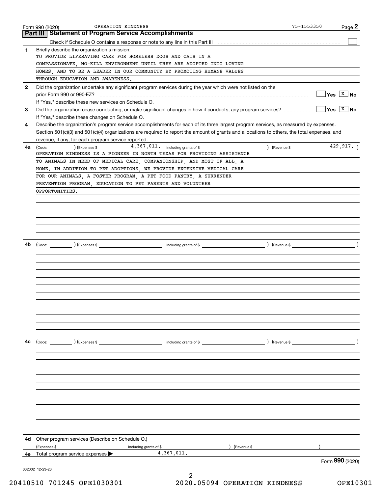| Part III   Statement of Program Service Accomplishments<br>Briefly describe the organization's mission:<br>TO PROVIDE LIFESAVING CARE FOR HOMELESS DOGS AND CATS IN A<br>COMPASSIONATE, NO-KILL ENVIRONMENT UNTIL THEY ARE ADOPTED INTO LOVING<br>HOMES, AND TO BE A LEADER IN OUR COMMUNITY BY PROMOTING HUMANE VALUES<br>THROUGH EDUCATION AND AWARENESS.<br>Did the organization undertake any significant program services during the year which were not listed on the<br>$\sqrt{2}$ Yes $\sqrt{X}$ No<br>If "Yes," describe these new services on Schedule O.<br>$Yes \vert X \vert$ No<br>If "Yes," describe these changes on Schedule O.<br>Describe the organization's program service accomplishments for each of its three largest program services, as measured by expenses.<br>Section 501(c)(3) and 501(c)(4) organizations are required to report the amount of grants and allocations to others, the total expenses, and<br>revenue, if any, for each program service reported.<br>429,917.<br>$(\text{Code:})$ $(\text{Expenses} \$ $4,367,011.$ including grants of \$<br>(Revenue \$<br>OPERATION KINDNESS IS A PIONEER IN NORTH TEXAS FOR PROVIDING ASSISTANCE<br>TO ANIMALS IN NEED OF MEDICAL CARE, COMPANIONSHIP, AND MOST OF ALL, A<br>HOME. IN ADDITION TO PET ADOPTIONS, WE PROVIDE EXTENSIVE MEDICAL CARE<br>FOR OUR ANIMALS, A FOSTER PROGRAM, A PET FOOD PANTRY, A SURRENDER<br>PREVENTION PROGRAM, EDUCATION TO PET PARENTS AND VOLUNTEER<br>OPPORTUNITIES.<br>$($ Revenue \$<br>4b<br>(Code: ) (Expenses \$<br>) (Revenue \$<br>including grants of \$<br>Other program services (Describe on Schedule O.)<br>(Expenses \$<br>including grants of \$<br>(Revenue \$<br>4,367,011.<br>4e Total program service expenses<br>Form 990 (2020)<br>032002 12-23-20 |              | OPERATION KINDNESS<br>Form 990 (2020) | 75-1553350<br>Page 2 |
|---------------------------------------------------------------------------------------------------------------------------------------------------------------------------------------------------------------------------------------------------------------------------------------------------------------------------------------------------------------------------------------------------------------------------------------------------------------------------------------------------------------------------------------------------------------------------------------------------------------------------------------------------------------------------------------------------------------------------------------------------------------------------------------------------------------------------------------------------------------------------------------------------------------------------------------------------------------------------------------------------------------------------------------------------------------------------------------------------------------------------------------------------------------------------------------------------------------------------------------------------------------------------------------------------------------------------------------------------------------------------------------------------------------------------------------------------------------------------------------------------------------------------------------------------------------------------------------------------------------------------------------------------------------------------------------------------------------------------------------------------------------------------------------------|--------------|---------------------------------------|----------------------|
|                                                                                                                                                                                                                                                                                                                                                                                                                                                                                                                                                                                                                                                                                                                                                                                                                                                                                                                                                                                                                                                                                                                                                                                                                                                                                                                                                                                                                                                                                                                                                                                                                                                                                                                                                                                             |              |                                       |                      |
|                                                                                                                                                                                                                                                                                                                                                                                                                                                                                                                                                                                                                                                                                                                                                                                                                                                                                                                                                                                                                                                                                                                                                                                                                                                                                                                                                                                                                                                                                                                                                                                                                                                                                                                                                                                             |              |                                       |                      |
|                                                                                                                                                                                                                                                                                                                                                                                                                                                                                                                                                                                                                                                                                                                                                                                                                                                                                                                                                                                                                                                                                                                                                                                                                                                                                                                                                                                                                                                                                                                                                                                                                                                                                                                                                                                             | $\mathbf{1}$ |                                       |                      |
|                                                                                                                                                                                                                                                                                                                                                                                                                                                                                                                                                                                                                                                                                                                                                                                                                                                                                                                                                                                                                                                                                                                                                                                                                                                                                                                                                                                                                                                                                                                                                                                                                                                                                                                                                                                             |              |                                       |                      |
|                                                                                                                                                                                                                                                                                                                                                                                                                                                                                                                                                                                                                                                                                                                                                                                                                                                                                                                                                                                                                                                                                                                                                                                                                                                                                                                                                                                                                                                                                                                                                                                                                                                                                                                                                                                             |              |                                       |                      |
|                                                                                                                                                                                                                                                                                                                                                                                                                                                                                                                                                                                                                                                                                                                                                                                                                                                                                                                                                                                                                                                                                                                                                                                                                                                                                                                                                                                                                                                                                                                                                                                                                                                                                                                                                                                             |              |                                       |                      |
|                                                                                                                                                                                                                                                                                                                                                                                                                                                                                                                                                                                                                                                                                                                                                                                                                                                                                                                                                                                                                                                                                                                                                                                                                                                                                                                                                                                                                                                                                                                                                                                                                                                                                                                                                                                             |              |                                       |                      |
|                                                                                                                                                                                                                                                                                                                                                                                                                                                                                                                                                                                                                                                                                                                                                                                                                                                                                                                                                                                                                                                                                                                                                                                                                                                                                                                                                                                                                                                                                                                                                                                                                                                                                                                                                                                             | $\mathbf{2}$ |                                       |                      |
|                                                                                                                                                                                                                                                                                                                                                                                                                                                                                                                                                                                                                                                                                                                                                                                                                                                                                                                                                                                                                                                                                                                                                                                                                                                                                                                                                                                                                                                                                                                                                                                                                                                                                                                                                                                             |              |                                       |                      |
|                                                                                                                                                                                                                                                                                                                                                                                                                                                                                                                                                                                                                                                                                                                                                                                                                                                                                                                                                                                                                                                                                                                                                                                                                                                                                                                                                                                                                                                                                                                                                                                                                                                                                                                                                                                             |              |                                       |                      |
|                                                                                                                                                                                                                                                                                                                                                                                                                                                                                                                                                                                                                                                                                                                                                                                                                                                                                                                                                                                                                                                                                                                                                                                                                                                                                                                                                                                                                                                                                                                                                                                                                                                                                                                                                                                             | 3            |                                       |                      |
|                                                                                                                                                                                                                                                                                                                                                                                                                                                                                                                                                                                                                                                                                                                                                                                                                                                                                                                                                                                                                                                                                                                                                                                                                                                                                                                                                                                                                                                                                                                                                                                                                                                                                                                                                                                             |              |                                       |                      |
|                                                                                                                                                                                                                                                                                                                                                                                                                                                                                                                                                                                                                                                                                                                                                                                                                                                                                                                                                                                                                                                                                                                                                                                                                                                                                                                                                                                                                                                                                                                                                                                                                                                                                                                                                                                             | 4            |                                       |                      |
|                                                                                                                                                                                                                                                                                                                                                                                                                                                                                                                                                                                                                                                                                                                                                                                                                                                                                                                                                                                                                                                                                                                                                                                                                                                                                                                                                                                                                                                                                                                                                                                                                                                                                                                                                                                             |              |                                       |                      |
|                                                                                                                                                                                                                                                                                                                                                                                                                                                                                                                                                                                                                                                                                                                                                                                                                                                                                                                                                                                                                                                                                                                                                                                                                                                                                                                                                                                                                                                                                                                                                                                                                                                                                                                                                                                             |              |                                       |                      |
|                                                                                                                                                                                                                                                                                                                                                                                                                                                                                                                                                                                                                                                                                                                                                                                                                                                                                                                                                                                                                                                                                                                                                                                                                                                                                                                                                                                                                                                                                                                                                                                                                                                                                                                                                                                             | 4a           |                                       |                      |
|                                                                                                                                                                                                                                                                                                                                                                                                                                                                                                                                                                                                                                                                                                                                                                                                                                                                                                                                                                                                                                                                                                                                                                                                                                                                                                                                                                                                                                                                                                                                                                                                                                                                                                                                                                                             |              |                                       |                      |
|                                                                                                                                                                                                                                                                                                                                                                                                                                                                                                                                                                                                                                                                                                                                                                                                                                                                                                                                                                                                                                                                                                                                                                                                                                                                                                                                                                                                                                                                                                                                                                                                                                                                                                                                                                                             |              |                                       |                      |
|                                                                                                                                                                                                                                                                                                                                                                                                                                                                                                                                                                                                                                                                                                                                                                                                                                                                                                                                                                                                                                                                                                                                                                                                                                                                                                                                                                                                                                                                                                                                                                                                                                                                                                                                                                                             |              |                                       |                      |
|                                                                                                                                                                                                                                                                                                                                                                                                                                                                                                                                                                                                                                                                                                                                                                                                                                                                                                                                                                                                                                                                                                                                                                                                                                                                                                                                                                                                                                                                                                                                                                                                                                                                                                                                                                                             |              |                                       |                      |
|                                                                                                                                                                                                                                                                                                                                                                                                                                                                                                                                                                                                                                                                                                                                                                                                                                                                                                                                                                                                                                                                                                                                                                                                                                                                                                                                                                                                                                                                                                                                                                                                                                                                                                                                                                                             |              |                                       |                      |
|                                                                                                                                                                                                                                                                                                                                                                                                                                                                                                                                                                                                                                                                                                                                                                                                                                                                                                                                                                                                                                                                                                                                                                                                                                                                                                                                                                                                                                                                                                                                                                                                                                                                                                                                                                                             |              |                                       |                      |
|                                                                                                                                                                                                                                                                                                                                                                                                                                                                                                                                                                                                                                                                                                                                                                                                                                                                                                                                                                                                                                                                                                                                                                                                                                                                                                                                                                                                                                                                                                                                                                                                                                                                                                                                                                                             |              |                                       |                      |
|                                                                                                                                                                                                                                                                                                                                                                                                                                                                                                                                                                                                                                                                                                                                                                                                                                                                                                                                                                                                                                                                                                                                                                                                                                                                                                                                                                                                                                                                                                                                                                                                                                                                                                                                                                                             |              |                                       |                      |
|                                                                                                                                                                                                                                                                                                                                                                                                                                                                                                                                                                                                                                                                                                                                                                                                                                                                                                                                                                                                                                                                                                                                                                                                                                                                                                                                                                                                                                                                                                                                                                                                                                                                                                                                                                                             |              |                                       |                      |
|                                                                                                                                                                                                                                                                                                                                                                                                                                                                                                                                                                                                                                                                                                                                                                                                                                                                                                                                                                                                                                                                                                                                                                                                                                                                                                                                                                                                                                                                                                                                                                                                                                                                                                                                                                                             |              |                                       |                      |
|                                                                                                                                                                                                                                                                                                                                                                                                                                                                                                                                                                                                                                                                                                                                                                                                                                                                                                                                                                                                                                                                                                                                                                                                                                                                                                                                                                                                                                                                                                                                                                                                                                                                                                                                                                                             |              |                                       |                      |
|                                                                                                                                                                                                                                                                                                                                                                                                                                                                                                                                                                                                                                                                                                                                                                                                                                                                                                                                                                                                                                                                                                                                                                                                                                                                                                                                                                                                                                                                                                                                                                                                                                                                                                                                                                                             |              |                                       |                      |
|                                                                                                                                                                                                                                                                                                                                                                                                                                                                                                                                                                                                                                                                                                                                                                                                                                                                                                                                                                                                                                                                                                                                                                                                                                                                                                                                                                                                                                                                                                                                                                                                                                                                                                                                                                                             |              |                                       |                      |
|                                                                                                                                                                                                                                                                                                                                                                                                                                                                                                                                                                                                                                                                                                                                                                                                                                                                                                                                                                                                                                                                                                                                                                                                                                                                                                                                                                                                                                                                                                                                                                                                                                                                                                                                                                                             |              |                                       |                      |
|                                                                                                                                                                                                                                                                                                                                                                                                                                                                                                                                                                                                                                                                                                                                                                                                                                                                                                                                                                                                                                                                                                                                                                                                                                                                                                                                                                                                                                                                                                                                                                                                                                                                                                                                                                                             |              |                                       |                      |
|                                                                                                                                                                                                                                                                                                                                                                                                                                                                                                                                                                                                                                                                                                                                                                                                                                                                                                                                                                                                                                                                                                                                                                                                                                                                                                                                                                                                                                                                                                                                                                                                                                                                                                                                                                                             |              |                                       |                      |
|                                                                                                                                                                                                                                                                                                                                                                                                                                                                                                                                                                                                                                                                                                                                                                                                                                                                                                                                                                                                                                                                                                                                                                                                                                                                                                                                                                                                                                                                                                                                                                                                                                                                                                                                                                                             |              |                                       |                      |
|                                                                                                                                                                                                                                                                                                                                                                                                                                                                                                                                                                                                                                                                                                                                                                                                                                                                                                                                                                                                                                                                                                                                                                                                                                                                                                                                                                                                                                                                                                                                                                                                                                                                                                                                                                                             |              |                                       |                      |
|                                                                                                                                                                                                                                                                                                                                                                                                                                                                                                                                                                                                                                                                                                                                                                                                                                                                                                                                                                                                                                                                                                                                                                                                                                                                                                                                                                                                                                                                                                                                                                                                                                                                                                                                                                                             |              |                                       |                      |
|                                                                                                                                                                                                                                                                                                                                                                                                                                                                                                                                                                                                                                                                                                                                                                                                                                                                                                                                                                                                                                                                                                                                                                                                                                                                                                                                                                                                                                                                                                                                                                                                                                                                                                                                                                                             |              |                                       |                      |
|                                                                                                                                                                                                                                                                                                                                                                                                                                                                                                                                                                                                                                                                                                                                                                                                                                                                                                                                                                                                                                                                                                                                                                                                                                                                                                                                                                                                                                                                                                                                                                                                                                                                                                                                                                                             |              |                                       |                      |
|                                                                                                                                                                                                                                                                                                                                                                                                                                                                                                                                                                                                                                                                                                                                                                                                                                                                                                                                                                                                                                                                                                                                                                                                                                                                                                                                                                                                                                                                                                                                                                                                                                                                                                                                                                                             |              |                                       |                      |
|                                                                                                                                                                                                                                                                                                                                                                                                                                                                                                                                                                                                                                                                                                                                                                                                                                                                                                                                                                                                                                                                                                                                                                                                                                                                                                                                                                                                                                                                                                                                                                                                                                                                                                                                                                                             |              |                                       |                      |
|                                                                                                                                                                                                                                                                                                                                                                                                                                                                                                                                                                                                                                                                                                                                                                                                                                                                                                                                                                                                                                                                                                                                                                                                                                                                                                                                                                                                                                                                                                                                                                                                                                                                                                                                                                                             |              |                                       |                      |
|                                                                                                                                                                                                                                                                                                                                                                                                                                                                                                                                                                                                                                                                                                                                                                                                                                                                                                                                                                                                                                                                                                                                                                                                                                                                                                                                                                                                                                                                                                                                                                                                                                                                                                                                                                                             |              |                                       |                      |
|                                                                                                                                                                                                                                                                                                                                                                                                                                                                                                                                                                                                                                                                                                                                                                                                                                                                                                                                                                                                                                                                                                                                                                                                                                                                                                                                                                                                                                                                                                                                                                                                                                                                                                                                                                                             |              |                                       |                      |
|                                                                                                                                                                                                                                                                                                                                                                                                                                                                                                                                                                                                                                                                                                                                                                                                                                                                                                                                                                                                                                                                                                                                                                                                                                                                                                                                                                                                                                                                                                                                                                                                                                                                                                                                                                                             | 4c           |                                       |                      |
|                                                                                                                                                                                                                                                                                                                                                                                                                                                                                                                                                                                                                                                                                                                                                                                                                                                                                                                                                                                                                                                                                                                                                                                                                                                                                                                                                                                                                                                                                                                                                                                                                                                                                                                                                                                             |              |                                       |                      |
|                                                                                                                                                                                                                                                                                                                                                                                                                                                                                                                                                                                                                                                                                                                                                                                                                                                                                                                                                                                                                                                                                                                                                                                                                                                                                                                                                                                                                                                                                                                                                                                                                                                                                                                                                                                             |              |                                       |                      |
|                                                                                                                                                                                                                                                                                                                                                                                                                                                                                                                                                                                                                                                                                                                                                                                                                                                                                                                                                                                                                                                                                                                                                                                                                                                                                                                                                                                                                                                                                                                                                                                                                                                                                                                                                                                             |              |                                       |                      |
|                                                                                                                                                                                                                                                                                                                                                                                                                                                                                                                                                                                                                                                                                                                                                                                                                                                                                                                                                                                                                                                                                                                                                                                                                                                                                                                                                                                                                                                                                                                                                                                                                                                                                                                                                                                             |              |                                       |                      |
|                                                                                                                                                                                                                                                                                                                                                                                                                                                                                                                                                                                                                                                                                                                                                                                                                                                                                                                                                                                                                                                                                                                                                                                                                                                                                                                                                                                                                                                                                                                                                                                                                                                                                                                                                                                             |              |                                       |                      |
|                                                                                                                                                                                                                                                                                                                                                                                                                                                                                                                                                                                                                                                                                                                                                                                                                                                                                                                                                                                                                                                                                                                                                                                                                                                                                                                                                                                                                                                                                                                                                                                                                                                                                                                                                                                             |              |                                       |                      |
|                                                                                                                                                                                                                                                                                                                                                                                                                                                                                                                                                                                                                                                                                                                                                                                                                                                                                                                                                                                                                                                                                                                                                                                                                                                                                                                                                                                                                                                                                                                                                                                                                                                                                                                                                                                             |              |                                       |                      |
|                                                                                                                                                                                                                                                                                                                                                                                                                                                                                                                                                                                                                                                                                                                                                                                                                                                                                                                                                                                                                                                                                                                                                                                                                                                                                                                                                                                                                                                                                                                                                                                                                                                                                                                                                                                             |              |                                       |                      |
|                                                                                                                                                                                                                                                                                                                                                                                                                                                                                                                                                                                                                                                                                                                                                                                                                                                                                                                                                                                                                                                                                                                                                                                                                                                                                                                                                                                                                                                                                                                                                                                                                                                                                                                                                                                             |              |                                       |                      |
|                                                                                                                                                                                                                                                                                                                                                                                                                                                                                                                                                                                                                                                                                                                                                                                                                                                                                                                                                                                                                                                                                                                                                                                                                                                                                                                                                                                                                                                                                                                                                                                                                                                                                                                                                                                             |              |                                       |                      |
|                                                                                                                                                                                                                                                                                                                                                                                                                                                                                                                                                                                                                                                                                                                                                                                                                                                                                                                                                                                                                                                                                                                                                                                                                                                                                                                                                                                                                                                                                                                                                                                                                                                                                                                                                                                             |              |                                       |                      |
|                                                                                                                                                                                                                                                                                                                                                                                                                                                                                                                                                                                                                                                                                                                                                                                                                                                                                                                                                                                                                                                                                                                                                                                                                                                                                                                                                                                                                                                                                                                                                                                                                                                                                                                                                                                             |              |                                       |                      |
|                                                                                                                                                                                                                                                                                                                                                                                                                                                                                                                                                                                                                                                                                                                                                                                                                                                                                                                                                                                                                                                                                                                                                                                                                                                                                                                                                                                                                                                                                                                                                                                                                                                                                                                                                                                             | 4d           |                                       |                      |
|                                                                                                                                                                                                                                                                                                                                                                                                                                                                                                                                                                                                                                                                                                                                                                                                                                                                                                                                                                                                                                                                                                                                                                                                                                                                                                                                                                                                                                                                                                                                                                                                                                                                                                                                                                                             |              |                                       |                      |
|                                                                                                                                                                                                                                                                                                                                                                                                                                                                                                                                                                                                                                                                                                                                                                                                                                                                                                                                                                                                                                                                                                                                                                                                                                                                                                                                                                                                                                                                                                                                                                                                                                                                                                                                                                                             |              |                                       |                      |
|                                                                                                                                                                                                                                                                                                                                                                                                                                                                                                                                                                                                                                                                                                                                                                                                                                                                                                                                                                                                                                                                                                                                                                                                                                                                                                                                                                                                                                                                                                                                                                                                                                                                                                                                                                                             |              |                                       |                      |
|                                                                                                                                                                                                                                                                                                                                                                                                                                                                                                                                                                                                                                                                                                                                                                                                                                                                                                                                                                                                                                                                                                                                                                                                                                                                                                                                                                                                                                                                                                                                                                                                                                                                                                                                                                                             |              |                                       |                      |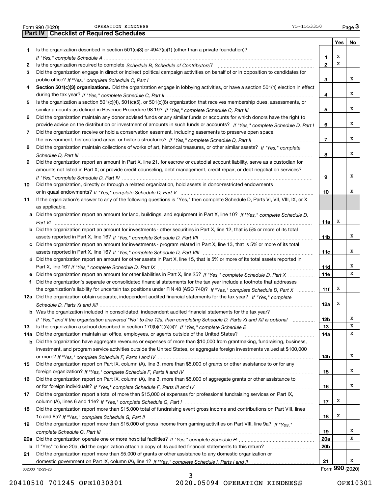|  | Form 990 (2020) |
|--|-----------------|

OPERATION KINDNESS 75-1553350

|     | OPERATION KINDNESS<br>75-1553350<br>Form 990 (2020)                                                                                   |                |     | Page $3$ |
|-----|---------------------------------------------------------------------------------------------------------------------------------------|----------------|-----|----------|
|     | <b>Checklist of Required Schedules</b><br>  Part IV                                                                                   |                |     |          |
|     |                                                                                                                                       |                | Yes | No       |
| 1   | Is the organization described in section $501(c)(3)$ or $4947(a)(1)$ (other than a private foundation)?                               |                |     |          |
|     |                                                                                                                                       | 1              | х   |          |
| 2   |                                                                                                                                       | $\mathbf{2}$   | х   |          |
| З   | Did the organization engage in direct or indirect political campaign activities on behalf of or in opposition to candidates for       |                |     |          |
|     |                                                                                                                                       | 3              |     | х        |
| 4   | Section 501(c)(3) organizations. Did the organization engage in lobbying activities, or have a section 501(h) election in effect      |                |     |          |
|     |                                                                                                                                       | 4              |     | х        |
| 5   | Is the organization a section 501(c)(4), 501(c)(5), or 501(c)(6) organization that receives membership dues, assessments, or          |                |     |          |
|     |                                                                                                                                       | 5              |     | х        |
| 6   | Did the organization maintain any donor advised funds or any similar funds or accounts for which donors have the right to             |                |     |          |
|     | provide advice on the distribution or investment of amounts in such funds or accounts? If "Yes," complete Schedule D, Part I          | 6              |     | х        |
|     |                                                                                                                                       |                |     |          |
| 7   | Did the organization receive or hold a conservation easement, including easements to preserve open space,                             |                |     | х        |
|     |                                                                                                                                       | $\overline{7}$ |     |          |
| 8   | Did the organization maintain collections of works of art, historical treasures, or other similar assets? If "Yes," complete          |                |     |          |
|     |                                                                                                                                       | 8              |     | х        |
| 9   | Did the organization report an amount in Part X, line 21, for escrow or custodial account liability, serve as a custodian for         |                |     |          |
|     | amounts not listed in Part X; or provide credit counseling, debt management, credit repair, or debt negotiation services?             |                |     |          |
|     |                                                                                                                                       | 9              |     | х        |
| 10  | Did the organization, directly or through a related organization, hold assets in donor-restricted endowments                          |                |     |          |
|     |                                                                                                                                       | 10             |     | х        |
| 11  | If the organization's answer to any of the following questions is "Yes," then complete Schedule D, Parts VI, VII, VIII, IX, or X      |                |     |          |
|     | as applicable.                                                                                                                        |                |     |          |
|     | Did the organization report an amount for land, buildings, and equipment in Part X, line 10? If "Yes," complete Schedule D.           |                |     |          |
|     |                                                                                                                                       | 11a            | х   |          |
|     | <b>b</b> Did the organization report an amount for investments - other securities in Part X, line 12, that is 5% or more of its total |                |     |          |
|     |                                                                                                                                       | 11b            |     | х        |
|     | c Did the organization report an amount for investments - program related in Part X, line 13, that is 5% or more of its total         |                |     |          |
|     |                                                                                                                                       | 11c            |     | х        |
|     | d Did the organization report an amount for other assets in Part X, line 15, that is 5% or more of its total assets reported in       |                |     |          |
|     |                                                                                                                                       | 11d            |     | Χ        |
|     | e Did the organization report an amount for other liabilities in Part X, line 25? If "Yes," complete Schedule D, Part X               | 11e            |     | X        |
| f   | Did the organization's separate or consolidated financial statements for the tax year include a footnote that addresses               |                |     |          |
|     | the organization's liability for uncertain tax positions under FIN 48 (ASC 740)? If "Yes," complete Schedule D, Part X                | 11f            | х   |          |
|     | 12a Did the organization obtain separate, independent audited financial statements for the tax year? If "Yes," complete               |                |     |          |
|     |                                                                                                                                       | 12a            | x   |          |
| b   | Was the organization included in consolidated, independent audited financial statements for the tax year?                             |                |     |          |
|     | If "Yes," and if the organization answered "No" to line 12a, then completing Schedule D, Parts XI and XII is optional                 | 12b            |     | х        |
| 13  |                                                                                                                                       | 13             |     | х        |
| 14a | Did the organization maintain an office, employees, or agents outside of the United States?                                           |                |     | Х        |
| b   | Did the organization have aggregate revenues or expenses of more than \$10,000 from grantmaking, fundraising, business,               | 14a            |     |          |
|     |                                                                                                                                       |                |     |          |
|     | investment, and program service activities outside the United States, or aggregate foreign investments valued at \$100,000            |                |     | х        |
|     | Did the organization report on Part IX, column (A), line 3, more than \$5,000 of grants or other assistance to or for any             | 14b            |     |          |
| 15  |                                                                                                                                       |                |     | x        |
|     |                                                                                                                                       | 15             |     |          |
| 16  | Did the organization report on Part IX, column (A), line 3, more than \$5,000 of aggregate grants or other assistance to              |                |     |          |
|     |                                                                                                                                       | 16             |     | х        |
| 17  | Did the organization report a total of more than \$15,000 of expenses for professional fundraising services on Part IX,               |                |     |          |
|     |                                                                                                                                       | 17             | х   |          |
| 18  | Did the organization report more than \$15,000 total of fundraising event gross income and contributions on Part VIII, lines          |                |     |          |
|     |                                                                                                                                       | 18             | х   |          |
| 19  | Did the organization report more than \$15,000 of gross income from gaming activities on Part VIII, line 9a? If "Yes."                |                |     |          |
|     |                                                                                                                                       | 19             |     | x        |
| 20a |                                                                                                                                       | 20a            |     | х        |
| b   | If "Yes" to line 20a, did the organization attach a copy of its audited financial statements to this return?                          | 20b            |     |          |
| 21  | Did the organization report more than \$5,000 of grants or other assistance to any domestic organization or                           |                |     |          |
|     |                                                                                                                                       | 21             |     | x        |

032003 12-23-20

Form (2020) **990**

20410510 701245 OPE1030301 2020.05094 OPERATION KINDNESS OPE10301

3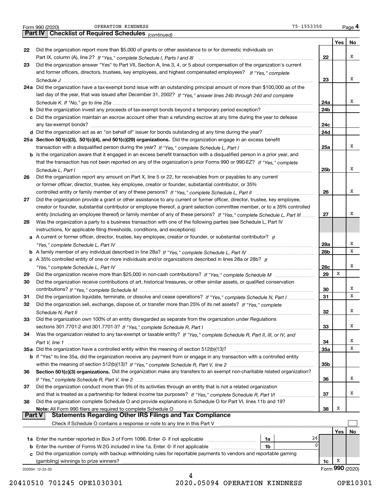|  | Form 990 (2020) |
|--|-----------------|
|  |                 |

OPERATION KINDNESS 75-1553350

|               | OPERATION KINDNESS<br>75-1553350<br>Form 990 (2020)                                                                                                                                                                        |                 |     | Page 4          |
|---------------|----------------------------------------------------------------------------------------------------------------------------------------------------------------------------------------------------------------------------|-----------------|-----|-----------------|
|               | Part IV   Checklist of Required Schedules (continued)                                                                                                                                                                      |                 |     |                 |
|               |                                                                                                                                                                                                                            |                 | Yes | No              |
| 22            | Did the organization report more than \$5,000 of grants or other assistance to or for domestic individuals on                                                                                                              |                 |     |                 |
|               |                                                                                                                                                                                                                            | 22              |     | х               |
| 23            | Did the organization answer "Yes" to Part VII, Section A, line 3, 4, or 5 about compensation of the organization's current                                                                                                 |                 |     |                 |
|               | and former officers, directors, trustees, key employees, and highest compensated employees? If "Yes," complete                                                                                                             | 23              |     | х               |
|               | 24a Did the organization have a tax-exempt bond issue with an outstanding principal amount of more than \$100,000 as of the                                                                                                |                 |     |                 |
|               | last day of the year, that was issued after December 31, 2002? If "Yes," answer lines 24b through 24d and complete                                                                                                         |                 |     |                 |
|               |                                                                                                                                                                                                                            | 24a             |     | х               |
|               |                                                                                                                                                                                                                            | 24b             |     |                 |
|               | c Did the organization maintain an escrow account other than a refunding escrow at any time during the year to defease                                                                                                     |                 |     |                 |
|               |                                                                                                                                                                                                                            | 24c             |     |                 |
|               |                                                                                                                                                                                                                            | 24d             |     |                 |
|               | 25a Section 501(c)(3), 501(c)(4), and 501(c)(29) organizations. Did the organization engage in an excess benefit                                                                                                           |                 |     |                 |
|               |                                                                                                                                                                                                                            | 25a             |     | х               |
|               | b Is the organization aware that it engaged in an excess benefit transaction with a disqualified person in a prior year, and                                                                                               |                 |     |                 |
|               | that the transaction has not been reported on any of the organization's prior Forms 990 or 990-EZ? If "Yes," complete                                                                                                      |                 |     | х               |
|               | Schedule L, Part I                                                                                                                                                                                                         | 25 <sub>b</sub> |     |                 |
| 26            | Did the organization report any amount on Part X, line 5 or 22, for receivables from or payables to any current<br>or former officer, director, trustee, key employee, creator or founder, substantial contributor, or 35% |                 |     |                 |
|               |                                                                                                                                                                                                                            | 26              |     | х               |
| 27            | Did the organization provide a grant or other assistance to any current or former officer, director, trustee, key employee,                                                                                                |                 |     |                 |
|               | creator or founder, substantial contributor or employee thereof, a grant selection committee member, or to a 35% controlled                                                                                                |                 |     |                 |
|               | entity (including an employee thereof) or family member of any of these persons? If "Yes," complete Schedule L, Part III                                                                                                   | 27              |     | х               |
| 28            | Was the organization a party to a business transaction with one of the following parties (see Schedule L, Part IV                                                                                                          |                 |     |                 |
|               | instructions, for applicable filing thresholds, conditions, and exceptions):                                                                                                                                               |                 |     |                 |
|               | a A current or former officer, director, trustee, key employee, creator or founder, or substantial contributor? If                                                                                                         |                 |     |                 |
|               |                                                                                                                                                                                                                            | 28a             |     | х               |
|               |                                                                                                                                                                                                                            | 28b             |     | х               |
|               | c A 35% controlled entity of one or more individuals and/or organizations described in lines 28a or 28b? If                                                                                                                |                 |     | х               |
|               |                                                                                                                                                                                                                            | 28c<br>29       | х   |                 |
| 29<br>30      | Did the organization receive contributions of art, historical treasures, or other similar assets, or qualified conservation                                                                                                |                 |     |                 |
|               |                                                                                                                                                                                                                            | 30              |     | х               |
| 31            | Did the organization liquidate, terminate, or dissolve and cease operations? If "Yes," complete Schedule N, Part I                                                                                                         | 31              |     | x               |
| 32            | Did the organization sell, exchange, dispose of, or transfer more than 25% of its net assets? If "Yes," complete                                                                                                           |                 |     |                 |
|               |                                                                                                                                                                                                                            | 32              |     | x               |
| 33            | Did the organization own 100% of an entity disregarded as separate from the organization under Regulations                                                                                                                 |                 |     |                 |
|               |                                                                                                                                                                                                                            | 33              |     | x               |
| 34            | Was the organization related to any tax-exempt or taxable entity? If "Yes," complete Schedule R, Part II, III, or IV, and                                                                                                  |                 |     |                 |
|               |                                                                                                                                                                                                                            | 34              |     | х               |
|               | 35a Did the organization have a controlled entity within the meaning of section 512(b)(13)?                                                                                                                                | 35a             |     | х               |
|               | b If "Yes" to line 35a, did the organization receive any payment from or engage in any transaction with a controlled entity                                                                                                | 35b             |     |                 |
| 36            | Section 501(c)(3) organizations. Did the organization make any transfers to an exempt non-charitable related organization?                                                                                                 |                 |     |                 |
|               |                                                                                                                                                                                                                            | 36              |     | х               |
| 37            | Did the organization conduct more than 5% of its activities through an entity that is not a related organization                                                                                                           |                 |     |                 |
|               |                                                                                                                                                                                                                            | 37              |     | х               |
| 38            | Did the organization complete Schedule O and provide explanations in Schedule O for Part VI, lines 11b and 19?                                                                                                             |                 |     |                 |
|               | Note: All Form 990 filers are required to complete Schedule O                                                                                                                                                              | 38              | x   |                 |
| <b>Part V</b> | <b>Statements Regarding Other IRS Filings and Tax Compliance</b>                                                                                                                                                           |                 |     |                 |
|               | Check if Schedule O contains a response or note to any line in this Part V                                                                                                                                                 |                 |     |                 |
|               |                                                                                                                                                                                                                            |                 | Yes | No              |
|               | 26<br>1a                                                                                                                                                                                                                   |                 |     |                 |
|               | 0<br><b>b</b> Enter the number of Forms W-2G included in line 1a. Enter -0- if not applicable<br>1b                                                                                                                        |                 |     |                 |
|               | c Did the organization comply with backup withholding rules for reportable payments to vendors and reportable gaming<br>(gambling) winnings to prize winners?                                                              | 1c              | x   |                 |
|               | 032004 12-23-20                                                                                                                                                                                                            |                 |     | Form 990 (2020) |
|               | 4                                                                                                                                                                                                                          |                 |     |                 |

20410510 701245 OPE1030301 2020.05094 OPERATION KINDNESS OPE10301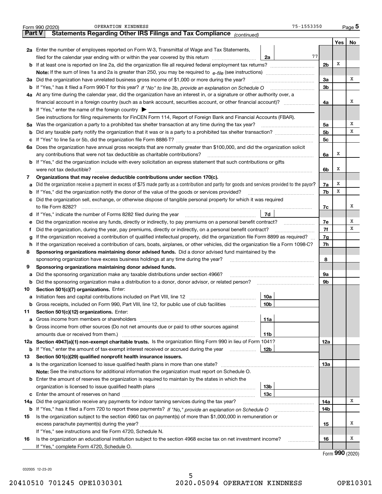|               | 75-1553350<br>OPERATION KINDNESS<br>Form 990 (2020)                                                                                                                                        |                |     | $_{\text{Page}}$ 5 |
|---------------|--------------------------------------------------------------------------------------------------------------------------------------------------------------------------------------------|----------------|-----|--------------------|
| <b>Part V</b> | Statements Regarding Other IRS Filings and Tax Compliance (continued)                                                                                                                      |                |     |                    |
|               |                                                                                                                                                                                            |                | Yes | No                 |
|               | 2a Enter the number of employees reported on Form W-3, Transmittal of Wage and Tax Statements,                                                                                             |                |     |                    |
|               | 77<br>2a<br>filed for the calendar year ending with or within the year covered by this return                                                                                              |                |     |                    |
|               |                                                                                                                                                                                            | 2 <sub>b</sub> | х   |                    |
|               |                                                                                                                                                                                            |                |     |                    |
|               | 3a Did the organization have unrelated business gross income of \$1,000 or more during the year?                                                                                           | 3a             |     | x                  |
|               |                                                                                                                                                                                            | 3 <sub>b</sub> |     |                    |
|               | 4a At any time during the calendar year, did the organization have an interest in, or a signature or other authority over, a                                                               |                |     |                    |
|               |                                                                                                                                                                                            | 4a             |     | x                  |
|               | <b>b</b> If "Yes," enter the name of the foreign country $\blacktriangleright$                                                                                                             |                |     |                    |
|               | See instructions for filing requirements for FinCEN Form 114, Report of Foreign Bank and Financial Accounts (FBAR).                                                                        |                |     |                    |
|               | 5a Was the organization a party to a prohibited tax shelter transaction at any time during the tax year?                                                                                   | 5a             |     | х                  |
|               |                                                                                                                                                                                            | 5 <sub>b</sub> |     | х                  |
|               |                                                                                                                                                                                            | 5 <sub>c</sub> |     |                    |
|               | 6a Does the organization have annual gross receipts that are normally greater than \$100,000, and did the organization solicit                                                             |                |     |                    |
|               | any contributions that were not tax deductible as charitable contributions?                                                                                                                | 6a             | х   |                    |
|               | <b>b</b> If "Yes," did the organization include with every solicitation an express statement that such contributions or gifts                                                              |                |     |                    |
|               | were not tax deductible?                                                                                                                                                                   | 6b             | х   |                    |
| 7             | Organizations that may receive deductible contributions under section 170(c).                                                                                                              |                |     |                    |
| а             | Did the organization receive a payment in excess of \$75 made partly as a contribution and partly for goods and services provided to the payor?                                            | 7a             | х   |                    |
|               | <b>b</b> If "Yes," did the organization notify the donor of the value of the goods or services provided?                                                                                   | 7b             | х   |                    |
|               | c Did the organization sell, exchange, or otherwise dispose of tangible personal property for which it was required                                                                        |                |     |                    |
|               |                                                                                                                                                                                            | 7c             |     | x                  |
|               | 7d<br>d If "Yes," indicate the number of Forms 8282 filed during the year manufactured in the second of the number of Forms 8282 filed during the year manufactured in the second of the S |                |     |                    |
| е             | Did the organization receive any funds, directly or indirectly, to pay premiums on a personal benefit contract?                                                                            | 7e             |     | х                  |
| Ť             | Did the organization, during the year, pay premiums, directly or indirectly, on a personal benefit contract?                                                                               | 7f             |     | х                  |
| g             | If the organization received a contribution of qualified intellectual property, did the organization file Form 8899 as required?                                                           | 7g             |     |                    |
|               | h If the organization received a contribution of cars, boats, airplanes, or other vehicles, did the organization file a Form 1098-C?                                                       | 7h             |     |                    |
| 8             | Sponsoring organizations maintaining donor advised funds. Did a donor advised fund maintained by the                                                                                       |                |     |                    |
|               | sponsoring organization have excess business holdings at any time during the year?                                                                                                         | 8              |     |                    |
| 9             | Sponsoring organizations maintaining donor advised funds.                                                                                                                                  |                |     |                    |
| а             | Did the sponsoring organization make any taxable distributions under section 4966?                                                                                                         | 9a             |     |                    |
|               | <b>b</b> Did the sponsoring organization make a distribution to a donor, donor advisor, or related person?                                                                                 | 9b             |     |                    |
| 10            | Section 501(c)(7) organizations. Enter:                                                                                                                                                    |                |     |                    |
|               | 10a                                                                                                                                                                                        |                |     |                    |
|               | <b>b</b> Gross receipts, included on Form 990, Part VIII, line 12, for public use of club facilities <i>manument</i><br>10b                                                                |                |     |                    |
| 11            | Section 501(c)(12) organizations. Enter:                                                                                                                                                   |                |     |                    |
| a             | 11a                                                                                                                                                                                        |                |     |                    |
|               | b Gross income from other sources (Do not net amounts due or paid to other sources against                                                                                                 |                |     |                    |
|               | amounts due or received from them.)<br>11b                                                                                                                                                 |                |     |                    |
|               | 12a Section 4947(a)(1) non-exempt charitable trusts. Is the organization filing Form 990 in lieu of Form 1041?                                                                             | 12a            |     |                    |
|               | <b>b</b> If "Yes," enter the amount of tax-exempt interest received or accrued during the year <i>manument</i><br>12b                                                                      |                |     |                    |
| 13            | Section 501(c)(29) qualified nonprofit health insurance issuers.                                                                                                                           |                |     |                    |
|               | <b>a</b> Is the organization licensed to issue qualified health plans in more than one state?                                                                                              | 13а            |     |                    |
|               | Note: See the instructions for additional information the organization must report on Schedule O.                                                                                          |                |     |                    |
|               | <b>b</b> Enter the amount of reserves the organization is required to maintain by the states in which the                                                                                  |                |     |                    |
|               | 13 <sub>b</sub>                                                                                                                                                                            |                |     |                    |
|               | 13с                                                                                                                                                                                        |                |     |                    |
| 14a           | Did the organization receive any payments for indoor tanning services during the tax year?                                                                                                 | 14a            |     | x                  |
|               |                                                                                                                                                                                            | 14b            |     |                    |
| 15            | Is the organization subject to the section 4960 tax on payment(s) of more than \$1,000,000 in remuneration or                                                                              |                |     |                    |
|               |                                                                                                                                                                                            | 15             |     | х                  |
|               | If "Yes," see instructions and file Form 4720, Schedule N.                                                                                                                                 |                |     |                    |
| 16            | Is the organization an educational institution subject to the section 4968 excise tax on net investment income?<br>.                                                                       | 16             |     | х                  |
|               | If "Yes," complete Form 4720, Schedule O.                                                                                                                                                  |                |     |                    |

032005 12-23-20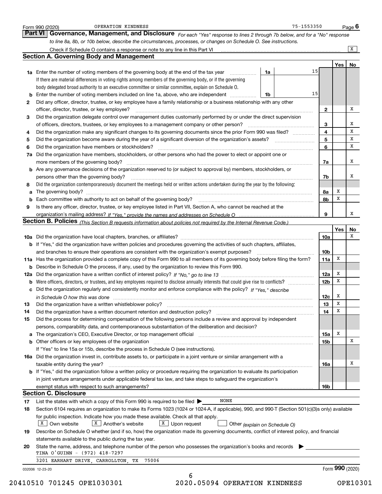|    | to line 8a, 8b, or 10b below, describe the circumstances, processes, or changes on Schedule O. See instructions.                                                                                                     |                 |             | $\overline{X}$ |
|----|----------------------------------------------------------------------------------------------------------------------------------------------------------------------------------------------------------------------|-----------------|-------------|----------------|
|    | Check if Schedule O contains a response or note to any line in this Part VI [11] [12] Check if Schedule O contains a response or note to any line in this Part VI<br><b>Section A. Governing Body and Management</b> |                 |             |                |
|    |                                                                                                                                                                                                                      |                 | Yes         | No             |
|    | 15<br>1a<br>1a Enter the number of voting members of the governing body at the end of the tax year <i>manumum</i>                                                                                                    |                 |             |                |
|    | If there are material differences in voting rights among members of the governing body, or if the governing                                                                                                          |                 |             |                |
|    | body delegated broad authority to an executive committee or similar committee, explain on Schedule O.                                                                                                                |                 |             |                |
| b  | 15<br>Enter the number of voting members included on line 1a, above, who are independent<br>1b                                                                                                                       |                 |             |                |
| 2  | Did any officer, director, trustee, or key employee have a family relationship or a business relationship with any other                                                                                             |                 |             |                |
|    | officer, director, trustee, or key employee?                                                                                                                                                                         | $\mathbf{2}$    |             | x              |
| з  | Did the organization delegate control over management duties customarily performed by or under the direct supervision                                                                                                |                 |             |                |
|    | of officers, directors, trustees, or key employees to a management company or other person?                                                                                                                          | з               |             | x              |
| 4  | Did the organization make any significant changes to its governing documents since the prior Form 990 was filed?                                                                                                     | 4               |             | X              |
| 5  |                                                                                                                                                                                                                      | 5               |             | х              |
| 6  | Did the organization have members or stockholders?                                                                                                                                                                   | 6               |             | х              |
| 7a | Did the organization have members, stockholders, or other persons who had the power to elect or appoint one or                                                                                                       |                 |             |                |
|    |                                                                                                                                                                                                                      | 7a              |             | x              |
|    | b Are any governance decisions of the organization reserved to (or subject to approval by) members, stockholders, or                                                                                                 |                 |             |                |
|    | persons other than the governing body?                                                                                                                                                                               | 7b              |             | х              |
| 8  | Did the organization contemporaneously document the meetings held or written actions undertaken during the year by the following:                                                                                    |                 |             |                |
|    |                                                                                                                                                                                                                      | 8a              | x           |                |
|    |                                                                                                                                                                                                                      | 8b              | X           |                |
| 9  | Is there any officer, director, trustee, or key employee listed in Part VII, Section A, who cannot be reached at the                                                                                                 |                 |             |                |
|    |                                                                                                                                                                                                                      | 9               |             | x              |
|    | Section B. Policies (This Section B requests information about policies not required by the Internal Revenue Code.)                                                                                                  |                 |             |                |
|    |                                                                                                                                                                                                                      |                 | Yes         | No             |
|    |                                                                                                                                                                                                                      | 10a             |             | х              |
|    | b If "Yes," did the organization have written policies and procedures governing the activities of such chapters, affiliates,                                                                                         |                 |             |                |
|    | and branches to ensure their operations are consistent with the organization's exempt purposes?                                                                                                                      | 10 <sub>b</sub> |             |                |
|    | 11a Has the organization provided a complete copy of this Form 990 to all members of its governing body before filing the form?                                                                                      | 11a             | х           |                |
|    | <b>b</b> Describe in Schedule O the process, if any, used by the organization to review this Form 990.                                                                                                               |                 |             |                |
|    |                                                                                                                                                                                                                      | 12a             | x           |                |
| b  |                                                                                                                                                                                                                      | 12 <sub>b</sub> | x           |                |
|    | c Did the organization regularly and consistently monitor and enforce compliance with the policy? If "Yes," describe                                                                                                 |                 |             |                |
|    | in Schedule O how this was done manufactured and contain an according to the state of the state of the state o                                                                                                       | 12c             | x           |                |
| 13 | Did the organization have a written whistleblower policy?                                                                                                                                                            | 13              | $\mathbf x$ |                |
| 14 | Did the organization have a written document retention and destruction policy?                                                                                                                                       | 14              | X           |                |
| 15 | Did the process for determining compensation of the following persons include a review and approval by independent                                                                                                   |                 |             |                |
|    | persons, comparability data, and contemporaneous substantiation of the deliberation and decision?                                                                                                                    |                 |             |                |
|    |                                                                                                                                                                                                                      | 15a             | х           |                |
|    | <b>b</b> Other officers or key employees of the organization                                                                                                                                                         | 15 <sub>b</sub> |             | X              |
|    |                                                                                                                                                                                                                      |                 |             |                |
|    |                                                                                                                                                                                                                      |                 |             |                |
|    | If "Yes" to line 15a or 15b, describe the process in Schedule O (see instructions).                                                                                                                                  |                 |             | х              |
|    | 16a Did the organization invest in, contribute assets to, or participate in a joint venture or similar arrangement with a                                                                                            |                 |             |                |
|    | taxable entity during the year?                                                                                                                                                                                      | 16a             |             |                |
|    | <b>b</b> If "Yes," did the organization follow a written policy or procedure requiring the organization to evaluate its participation                                                                                |                 |             |                |
|    | in joint venture arrangements under applicable federal tax law, and take steps to safequard the organization's                                                                                                       |                 |             |                |
|    | exempt status with respect to such arrangements?                                                                                                                                                                     | 16b             |             |                |
|    | <b>Section C. Disclosure</b>                                                                                                                                                                                         |                 |             |                |
| 17 | NONE<br>List the states with which a copy of this Form 990 is required to be filed $\blacktriangleright$                                                                                                             |                 |             |                |
| 18 | Section 6104 requires an organization to make its Forms 1023 (1024 or 1024-A, if applicable), 990, and 990-T (Section 501(c)(3)s only) available                                                                     |                 |             |                |
|    | for public inspection. Indicate how you made these available. Check all that apply.                                                                                                                                  |                 |             |                |
|    | $X$ Own website<br>$X$ Another's website<br>$X$ Upon request<br>Other (explain on Schedule O)                                                                                                                        |                 |             |                |
| 19 | Describe on Schedule O whether (and if so, how) the organization made its governing documents, conflict of interest policy, and financial                                                                            |                 |             |                |
|    | statements available to the public during the tax year.                                                                                                                                                              |                 |             |                |
| 20 | State the name, address, and telephone number of the person who possesses the organization's books and records                                                                                                       |                 |             |                |
|    | TINA O'GUINN - (972) 418-7297<br>3201 EARHART DRIVE, CARROLLTON, TX<br>75006                                                                                                                                         |                 |             |                |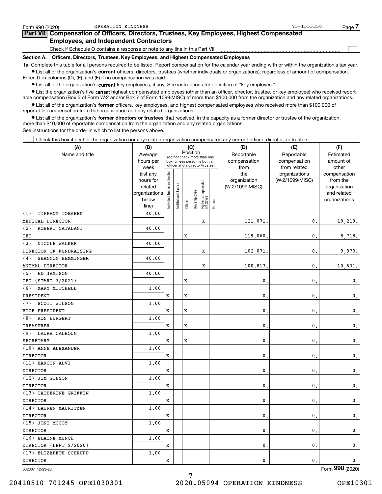| Form 990 (2020)   | OPERATION KINDNESS                                                                                                                                         | 75-1553350 | Page - |
|-------------------|------------------------------------------------------------------------------------------------------------------------------------------------------------|------------|--------|
|                   | Part VII Compensation of Officers, Directors, Trustees, Key Employees, Highest Compensated                                                                 |            |        |
|                   | <b>Employees, and Independent Contractors</b>                                                                                                              |            |        |
|                   | Check if Schedule O contains a response or note to any line in this Part VII                                                                               |            |        |
| <b>Section A.</b> | Officers, Directors, Trustees, Key Employees, and Highest Compensated Employees                                                                            |            |        |
|                   | 1a Complete this table for all persons required to be listed. Report compensation for the calendar year ending with or within the organization's tax year. |            |        |

OPERATION KINDNESS 75-1553350

**•** List all of the organization's current officers, directors, trustees (whether individuals or organizations), regardless of amount of compensation. Enter -0- in columns (D), (E), and (F) if no compensation was paid.

 $\bullet$  List all of the organization's  $\,$ current key employees, if any. See instructions for definition of "key employee."

**•** List the organization's five current highest compensated employees (other than an officer, director, trustee, or key employee) who received reportable compensation (Box 5 of Form W-2 and/or Box 7 of Form 1099-MISC) of more than \$100,000 from the organization and any related organizations.

**•** List all of the organization's former officers, key employees, and highest compensated employees who received more than \$100,000 of reportable compensation from the organization and any related organizations.

**former directors or trustees**  ¥ List all of the organization's that received, in the capacity as a former director or trustee of the organization, more than \$10,000 of reportable compensation from the organization and any related organizations.

See instructions for the order in which to list the persons above.

Check this box if neither the organization nor any related organization compensated any current officer, director, or trustee.  $\mathcal{L}^{\text{max}}$ 

| (A)                         | (B)               |                               |                                                                  |         | (C)          |                                 |        | (D)             | (E)                           | (F)                   |
|-----------------------------|-------------------|-------------------------------|------------------------------------------------------------------|---------|--------------|---------------------------------|--------|-----------------|-------------------------------|-----------------------|
| Name and title              | Average           |                               | (do not check more than one                                      |         | Position     |                                 |        | Reportable      | Reportable                    | Estimated             |
|                             | hours per         |                               | box, unless person is both an<br>officer and a director/trustee) |         |              |                                 |        | compensation    | compensation                  | amount of             |
|                             | week<br>(list any |                               |                                                                  |         |              |                                 |        | from<br>the     | from related<br>organizations | other<br>compensation |
|                             | hours for         |                               |                                                                  |         |              |                                 |        | organization    | (W-2/1099-MISC)               | from the              |
|                             | related           |                               |                                                                  |         |              |                                 |        | (W-2/1099-MISC) |                               | organization          |
|                             | organizations     |                               |                                                                  |         |              |                                 |        |                 |                               | and related           |
|                             | below             | ndividual trustee or director | nstitutional trustee                                             | Officer | Key employee | Highest compensated<br>employee | Former |                 |                               | organizations         |
| (1)<br>TIFFANY TOBABEN      | line)<br>40.00    |                               |                                                                  |         |              |                                 |        |                 |                               |                       |
| MEDICAL DIRECTOR            |                   |                               |                                                                  |         |              | X                               |        | 121,071.        | 0.                            | 10,219.               |
| ROBERT CATALANI<br>(2)      | 40.00             |                               |                                                                  |         |              |                                 |        |                 |                               |                       |
| CEO                         |                   |                               |                                                                  | X       |              |                                 |        | 119,060.        | $\mathbf{0}$                  | 8,718.                |
| NICOLE WALKER<br>(3)        | 40.00             |                               |                                                                  |         |              |                                 |        |                 |                               |                       |
| DIRECTOR OF FUNDRAISING     |                   |                               |                                                                  |         |              | X                               |        | 102,071         | $\mathbf{0}$                  | 9,973.                |
| SHANNON HEMMINGER<br>(4)    | 40.00             |                               |                                                                  |         |              |                                 |        |                 |                               |                       |
| ANIMAL DIRECTOR             |                   |                               |                                                                  |         |              | X                               |        | 100,813,        | 0                             | 10,631.               |
| ED JAMISON<br>(5)           | 40.00             |                               |                                                                  |         |              |                                 |        |                 |                               |                       |
| CEO (START 3/2021)          |                   |                               |                                                                  | X       |              |                                 |        | $\mathbf{0}$    | $\mathbf{0}$                  | $\mathbf 0$ .         |
| (6)<br>MARY MITCHELL        | 1.00              |                               |                                                                  |         |              |                                 |        |                 |                               |                       |
| PRESIDENT                   |                   | X                             |                                                                  | X       |              |                                 |        | 0               | 0                             | $\mathbf 0$ .         |
| SCOTT WILSON<br>(7)         | 1.00              |                               |                                                                  |         |              |                                 |        |                 |                               |                       |
| VICE PRESIDENT              |                   | X                             |                                                                  | X       |              |                                 |        | $\mathbf{0}$    | $\mathbf{0}$                  | $\mathbf 0$ .         |
| RON BURGERT<br>(8)          | 1.00              |                               |                                                                  |         |              |                                 |        |                 |                               |                       |
| TREASURER                   |                   | X                             |                                                                  | X       |              |                                 |        | $\mathbf{0}$    | $\mathbf 0$                   | $\mathbf 0$ .         |
| <b>LAURA CALHOUN</b><br>(9) | 1.00              |                               |                                                                  |         |              |                                 |        |                 |                               |                       |
| <b>SECRETARY</b>            |                   | X                             |                                                                  | X       |              |                                 |        | $\mathbf{0}$    | $\mathbf{0}$                  | $\mathbf 0$ .         |
| (10) ANNE ALEXANDER         | 1.00              |                               |                                                                  |         |              |                                 |        |                 |                               |                       |
| <b>DIRECTOR</b>             |                   | X                             |                                                                  |         |              |                                 |        | 0               | 0                             | $\mathbf 0$ .         |
| (11) HAROON ALVI            | 1,00              |                               |                                                                  |         |              |                                 |        |                 |                               |                       |
| <b>DIRECTOR</b>             |                   | X                             |                                                                  |         |              |                                 |        | $\mathbf{0}$    | $\mathbf{0}$                  | $\mathbf 0$ .         |
| (12) JIM GIBSON             | 1.00              |                               |                                                                  |         |              |                                 |        |                 |                               |                       |
| DIRECTOR                    |                   | X                             |                                                                  |         |              |                                 |        | $\mathbf{0}$    | $\mathbf 0$                   | $\mathbf 0$ .         |
| (13) CATHERINE GRIFFIN      | 1.00              |                               |                                                                  |         |              |                                 |        |                 |                               |                       |
| <b>DIRECTOR</b>             |                   | x                             |                                                                  |         |              |                                 |        | $\mathbf{0}$    | $\mathbf{0}$                  | $\mathbf 0$ .         |
| (14) LAUREN MAURITZEN       | 1.00              |                               |                                                                  |         |              |                                 |        |                 |                               |                       |
| <b>DIRECTOR</b>             |                   | х                             |                                                                  |         |              |                                 |        | 0               | $\mathbf{0}$                  | $\mathbf 0$ .         |
| (15) JONI MCCOY             | 1,00              |                               |                                                                  |         |              |                                 |        |                 |                               |                       |
| <b>DIRECTOR</b>             |                   | x                             |                                                                  |         |              |                                 |        | $\mathbf{0}$    | $\mathbf{0}$                  | $\mathbf 0$ .         |
| (16) ELAINE MUNCH           | 1.00              |                               |                                                                  |         |              |                                 |        |                 |                               |                       |
| DIRECTOR (LEFT 9/2020)      |                   | x                             |                                                                  |         |              |                                 |        | $\mathbf{0}$    | $\mathbf{0}$                  | $\mathbf 0$ .         |
| (17) ELIZABETH SCHRUPP      | 1,00              |                               |                                                                  |         |              |                                 |        |                 |                               |                       |
| <b>DIRECTOR</b>             |                   | x                             |                                                                  |         |              |                                 |        | $\mathbf 0$ .   | $\mathbf{0}$                  | $\mathbf 0$ .         |

7

032007 12-23-20

Form (2020) **990**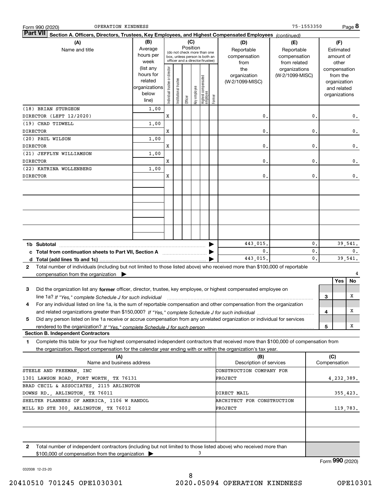| OPERATION KINDNESS<br>Form 990 (2020)                                                                                                             |                                                                                                                  |                                |                       |          |              |                                 |        |                                              | 75-1553350      |                |                     |                             | Page 8         |
|---------------------------------------------------------------------------------------------------------------------------------------------------|------------------------------------------------------------------------------------------------------------------|--------------------------------|-----------------------|----------|--------------|---------------------------------|--------|----------------------------------------------|-----------------|----------------|---------------------|-----------------------------|----------------|
| <b>Part VII</b><br>Section A. Officers, Directors, Trustees, Key Employees, and Highest Compensated Employees (continued)                         |                                                                                                                  |                                |                       |          |              |                                 |        |                                              |                 |                |                     |                             |                |
| (A)                                                                                                                                               | (B)                                                                                                              |                                |                       | (C)      |              |                                 |        | (D)                                          | (E)             |                |                     | (F)                         |                |
| Name and title                                                                                                                                    | Average                                                                                                          |                                |                       | Position |              | (do not check more than one     |        | Reportable                                   | Reportable      |                |                     | Estimated                   |                |
|                                                                                                                                                   | hours per                                                                                                        |                                |                       |          |              | box, unless person is both an   |        | compensation                                 | compensation    |                |                     | amount of                   |                |
|                                                                                                                                                   | week                                                                                                             |                                |                       |          |              | officer and a director/trustee) |        | from                                         | from related    |                |                     | other                       |                |
|                                                                                                                                                   | (list any<br>hours for                                                                                           |                                |                       |          |              |                                 |        | the                                          | organizations   |                |                     | compensation                |                |
|                                                                                                                                                   | related                                                                                                          |                                |                       |          |              |                                 |        | organization                                 | (W-2/1099-MISC) |                |                     | from the                    |                |
|                                                                                                                                                   | organizations                                                                                                    |                                |                       |          |              |                                 |        | (W-2/1099-MISC)                              |                 |                |                     | organization<br>and related |                |
|                                                                                                                                                   | below                                                                                                            |                                |                       |          |              |                                 |        |                                              |                 |                |                     | organizations               |                |
|                                                                                                                                                   | line)                                                                                                            | Individual trustee or director | Institutional trustee | Officer  | key employee | Highest compensated<br>employee | Former |                                              |                 |                |                     |                             |                |
| (18) BRIAN STURGEON                                                                                                                               | 1,00                                                                                                             |                                |                       |          |              |                                 |        |                                              |                 |                |                     |                             |                |
| DIRECTOR (LEFT 12/2020)                                                                                                                           |                                                                                                                  | x                              |                       |          |              |                                 |        | 0                                            |                 | $\mathbf 0$    |                     |                             | $\mathbf{0}$ . |
| (19) CHAD TIDWELL                                                                                                                                 | 1,00                                                                                                             |                                |                       |          |              |                                 |        |                                              |                 |                |                     |                             |                |
| <b>DIRECTOR</b>                                                                                                                                   |                                                                                                                  | x                              |                       |          |              |                                 |        | 0.                                           |                 | 0              |                     |                             | 0.             |
| (20) PAUL WILSON                                                                                                                                  | 1,00                                                                                                             |                                |                       |          |              |                                 |        |                                              |                 |                |                     |                             |                |
| <b>DIRECTOR</b>                                                                                                                                   |                                                                                                                  | x                              |                       |          |              |                                 |        | 0.                                           |                 | 0              |                     |                             | $\mathbf 0$ .  |
| (21) JEFFLYN WILLIAMSON                                                                                                                           | 1,00                                                                                                             |                                |                       |          |              |                                 |        |                                              |                 |                |                     |                             |                |
| <b>DIRECTOR</b>                                                                                                                                   |                                                                                                                  | x                              |                       |          |              |                                 |        | 0.                                           |                 | $\mathbf 0$    |                     |                             | $\mathbf 0$ .  |
| (22) KATRINA WOLLENBERG                                                                                                                           | 1,00                                                                                                             |                                |                       |          |              |                                 |        |                                              |                 |                |                     |                             |                |
| <b>DIRECTOR</b>                                                                                                                                   |                                                                                                                  | x                              |                       |          |              |                                 |        | $\mathbf{0}$                                 |                 | $\mathbf{0}$ . |                     |                             | 0.             |
|                                                                                                                                                   |                                                                                                                  |                                |                       |          |              |                                 |        |                                              |                 |                |                     |                             |                |
|                                                                                                                                                   |                                                                                                                  |                                |                       |          |              |                                 |        |                                              |                 |                |                     |                             |                |
|                                                                                                                                                   |                                                                                                                  |                                |                       |          |              |                                 |        |                                              |                 |                |                     |                             |                |
|                                                                                                                                                   |                                                                                                                  |                                |                       |          |              |                                 |        |                                              |                 |                |                     |                             |                |
|                                                                                                                                                   |                                                                                                                  |                                |                       |          |              |                                 |        |                                              |                 |                |                     |                             |                |
|                                                                                                                                                   |                                                                                                                  |                                |                       |          |              |                                 |        |                                              |                 |                |                     |                             |                |
|                                                                                                                                                   |                                                                                                                  |                                |                       |          |              |                                 |        |                                              |                 |                |                     |                             |                |
| 1b Subtotal                                                                                                                                       |                                                                                                                  |                                |                       |          |              |                                 |        | 443,015.                                     |                 | 0.             |                     |                             | 39,541.        |
|                                                                                                                                                   |                                                                                                                  |                                |                       |          |              |                                 |        | 0.                                           |                 | 0.             |                     |                             | 0.             |
|                                                                                                                                                   |                                                                                                                  |                                |                       |          |              |                                 |        | 443,015.                                     |                 | $\mathbf{0}$ . |                     |                             | 39,541.        |
| Total number of individuals (including but not limited to those listed above) who received more than \$100,000 of reportable<br>2                 |                                                                                                                  |                                |                       |          |              |                                 |        |                                              |                 |                |                     |                             |                |
| compensation from the organization $\blacktriangleright$                                                                                          |                                                                                                                  |                                |                       |          |              |                                 |        |                                              |                 |                |                     |                             | 4              |
|                                                                                                                                                   |                                                                                                                  |                                |                       |          |              |                                 |        |                                              |                 |                |                     | Yes                         | No             |
| Did the organization list any former officer, director, trustee, key employee, or highest compensated employee on<br>3                            |                                                                                                                  |                                |                       |          |              |                                 |        |                                              |                 |                |                     |                             |                |
| line 1a? If "Yes," complete Schedule J for such individual material content content to the content of the complete Schedule J for such individual |                                                                                                                  |                                |                       |          |              |                                 |        |                                              |                 |                | 3                   |                             | Х              |
| For any individual listed on line 1a, is the sum of reportable compensation and other compensation from the organization<br>4                     |                                                                                                                  |                                |                       |          |              |                                 |        |                                              |                 |                |                     |                             |                |
|                                                                                                                                                   |                                                                                                                  |                                |                       |          |              |                                 |        |                                              |                 |                | 4                   |                             | x              |
| Did any person listed on line 1a receive or accrue compensation from any unrelated organization or individual for services<br>5                   |                                                                                                                  |                                |                       |          |              |                                 |        |                                              |                 |                |                     |                             |                |
|                                                                                                                                                   |                                                                                                                  |                                |                       |          |              |                                 |        |                                              |                 |                | 5                   |                             | X              |
| <b>Section B. Independent Contractors</b>                                                                                                         |                                                                                                                  |                                |                       |          |              |                                 |        |                                              |                 |                |                     |                             |                |
| Complete this table for your five highest compensated independent contractors that received more than \$100,000 of compensation from<br>1         |                                                                                                                  |                                |                       |          |              |                                 |        |                                              |                 |                |                     |                             |                |
| the organization. Report compensation for the calendar year ending with or within the organization's tax year.                                    |                                                                                                                  |                                |                       |          |              |                                 |        |                                              |                 |                |                     |                             |                |
| (A)                                                                                                                                               |                                                                                                                  |                                |                       |          |              |                                 |        | (B)<br>Description of services               |                 |                | (C)<br>Compensation |                             |                |
| Name and business address                                                                                                                         |                                                                                                                  |                                |                       |          |              |                                 |        |                                              |                 |                |                     |                             |                |
| STEELE AND FREEMAN, INC                                                                                                                           |                                                                                                                  |                                |                       |          |              |                                 |        | CONSTRUCTION COMPANY FOR                     |                 |                |                     |                             |                |
| 1301 LAWSON ROAD, FORT WORTH, TX 76131                                                                                                            |                                                                                                                  |                                |                       |          |              |                                 |        | <b>PROJECT</b>                               |                 |                |                     |                             | 4,232,389.     |
| BRAD CECIL & ASSOCIATES, 2115 ARLINGTON                                                                                                           |                                                                                                                  |                                |                       |          |              |                                 |        | DIRECT MAIL                                  |                 |                |                     |                             |                |
| DOWNS RD., ARLINGTON, TX 76011                                                                                                                    |                                                                                                                  |                                |                       |          |              |                                 |        |                                              |                 |                |                     |                             | 355,423.       |
| SHELTER PLANNERS OF AMERICA, 1106 W RANDOL<br>MILL RD STE 300, ARLINGTON, TX 76012                                                                |                                                                                                                  |                                |                       |          |              |                                 |        | ARCHITECT FOR CONSTRUCTION<br><b>PROJECT</b> |                 |                |                     |                             | 119,783.       |
|                                                                                                                                                   |                                                                                                                  |                                |                       |          |              |                                 |        |                                              |                 |                |                     |                             |                |
|                                                                                                                                                   |                                                                                                                  |                                |                       |          |              |                                 |        |                                              |                 |                |                     |                             |                |
|                                                                                                                                                   |                                                                                                                  |                                |                       |          |              |                                 |        |                                              |                 |                |                     |                             |                |
|                                                                                                                                                   |                                                                                                                  |                                |                       |          |              |                                 |        |                                              |                 |                |                     |                             |                |
| 2                                                                                                                                                 | Total number of independent contractors (including but not limited to those listed above) who received more than |                                |                       |          |              |                                 |        |                                              |                 |                |                     |                             |                |
| \$100,000 of compensation from the organization                                                                                                   |                                                                                                                  |                                |                       |          |              | 3                               |        |                                              |                 |                |                     | $\sim$                      |                |

032008 12-23-20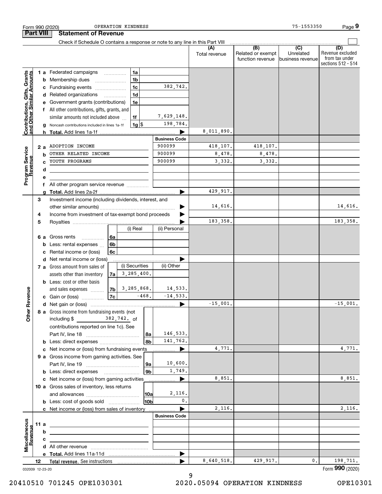|                                                           |                                                              |    | Form 990 (2020)                                                               |                          | OPERATION KINDNESS |                |                      |                      |                                              | 75-1553350                           | Page 9                                                          |
|-----------------------------------------------------------|--------------------------------------------------------------|----|-------------------------------------------------------------------------------|--------------------------|--------------------|----------------|----------------------|----------------------|----------------------------------------------|--------------------------------------|-----------------------------------------------------------------|
| <b>Part VIII</b>                                          |                                                              |    | <b>Statement of Revenue</b>                                                   |                          |                    |                |                      |                      |                                              |                                      |                                                                 |
|                                                           |                                                              |    | Check if Schedule O contains a response or note to any line in this Part VIII |                          |                    |                |                      |                      |                                              |                                      |                                                                 |
|                                                           |                                                              |    |                                                                               |                          |                    |                |                      | (A)<br>Total revenue | (B)<br>Related or exempt<br>function revenue | (C)<br>Unrelated<br>business revenue | (D)<br>Revenue excluded<br>from tax under<br>sections 512 - 514 |
|                                                           |                                                              |    | <b>1 a</b> Federated campaigns                                                | $\overline{\phantom{a}}$ |                    | 1a             |                      |                      |                                              |                                      |                                                                 |
| Contributions, Gifts, Grants<br>and Other Similar Amounts |                                                              |    | <b>b</b> Membership dues                                                      |                          |                    | 1 <sub>b</sub> |                      |                      |                                              |                                      |                                                                 |
|                                                           |                                                              |    | c Fundraising events                                                          |                          |                    | 1 <sub>c</sub> | 382,742.             |                      |                                              |                                      |                                                                 |
|                                                           |                                                              |    | d Related organizations                                                       | $\overline{\phantom{a}}$ |                    | 1 <sub>d</sub> |                      |                      |                                              |                                      |                                                                 |
|                                                           |                                                              |    | e Government grants (contributions)                                           |                          |                    | 1e             |                      |                      |                                              |                                      |                                                                 |
|                                                           |                                                              |    | f All other contributions, gifts, grants, and                                 |                          |                    |                |                      |                      |                                              |                                      |                                                                 |
|                                                           |                                                              |    | similar amounts not included above                                            |                          |                    | 1f             | 7,629,148.           |                      |                                              |                                      |                                                                 |
|                                                           |                                                              |    | g Noncash contributions included in lines 1a-1f                               |                          |                    | $1g$ \$        | 198,784.             |                      |                                              |                                      |                                                                 |
|                                                           |                                                              |    |                                                                               |                          |                    |                | <b>Business Code</b> | 8,011,890.           |                                              |                                      |                                                                 |
|                                                           |                                                              | 2а | ADOPTION INCOME                                                               |                          |                    |                | 900099               | 418,107.             | 418,107.                                     |                                      |                                                                 |
|                                                           |                                                              | b  | OTHER RELATED INCOME                                                          |                          |                    |                | 900099               | 8,478.               | 8,478.                                       |                                      |                                                                 |
|                                                           |                                                              |    | YOUTH PROGRAMS                                                                |                          |                    |                | 900099               | 3,332.               | 3,332.                                       |                                      |                                                                 |
| Program Service<br>Revenue                                |                                                              | d  |                                                                               |                          |                    |                |                      |                      |                                              |                                      |                                                                 |
|                                                           |                                                              | е  |                                                                               |                          |                    |                |                      |                      |                                              |                                      |                                                                 |
|                                                           |                                                              |    | All other program service revenue                                             |                          |                    |                |                      |                      |                                              |                                      |                                                                 |
|                                                           |                                                              | a  |                                                                               |                          |                    |                |                      | 429,917.             |                                              |                                      |                                                                 |
|                                                           | 3                                                            |    | Investment income (including dividends, interest, and                         |                          |                    |                |                      |                      |                                              |                                      |                                                                 |
|                                                           |                                                              |    |                                                                               |                          |                    |                |                      | 14,616.              |                                              |                                      | 14,616.                                                         |
|                                                           | Income from investment of tax-exempt bond proceeds<br>4<br>5 |    |                                                                               |                          |                    |                |                      |                      |                                              |                                      |                                                                 |
|                                                           |                                                              |    |                                                                               |                          |                    | (i) Real       | (ii) Personal        | 183,358.             |                                              |                                      | 183,358.                                                        |
|                                                           |                                                              |    | 6 a Gross rents                                                               | 6а                       |                    |                |                      |                      |                                              |                                      |                                                                 |
|                                                           |                                                              |    | .<br><b>b</b> Less: rental expenses                                           | 6 <sub>b</sub>           |                    |                |                      |                      |                                              |                                      |                                                                 |
|                                                           |                                                              | c  | Rental income or (loss)                                                       | 6c                       |                    |                |                      |                      |                                              |                                      |                                                                 |
|                                                           |                                                              |    | d Net rental income or (loss)                                                 |                          |                    |                |                      |                      |                                              |                                      |                                                                 |
|                                                           |                                                              |    | 7 a Gross amount from sales of                                                |                          |                    | (i) Securities | (ii) Other           |                      |                                              |                                      |                                                                 |
|                                                           |                                                              |    | assets other than inventory                                                   | 7a                       |                    | 3,285,400.     |                      |                      |                                              |                                      |                                                                 |
|                                                           |                                                              |    | <b>b</b> Less: cost or other basis                                            |                          |                    |                |                      |                      |                                              |                                      |                                                                 |
| venue                                                     |                                                              |    | and sales expenses                                                            | 7 <sub>b</sub>           |                    | 3,285,868.     | 14,533.              |                      |                                              |                                      |                                                                 |
|                                                           |                                                              |    | c Gain or (loss)                                                              | 7c                       |                    | $-468.$        | $-14,533.$           |                      |                                              |                                      |                                                                 |
|                                                           |                                                              |    |                                                                               |                          |                    |                |                      | $-15,001$ .          |                                              |                                      | $-15,001.$                                                      |
| Other Re                                                  |                                                              |    | 8 a Gross income from fundraising events (not<br>including $$382,742.$ of     |                          |                    |                |                      |                      |                                              |                                      |                                                                 |
|                                                           |                                                              |    | contributions reported on line 1c). See                                       |                          |                    |                |                      |                      |                                              |                                      |                                                                 |
|                                                           |                                                              |    |                                                                               |                          |                    | 8а             | 146,533.             |                      |                                              |                                      |                                                                 |
|                                                           |                                                              |    | <b>b</b> Less: direct expenses                                                |                          |                    | 8b             | 141,762.             |                      |                                              |                                      |                                                                 |
|                                                           |                                                              |    | c Net income or (loss) from fundraising events                                |                          |                    |                | ▶<br>.               | 4,771.               |                                              |                                      | 4,771.                                                          |
|                                                           |                                                              |    | 9 a Gross income from gaming activities. See                                  |                          |                    |                |                      |                      |                                              |                                      |                                                                 |
|                                                           |                                                              |    |                                                                               |                          |                    | 9а             | 10,600.              |                      |                                              |                                      |                                                                 |
|                                                           |                                                              |    |                                                                               |                          |                    | 9b             | 1,749.               |                      |                                              |                                      |                                                                 |
|                                                           |                                                              |    | c Net income or (loss) from gaming activities                                 |                          |                    |                | ▶                    | 8,851.               |                                              |                                      | 8,851.                                                          |
|                                                           |                                                              |    | 10 a Gross sales of inventory, less returns                                   |                          |                    |                |                      |                      |                                              |                                      |                                                                 |
|                                                           |                                                              |    | <b>b</b> Less: cost of goods sold                                             |                          |                    | 10a<br>10bl    | 2,116.<br>0.         |                      |                                              |                                      |                                                                 |
|                                                           |                                                              |    | c Net income or (loss) from sales of inventory                                |                          |                    |                |                      | 2,116.               |                                              |                                      | 2,116.                                                          |
|                                                           |                                                              |    |                                                                               |                          |                    |                | <b>Business Code</b> |                      |                                              |                                      |                                                                 |
|                                                           | 11 a                                                         |    |                                                                               |                          |                    |                |                      |                      |                                              |                                      |                                                                 |
| Miscellaneous<br>Revenue                                  |                                                              | b  |                                                                               |                          |                    |                |                      |                      |                                              |                                      |                                                                 |
|                                                           |                                                              | c  |                                                                               |                          |                    |                |                      |                      |                                              |                                      |                                                                 |
|                                                           |                                                              |    |                                                                               |                          |                    |                |                      |                      |                                              |                                      |                                                                 |
|                                                           |                                                              |    |                                                                               |                          |                    |                | ▶                    |                      |                                              |                                      |                                                                 |
|                                                           | 12                                                           |    |                                                                               |                          |                    |                |                      | 8,640,518.           | 429,917.                                     | 0.                                   | 198,711.                                                        |
| 032009 12-23-20                                           |                                                              |    |                                                                               |                          |                    |                |                      |                      |                                              |                                      | Form 990 (2020)                                                 |

9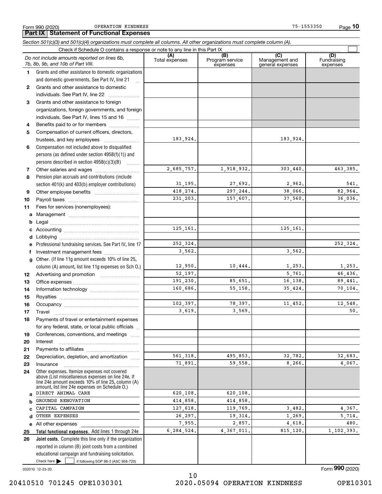Form 990 (2020) OPERATION KINDNESS 75-1553350 Page OPERATION KINDNESS 75-1553350

**10**

Check here  $\bullet$  if following SOP 98-2 (ASC 958-720) **Total functional expenses.**  Add lines 1 through 24e **Joint costs.** Complete this line only if the organization **(A)**<br>Total expenses **(B) (C) (D) 1234567891011abcdefg12131415161718192021222324abcde2526***Section 501(c)(3) and 501(c)(4) organizations must complete all columns. All other organizations must complete column (A).* Grants and other assistance to domestic organizations and domestic governments. See Part IV, line 21 Compensation not included above to disqualified persons (as defined under section 4958(f)(1)) and persons described in section 4958(c)(3)(B) Pension plan accruals and contributions (include section 401(k) and 403(b) employer contributions) Professional fundraising services. See Part IV, line 17 Other. (If line 11g amount exceeds 10% of line 25, column (A) amount, list line 11g expenses on Sch O.) Other expenses. Itemize expenses not covered above (List miscellaneous expenses on line 24e. If line 24e amount exceeds 10% of line 25, column (A) amount, list line 24e expenses on Schedule O.) reported in column (B) joint costs from a combined educational campaign and fundraising solicitation. Check if Schedule O contains a response or note to any line in this Part IX (C) (C) (C) (C) (C) (C) Program service expensesManagement and general expenses Fundraising expensesGrants and other assistance to domestic individuals. See Part IV, line 22 ~~~~~~~ Grants and other assistance to foreign organizations, foreign governments, and foreign individuals. See Part IV, lines 15 and 16  $\ldots$ Benefits paid to or for members ..................... Compensation of current officers, directors, trustees, and key employees  $\ldots$   $\ldots$   $\ldots$   $\ldots$   $\ldots$ Other salaries and wages ~~~~~~~~~~ Other employee benefits ~~~~~~~~~~ Payroll taxes ~~~~~~~~~~~~~~~~ Fees for services (nonemployees): Management ~~~~~~~~~~~~~~~~ Legal ~~~~~~~~~~~~~~~~~~~~Accounting ~~~~~~~~~~~~~~~~~ Lobbying ~~~~~~~~~~~~~~~~~~ lnvestment management fees ....................... Advertising and promotion www.communication Office expenses ~~~~~~~~~~~~~~~ Information technology ~~~~~~~~~~~ Royalties ~~~~~~~~~~~~~~~~~~ Occupancy ~~~~~~~~~~~~~~~~~ Travel ……………………………………………… Payments of travel or entertainment expenses for any federal, state, or local public officials ... Conferences, conventions, and meetings InterestPayments to affiliates ~~~~~~~~~~~~ ~~~~~~~~~~~~~~~~~~Depreciation, depletion, and amortization  $\,\,\ldots\,\,$ Insurance~~~~~~~~~~~~~~~~~All other expenses Check here  $\blacktriangleright$ *Do not include amounts reported on lines 6b, 7b, 8b, 9b, and 10b of Part VIII.*  $\mathcal{L}^{\text{max}}$ 183,924. 2,685,757. 31,195. 418,274. 231,203. 125,161. 252,324. 12,950. 52,197. 191,230. 160,686. 102,397. 3,619. 561,318. 71,891. 620,108. 414,858. 127,618. 26,297. 7,955. 6,284,524. 3,562. 183,924. 1,918,932. 303,440. 463,385. 27,692. 2,962. 541. 297,244. 38,066. 82,964. 157,607. 37,560. 36,036. 125,161. 252,324. 3,562. 10,444. 1,253. 1,253. 5,761. 46,436. 85,651. 16,138. 89,441. 55,158. 35,424. 70,104. 78,397. 11,452. 12,548.  $3,569.$  50. 495,853. 32,782. 32,683. 59,558. 8,266. 4,067. 620,108. 414,858. 119,769. 3,482. 4,367. 19,314. 1,269. 5,714.  $2,857.$   $4,618.$   $480.$ 4,367,011. 815,120. 1,102,393. DIRECT ANIMAL CARE GROUNDS RENOVATION CAPITAL CAMPAIGN OTHER EXPENSES

032010 12-23-20

Form (2020) **990**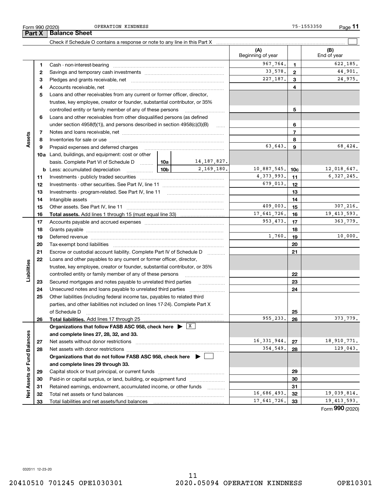Form 990 (2020) OPERATION KINDNESS 75-1553350 Page

**11**

|                             | Part X | <b>Balance Sheet</b>                                                                                                                                                                                                          |       |                |                           |                 |                    |
|-----------------------------|--------|-------------------------------------------------------------------------------------------------------------------------------------------------------------------------------------------------------------------------------|-------|----------------|---------------------------|-----------------|--------------------|
|                             |        |                                                                                                                                                                                                                               |       |                |                           |                 |                    |
|                             |        |                                                                                                                                                                                                                               |       |                | (A)<br>Beginning of year  |                 | (B)<br>End of year |
|                             | 1      |                                                                                                                                                                                                                               |       |                | 967,764.                  | 1               | 622,185.           |
|                             | 2      |                                                                                                                                                                                                                               |       |                | 33,578.                   | $\mathbf{2}$    | 44,901.            |
|                             | з      |                                                                                                                                                                                                                               |       |                | 227, 187.                 | 3               | 24,975.            |
|                             | 4      |                                                                                                                                                                                                                               |       |                |                           | 4               |                    |
|                             | 5      | Loans and other receivables from any current or former officer, director,                                                                                                                                                     |       |                |                           |                 |                    |
|                             |        | trustee, key employee, creator or founder, substantial contributor, or 35%                                                                                                                                                    |       |                |                           |                 |                    |
|                             |        | controlled entity or family member of any of these persons                                                                                                                                                                    |       |                |                           | 5               |                    |
|                             | 6      | Loans and other receivables from other disqualified persons (as defined                                                                                                                                                       |       |                |                           |                 |                    |
|                             |        | under section $4958(f)(1)$ , and persons described in section $4958(c)(3)(B)$                                                                                                                                                 |       | 6              |                           |                 |                    |
|                             | 7      |                                                                                                                                                                                                                               |       | $\overline{7}$ |                           |                 |                    |
| Assets                      | 8      |                                                                                                                                                                                                                               |       |                |                           | 8               |                    |
|                             | 9      | Prepaid expenses and deferred charges                                                                                                                                                                                         |       |                | 63,643.                   | 9               | 68,424.            |
|                             |        | <b>10a</b> Land, buildings, and equipment: cost or other                                                                                                                                                                      |       |                |                           |                 |                    |
|                             |        | basis. Complete Part VI of Schedule D  10a                                                                                                                                                                                    |       | 14, 187, 827.  |                           |                 |                    |
|                             |        | <b>b</b> Less: accumulated depreciation<br>.                                                                                                                                                                                  | 10b l | 2,169,180.     | 10,887,545.               | 10 <sub>c</sub> | 12,018,647.        |
|                             | 11     |                                                                                                                                                                                                                               |       | 4, 373, 993.   | 11                        | 6,327,245.      |                    |
|                             | 12     |                                                                                                                                                                                                                               |       |                | 679,013.                  | 12              |                    |
|                             | 13     |                                                                                                                                                                                                                               |       |                |                           | 13              |                    |
|                             | 14     |                                                                                                                                                                                                                               |       |                |                           | 14              |                    |
|                             | 15     |                                                                                                                                                                                                                               |       |                | 409,003.                  | 15              | 307, 216.          |
|                             | 16     |                                                                                                                                                                                                                               |       |                | 17,641,726.               | 16              | 19, 413, 593.      |
|                             | 17     |                                                                                                                                                                                                                               |       |                | 953, 473.                 | 17              | 363,779.           |
|                             | 18     |                                                                                                                                                                                                                               |       |                | 18                        |                 |                    |
|                             | 19     | Deferred revenue manual contracts and contracts and contracts are contracted and contracts are contracted and contract are contracted and contract are contracted and contract are contracted and contract are contracted and |       | 1,760.         | 19                        | 10,000.         |                    |
|                             | 20     |                                                                                                                                                                                                                               |       |                |                           | 20              |                    |
|                             | 21     | Escrow or custodial account liability. Complete Part IV of Schedule D                                                                                                                                                         |       | .              |                           | 21              |                    |
|                             | 22     | Loans and other payables to any current or former officer, director,                                                                                                                                                          |       |                |                           |                 |                    |
| Liabilities                 |        | trustee, key employee, creator or founder, substantial contributor, or 35%                                                                                                                                                    |       |                |                           |                 |                    |
|                             |        | controlled entity or family member of any of these persons                                                                                                                                                                    |       |                |                           | 22              |                    |
|                             | 23     | Secured mortgages and notes payable to unrelated third parties                                                                                                                                                                |       |                |                           | 23              |                    |
|                             | 24     | Unsecured notes and loans payable to unrelated third parties                                                                                                                                                                  |       |                |                           | 24              |                    |
|                             | 25     | Other liabilities (including federal income tax, payables to related third                                                                                                                                                    |       |                |                           |                 |                    |
|                             |        | parties, and other liabilities not included on lines 17-24). Complete Part X                                                                                                                                                  |       |                |                           |                 |                    |
|                             |        | of Schedule D                                                                                                                                                                                                                 |       |                |                           | 25              |                    |
|                             | 26     | <b>Total liabilities.</b> Add lines 17 through 25                                                                                                                                                                             |       |                | 955,233.                  | 26              | 373,779.           |
|                             |        | Organizations that follow FASB ASC 958, check here $\blacktriangleright$ $\lfloor x \rfloor$                                                                                                                                  |       |                |                           |                 |                    |
|                             |        | and complete lines 27, 28, 32, and 33.                                                                                                                                                                                        |       |                |                           |                 | 18,910,771.        |
|                             | 27     | Net assets without donor restrictions                                                                                                                                                                                         |       |                | 16, 331, 944.<br>354,549. | 27              |                    |
|                             | 28     |                                                                                                                                                                                                                               |       |                |                           | 28              | 129,043.           |
|                             |        | Organizations that do not follow FASB ASC 958, check here $\blacktriangleright$                                                                                                                                               |       |                |                           |                 |                    |
| Net Assets or Fund Balances |        | and complete lines 29 through 33.                                                                                                                                                                                             |       |                |                           |                 |                    |
|                             | 29     |                                                                                                                                                                                                                               |       |                |                           | 29              |                    |
|                             | 30     | Paid-in or capital surplus, or land, building, or equipment fund                                                                                                                                                              |       |                |                           | 30              |                    |
|                             | 31     | Retained earnings, endowment, accumulated income, or other funds                                                                                                                                                              |       |                | 16,686,493.               | 31              | 19,039,814.        |
|                             | 32     | Total net assets or fund balances                                                                                                                                                                                             |       |                | 17,641,726.               | 32              | 19, 413, 593.      |
|                             | 33     |                                                                                                                                                                                                                               |       |                |                           | 33              |                    |

Form (2020) **990**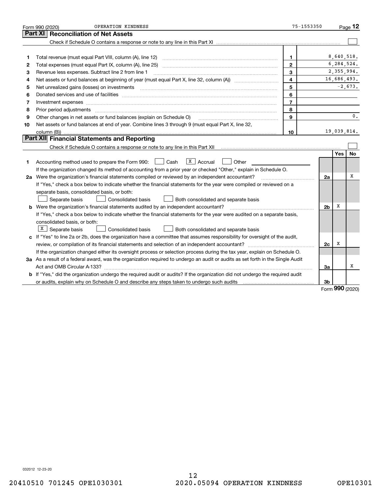|    | OPERATION KINDNESS<br>Form 990 (2020)                                                                                           | 75-1553350     |                |            | Page $12$   |
|----|---------------------------------------------------------------------------------------------------------------------------------|----------------|----------------|------------|-------------|
|    | <b>Reconciliation of Net Assets</b><br><b>Part XI</b>                                                                           |                |                |            |             |
|    |                                                                                                                                 |                |                |            |             |
|    |                                                                                                                                 |                |                |            |             |
| 1  | Total revenue (must equal Part VIII, column (A), line 12)                                                                       | 1              |                |            | 8,640,518.  |
| 2  |                                                                                                                                 | $\mathbf{2}$   |                |            | 6,284,524.  |
| з  | Revenue less expenses. Subtract line 2 from line 1                                                                              | 3              |                |            | 2,355,994.  |
| 4  |                                                                                                                                 | 4              |                |            | 16,686,493. |
| 5  | Net unrealized gains (losses) on investments with an annumerous contract and a set of the set of the set of the                 | 5              |                |            | $-2,673.$   |
| 6  |                                                                                                                                 | 6              |                |            |             |
| 7  | Investment expenses www.communication.com/www.communication.com/www.communication.com/www.com                                   | $\overline{7}$ |                |            |             |
| 8  | Prior period adjustments                                                                                                        | 8              |                |            |             |
| 9  | Other changes in net assets or fund balances (explain on Schedule O)                                                            | 9              |                |            | 0.          |
| 10 | Net assets or fund balances at end of year. Combine lines 3 through 9 (must equal Part X, line 32,                              |                |                |            |             |
|    | column (B))                                                                                                                     | 10             |                |            | 19,039,814. |
|    | Part XII Financial Statements and Reporting                                                                                     |                |                |            |             |
|    |                                                                                                                                 |                |                |            |             |
|    |                                                                                                                                 |                |                | Yes        | No          |
| 1. | $\sqrt{X}$ Accrual<br>Accounting method used to prepare the Form 990: <u>[</u> Cash<br>Other                                    |                |                |            |             |
|    | If the organization changed its method of accounting from a prior year or checked "Other," explain in Schedule O.               |                |                |            |             |
|    | 2a Were the organization's financial statements compiled or reviewed by an independent accountant?                              |                | 2a             |            | х           |
|    | If "Yes," check a box below to indicate whether the financial statements for the year were compiled or reviewed on a            |                |                |            |             |
|    | separate basis, consolidated basis, or both:                                                                                    |                |                |            |             |
|    | Separate basis<br>Consolidated basis<br>Both consolidated and separate basis                                                    |                |                |            |             |
|    | <b>b</b> Were the organization's financial statements audited by an independent accountant?                                     |                | 2 <sub>b</sub> | х          |             |
|    | If "Yes," check a box below to indicate whether the financial statements for the year were audited on a separate basis,         |                |                |            |             |
|    | consolidated basis, or both:                                                                                                    |                |                |            |             |
|    | $X$ Separate basis<br>Consolidated basis<br>Both consolidated and separate basis                                                |                |                |            |             |
|    | c If "Yes" to line 2a or 2b, does the organization have a committee that assumes responsibility for oversight of the audit,     |                |                |            |             |
|    | review, or compilation of its financial statements and selection of an independent accountant?                                  |                | 2c             | X          |             |
|    | If the organization changed either its oversight process or selection process during the tax year, explain on Schedule O.       |                |                |            |             |
|    | 3a As a result of a federal award, was the organization required to undergo an audit or audits as set forth in the Single Audit |                |                |            |             |
|    |                                                                                                                                 |                | За             |            | х           |
|    | b If "Yes," did the organization undergo the required audit or audits? If the organization did not undergo the required audit   |                |                |            |             |
|    |                                                                                                                                 |                | 3b             | <u>nnn</u> |             |

Form (2020) **990**

032012 12-23-20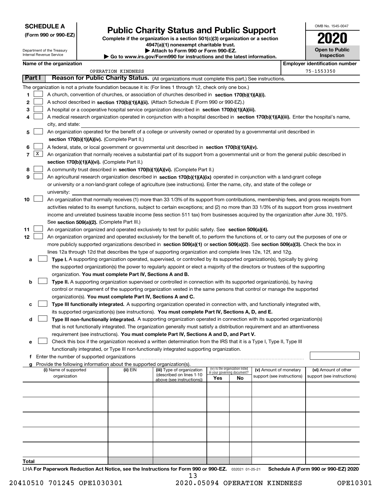| <b>SCHEDULE A</b> |  |
|-------------------|--|
|-------------------|--|

**(Form 990 or 990-EZ)**

## Department of the Treasury

Internal Revenue Service

## **Public Charity Status and Public Support**

**Complete if the organization is a section 501(c)(3) organization or a section 4947(a)(1) nonexempt charitable trust. | Attach to Form 990 or Form 990-EZ. | Go to www.irs.gov/Form990 for instructions and the latest information.**

| U                                   |
|-------------------------------------|
| <b>Open to Public</b><br>Inspection |
|                                     |

OMB No. 1545-0047

|                           | Name of the organization                                                                                                                                                                                                                                                                                                                                                                                                                                                                                                                                                                                                                                                                                                                                                                                                                                                                                                                                                                                                                                                                                                                                                                                                                                                                   |                    |                                                                                     |                                    |                                       |                                                      |  | <b>Employer identification number</b>              |  |  |
|---------------------------|--------------------------------------------------------------------------------------------------------------------------------------------------------------------------------------------------------------------------------------------------------------------------------------------------------------------------------------------------------------------------------------------------------------------------------------------------------------------------------------------------------------------------------------------------------------------------------------------------------------------------------------------------------------------------------------------------------------------------------------------------------------------------------------------------------------------------------------------------------------------------------------------------------------------------------------------------------------------------------------------------------------------------------------------------------------------------------------------------------------------------------------------------------------------------------------------------------------------------------------------------------------------------------------------|--------------------|-------------------------------------------------------------------------------------|------------------------------------|---------------------------------------|------------------------------------------------------|--|----------------------------------------------------|--|--|
|                           |                                                                                                                                                                                                                                                                                                                                                                                                                                                                                                                                                                                                                                                                                                                                                                                                                                                                                                                                                                                                                                                                                                                                                                                                                                                                                            | OPERATION KINDNESS |                                                                                     |                                    |                                       |                                                      |  | 75-1553350                                         |  |  |
| Part I                    | Reason for Public Charity Status. (All organizations must complete this part.) See instructions.                                                                                                                                                                                                                                                                                                                                                                                                                                                                                                                                                                                                                                                                                                                                                                                                                                                                                                                                                                                                                                                                                                                                                                                           |                    |                                                                                     |                                    |                                       |                                                      |  |                                                    |  |  |
| 1<br>2<br>з<br>4          | The organization is not a private foundation because it is: (For lines 1 through 12, check only one box.)<br>A church, convention of churches, or association of churches described in section 170(b)(1)(A)(i).<br>A school described in section 170(b)(1)(A)(ii). (Attach Schedule E (Form 990 or 990-EZ).)<br>A hospital or a cooperative hospital service organization described in section 170(b)(1)(A)(iii).<br>A medical research organization operated in conjunction with a hospital described in section 170(b)(1)(A)(iii). Enter the hospital's name,                                                                                                                                                                                                                                                                                                                                                                                                                                                                                                                                                                                                                                                                                                                            |                    |                                                                                     |                                    |                                       |                                                      |  |                                                    |  |  |
|                           | city, and state:                                                                                                                                                                                                                                                                                                                                                                                                                                                                                                                                                                                                                                                                                                                                                                                                                                                                                                                                                                                                                                                                                                                                                                                                                                                                           |                    |                                                                                     |                                    |                                       |                                                      |  |                                                    |  |  |
| 5<br>6<br>$7 \mid X \mid$ | An organization operated for the benefit of a college or university owned or operated by a governmental unit described in<br>section 170(b)(1)(A)(iv). (Complete Part II.)<br>A federal, state, or local government or governmental unit described in section 170(b)(1)(A)(v).<br>An organization that normally receives a substantial part of its support from a governmental unit or from the general public described in<br>section 170(b)(1)(A)(vi). (Complete Part II.)                                                                                                                                                                                                                                                                                                                                                                                                                                                                                                                                                                                                                                                                                                                                                                                                               |                    |                                                                                     |                                    |                                       |                                                      |  |                                                    |  |  |
| 8<br>9                    | A community trust described in section 170(b)(1)(A)(vi). (Complete Part II.)<br>An agricultural research organization described in section 170(b)(1)(A)(ix) operated in conjunction with a land-grant college<br>or university or a non-land-grant college of agriculture (see instructions). Enter the name, city, and state of the college or<br>university:                                                                                                                                                                                                                                                                                                                                                                                                                                                                                                                                                                                                                                                                                                                                                                                                                                                                                                                             |                    |                                                                                     |                                    |                                       |                                                      |  |                                                    |  |  |
| 10<br>11                  | An organization that normally receives (1) more than 33 1/3% of its support from contributions, membership fees, and gross receipts from<br>activities related to its exempt functions, subject to certain exceptions; and (2) no more than 33 1/3% of its support from gross investment<br>income and unrelated business taxable income (less section 511 tax) from businesses acquired by the organization after June 30, 1975.<br>See section 509(a)(2). (Complete Part III.)<br>An organization organized and operated exclusively to test for public safety. See section 509(a)(4).                                                                                                                                                                                                                                                                                                                                                                                                                                                                                                                                                                                                                                                                                                   |                    |                                                                                     |                                    |                                       |                                                      |  |                                                    |  |  |
| 12<br>а<br>b<br>с         | An organization organized and operated exclusively for the benefit of, to perform the functions of, or to carry out the purposes of one or<br>more publicly supported organizations described in section 509(a)(1) or section 509(a)(2). See section 509(a)(3). Check the box in<br>lines 12a through 12d that describes the type of supporting organization and complete lines 12e, 12f, and 12g.<br>Type I. A supporting organization operated, supervised, or controlled by its supported organization(s), typically by giving<br>the supported organization(s) the power to regularly appoint or elect a majority of the directors or trustees of the supporting<br>organization. You must complete Part IV, Sections A and B.<br>Type II. A supporting organization supervised or controlled in connection with its supported organization(s), by having<br>control or management of the supporting organization vested in the same persons that control or manage the supported<br>organization(s). You must complete Part IV, Sections A and C.<br>Type III functionally integrated. A supporting organization operated in connection with, and functionally integrated with,<br>its supported organization(s) (see instructions). You must complete Part IV, Sections A, D, and E. |                    |                                                                                     |                                    |                                       |                                                      |  |                                                    |  |  |
| d                         | Type III non-functionally integrated. A supporting organization operated in connection with its supported organization(s)<br>that is not functionally integrated. The organization generally must satisfy a distribution requirement and an attentiveness<br>requirement (see instructions). You must complete Part IV, Sections A and D, and Part V.<br>Check this box if the organization received a written determination from the IRS that it is a Type I, Type II, Type III<br>functionally integrated, or Type III non-functionally integrated supporting organization.                                                                                                                                                                                                                                                                                                                                                                                                                                                                                                                                                                                                                                                                                                              |                    |                                                                                     |                                    |                                       |                                                      |  |                                                    |  |  |
|                           | f Enter the number of supported organizations<br>Provide the following information about the supported organization(s).                                                                                                                                                                                                                                                                                                                                                                                                                                                                                                                                                                                                                                                                                                                                                                                                                                                                                                                                                                                                                                                                                                                                                                    |                    |                                                                                     |                                    |                                       |                                                      |  |                                                    |  |  |
|                           | (i) Name of supported<br>organization                                                                                                                                                                                                                                                                                                                                                                                                                                                                                                                                                                                                                                                                                                                                                                                                                                                                                                                                                                                                                                                                                                                                                                                                                                                      | (ii) EIN           | (iii) Type of organization<br>(described on lines 1-10<br>above (see instructions)) | in your governing document?<br>Yes | (iv) Is the organization listed<br>No | (v) Amount of monetary<br>support (see instructions) |  | (vi) Amount of other<br>support (see instructions) |  |  |
|                           |                                                                                                                                                                                                                                                                                                                                                                                                                                                                                                                                                                                                                                                                                                                                                                                                                                                                                                                                                                                                                                                                                                                                                                                                                                                                                            |                    |                                                                                     |                                    |                                       |                                                      |  |                                                    |  |  |
|                           |                                                                                                                                                                                                                                                                                                                                                                                                                                                                                                                                                                                                                                                                                                                                                                                                                                                                                                                                                                                                                                                                                                                                                                                                                                                                                            |                    |                                                                                     |                                    |                                       |                                                      |  |                                                    |  |  |
|                           |                                                                                                                                                                                                                                                                                                                                                                                                                                                                                                                                                                                                                                                                                                                                                                                                                                                                                                                                                                                                                                                                                                                                                                                                                                                                                            |                    |                                                                                     |                                    |                                       |                                                      |  |                                                    |  |  |
|                           |                                                                                                                                                                                                                                                                                                                                                                                                                                                                                                                                                                                                                                                                                                                                                                                                                                                                                                                                                                                                                                                                                                                                                                                                                                                                                            |                    |                                                                                     |                                    |                                       |                                                      |  |                                                    |  |  |
| Total                     |                                                                                                                                                                                                                                                                                                                                                                                                                                                                                                                                                                                                                                                                                                                                                                                                                                                                                                                                                                                                                                                                                                                                                                                                                                                                                            |                    |                                                                                     |                                    |                                       |                                                      |  |                                                    |  |  |

LHA For Paperwork Reduction Act Notice, see the Instructions for Form 990 or 990-EZ. <sub>032021</sub> o1-25-21 Schedule A (Form 990 or 990-EZ) 2020 13

٦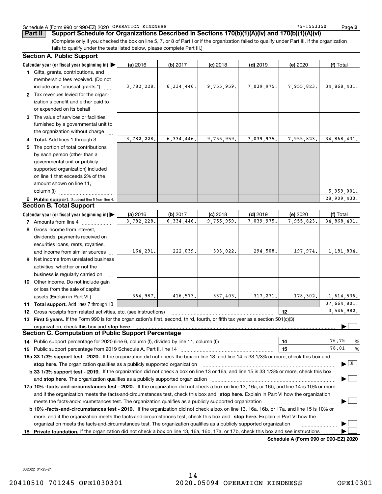#### Schedule A (Form 990 or 990-EZ) 2020 Page OPERATION KINDNESS 75-1553350

**2**

(Complete only if you checked the box on line 5, 7, or 8 of Part I or if the organization failed to qualify under Part III. If the organization **Part II** Support Schedule for Organizations Described in Sections 170(b)(1)(A)(iv) and 170(b)(1)(A)(vi)

fails to qualify under the tests listed below, please complete Part III.)

| Calendar year (or fiscal year beginning in)<br>(a) 2016<br>$(d)$ 2019<br>(b) 2017<br>$(c)$ 2018<br>(e) 2020<br>(f) Total<br>1 Gifts, grants, contributions, and<br>membership fees received. (Do not<br>6,334,446.<br>9,755,959.<br>7,039,975.<br>7,955,823.<br>34,868,431.<br>3,782,228.<br>include any "unusual grants.")<br>2 Tax revenues levied for the organ-<br>ization's benefit and either paid to<br>or expended on its behalf<br>3 The value of services or facilities<br>furnished by a governmental unit to<br>the organization without charge<br>6,334,446.<br>9,755,959.<br>3,782,228.<br>7,039,975.<br>7,955,823.<br>34,868,431.<br>4 Total. Add lines 1 through 3<br>The portion of total contributions<br>5<br>by each person (other than a<br>governmental unit or publicly<br>supported organization) included<br>on line 1 that exceeds 2% of the<br>amount shown on line 11,<br>column (f)<br>5,959,001.<br>28,909,430.<br>6 Public support. Subtract line 5 from line 4.<br><b>Section B. Total Support</b><br>Calendar year (or fiscal year beginning in)<br>(a) 2016<br>(b) 2017<br>$(c)$ 2018<br>$(d)$ 2019<br>(e) 2020<br>(f) Total<br>6,334,446.<br>9,755,959.<br>7,039,975.<br>7,955,823.<br>3,782,228.<br>34,868,431.<br><b>7</b> Amounts from line 4<br>Gross income from interest,<br>8<br>dividends, payments received on<br>securities loans, rents, royalties,<br>222,039.<br>303,022.<br>294,508.<br>197,974.<br>1, 181, 834.<br>164,291.<br>and income from similar sources<br>9 Net income from unrelated business<br>activities, whether or not the<br>business is regularly carried on<br>10 Other income. Do not include gain<br>or loss from the sale of capital<br>364,987.<br>416,573.<br>1,614,536.<br>337,403.<br>317, 271.<br>178, 302.<br>assets (Explain in Part VI.)<br>37,664,801.<br>11 Total support. Add lines 7 through 10<br>3,546,982.<br>12<br>12 Gross receipts from related activities, etc. (see instructions)<br>13 First 5 years. If the Form 990 is for the organization's first, second, third, fourth, or fifth tax year as a section 501(c)(3)<br>organization, check this box and stop here<br><b>Section C. Computation of Public Support Percentage</b><br>76.75<br>14<br>%<br>78.01<br>15<br>%<br>16a 33 1/3% support test - 2020. If the organization did not check the box on line 13, and line 14 is 33 1/3% or more, check this box and<br>$\blacktriangleright$ $\mid$ X<br>stop here. The organization qualifies as a publicly supported organization<br>b 33 1/3% support test - 2019. If the organization did not check a box on line 13 or 16a, and line 15 is 33 1/3% or more, check this box<br>and <b>stop here.</b> The organization qualifies as a publicly supported organization<br>17a 10% -facts-and-circumstances test - 2020. If the organization did not check a box on line 13, 16a, or 16b, and line 14 is 10% or more,<br>and if the organization meets the facts-and-circumstances test, check this box and stop here. Explain in Part VI how the organization<br>meets the facts-and-circumstances test. The organization qualifies as a publicly supported organization<br><b>b 10% -facts-and-circumstances test - 2019.</b> If the organization did not check a box on line 13, 16a, 16b, or 17a, and line 15 is 10% or<br>more, and if the organization meets the facts-and-circumstances test, check this box and stop here. Explain in Part VI how the<br>organization meets the facts-and-circumstances test. The organization qualifies as a publicly supported organization<br>18 Private foundation. If the organization did not check a box on line 13, 16a, 16b, 17a, or 17b, check this box and see instructions | <b>Section A. Public Support</b> |  |  |  |
|--------------------------------------------------------------------------------------------------------------------------------------------------------------------------------------------------------------------------------------------------------------------------------------------------------------------------------------------------------------------------------------------------------------------------------------------------------------------------------------------------------------------------------------------------------------------------------------------------------------------------------------------------------------------------------------------------------------------------------------------------------------------------------------------------------------------------------------------------------------------------------------------------------------------------------------------------------------------------------------------------------------------------------------------------------------------------------------------------------------------------------------------------------------------------------------------------------------------------------------------------------------------------------------------------------------------------------------------------------------------------------------------------------------------------------------------------------------------------------------------------------------------------------------------------------------------------------------------------------------------------------------------------------------------------------------------------------------------------------------------------------------------------------------------------------------------------------------------------------------------------------------------------------------------------------------------------------------------------------------------------------------------------------------------------------------------------------------------------------------------------------------------------------------------------------------------------------------------------------------------------------------------------------------------------------------------------------------------------------------------------------------------------------------------------------------------------------------------------------------------------------------------------------------------------------------------------------------------------------------------------------------------------------------------------------------------------------------------------------------------------------------------------------------------------------------------------------------------------------------------------------------------------------------------------------------------------------------------------------------------------------------------------------------------------------------------------------------------------------------------------------------------------------------------------------------------------------------------------------------------------------------------------------------------------------------------------------------------------------------------------------------------------------------------------------------------------------------------------------------------------------------------------------------------------------------------------------------------------------------------------------------------------------------------------------------------------------------------------------|----------------------------------|--|--|--|
|                                                                                                                                                                                                                                                                                                                                                                                                                                                                                                                                                                                                                                                                                                                                                                                                                                                                                                                                                                                                                                                                                                                                                                                                                                                                                                                                                                                                                                                                                                                                                                                                                                                                                                                                                                                                                                                                                                                                                                                                                                                                                                                                                                                                                                                                                                                                                                                                                                                                                                                                                                                                                                                                                                                                                                                                                                                                                                                                                                                                                                                                                                                                                                                                                                                                                                                                                                                                                                                                                                                                                                                                                                                                                                                                |                                  |  |  |  |
|                                                                                                                                                                                                                                                                                                                                                                                                                                                                                                                                                                                                                                                                                                                                                                                                                                                                                                                                                                                                                                                                                                                                                                                                                                                                                                                                                                                                                                                                                                                                                                                                                                                                                                                                                                                                                                                                                                                                                                                                                                                                                                                                                                                                                                                                                                                                                                                                                                                                                                                                                                                                                                                                                                                                                                                                                                                                                                                                                                                                                                                                                                                                                                                                                                                                                                                                                                                                                                                                                                                                                                                                                                                                                                                                |                                  |  |  |  |
|                                                                                                                                                                                                                                                                                                                                                                                                                                                                                                                                                                                                                                                                                                                                                                                                                                                                                                                                                                                                                                                                                                                                                                                                                                                                                                                                                                                                                                                                                                                                                                                                                                                                                                                                                                                                                                                                                                                                                                                                                                                                                                                                                                                                                                                                                                                                                                                                                                                                                                                                                                                                                                                                                                                                                                                                                                                                                                                                                                                                                                                                                                                                                                                                                                                                                                                                                                                                                                                                                                                                                                                                                                                                                                                                |                                  |  |  |  |
|                                                                                                                                                                                                                                                                                                                                                                                                                                                                                                                                                                                                                                                                                                                                                                                                                                                                                                                                                                                                                                                                                                                                                                                                                                                                                                                                                                                                                                                                                                                                                                                                                                                                                                                                                                                                                                                                                                                                                                                                                                                                                                                                                                                                                                                                                                                                                                                                                                                                                                                                                                                                                                                                                                                                                                                                                                                                                                                                                                                                                                                                                                                                                                                                                                                                                                                                                                                                                                                                                                                                                                                                                                                                                                                                |                                  |  |  |  |
|                                                                                                                                                                                                                                                                                                                                                                                                                                                                                                                                                                                                                                                                                                                                                                                                                                                                                                                                                                                                                                                                                                                                                                                                                                                                                                                                                                                                                                                                                                                                                                                                                                                                                                                                                                                                                                                                                                                                                                                                                                                                                                                                                                                                                                                                                                                                                                                                                                                                                                                                                                                                                                                                                                                                                                                                                                                                                                                                                                                                                                                                                                                                                                                                                                                                                                                                                                                                                                                                                                                                                                                                                                                                                                                                |                                  |  |  |  |
|                                                                                                                                                                                                                                                                                                                                                                                                                                                                                                                                                                                                                                                                                                                                                                                                                                                                                                                                                                                                                                                                                                                                                                                                                                                                                                                                                                                                                                                                                                                                                                                                                                                                                                                                                                                                                                                                                                                                                                                                                                                                                                                                                                                                                                                                                                                                                                                                                                                                                                                                                                                                                                                                                                                                                                                                                                                                                                                                                                                                                                                                                                                                                                                                                                                                                                                                                                                                                                                                                                                                                                                                                                                                                                                                |                                  |  |  |  |
|                                                                                                                                                                                                                                                                                                                                                                                                                                                                                                                                                                                                                                                                                                                                                                                                                                                                                                                                                                                                                                                                                                                                                                                                                                                                                                                                                                                                                                                                                                                                                                                                                                                                                                                                                                                                                                                                                                                                                                                                                                                                                                                                                                                                                                                                                                                                                                                                                                                                                                                                                                                                                                                                                                                                                                                                                                                                                                                                                                                                                                                                                                                                                                                                                                                                                                                                                                                                                                                                                                                                                                                                                                                                                                                                |                                  |  |  |  |
|                                                                                                                                                                                                                                                                                                                                                                                                                                                                                                                                                                                                                                                                                                                                                                                                                                                                                                                                                                                                                                                                                                                                                                                                                                                                                                                                                                                                                                                                                                                                                                                                                                                                                                                                                                                                                                                                                                                                                                                                                                                                                                                                                                                                                                                                                                                                                                                                                                                                                                                                                                                                                                                                                                                                                                                                                                                                                                                                                                                                                                                                                                                                                                                                                                                                                                                                                                                                                                                                                                                                                                                                                                                                                                                                |                                  |  |  |  |
|                                                                                                                                                                                                                                                                                                                                                                                                                                                                                                                                                                                                                                                                                                                                                                                                                                                                                                                                                                                                                                                                                                                                                                                                                                                                                                                                                                                                                                                                                                                                                                                                                                                                                                                                                                                                                                                                                                                                                                                                                                                                                                                                                                                                                                                                                                                                                                                                                                                                                                                                                                                                                                                                                                                                                                                                                                                                                                                                                                                                                                                                                                                                                                                                                                                                                                                                                                                                                                                                                                                                                                                                                                                                                                                                |                                  |  |  |  |
|                                                                                                                                                                                                                                                                                                                                                                                                                                                                                                                                                                                                                                                                                                                                                                                                                                                                                                                                                                                                                                                                                                                                                                                                                                                                                                                                                                                                                                                                                                                                                                                                                                                                                                                                                                                                                                                                                                                                                                                                                                                                                                                                                                                                                                                                                                                                                                                                                                                                                                                                                                                                                                                                                                                                                                                                                                                                                                                                                                                                                                                                                                                                                                                                                                                                                                                                                                                                                                                                                                                                                                                                                                                                                                                                |                                  |  |  |  |
|                                                                                                                                                                                                                                                                                                                                                                                                                                                                                                                                                                                                                                                                                                                                                                                                                                                                                                                                                                                                                                                                                                                                                                                                                                                                                                                                                                                                                                                                                                                                                                                                                                                                                                                                                                                                                                                                                                                                                                                                                                                                                                                                                                                                                                                                                                                                                                                                                                                                                                                                                                                                                                                                                                                                                                                                                                                                                                                                                                                                                                                                                                                                                                                                                                                                                                                                                                                                                                                                                                                                                                                                                                                                                                                                |                                  |  |  |  |
|                                                                                                                                                                                                                                                                                                                                                                                                                                                                                                                                                                                                                                                                                                                                                                                                                                                                                                                                                                                                                                                                                                                                                                                                                                                                                                                                                                                                                                                                                                                                                                                                                                                                                                                                                                                                                                                                                                                                                                                                                                                                                                                                                                                                                                                                                                                                                                                                                                                                                                                                                                                                                                                                                                                                                                                                                                                                                                                                                                                                                                                                                                                                                                                                                                                                                                                                                                                                                                                                                                                                                                                                                                                                                                                                |                                  |  |  |  |
|                                                                                                                                                                                                                                                                                                                                                                                                                                                                                                                                                                                                                                                                                                                                                                                                                                                                                                                                                                                                                                                                                                                                                                                                                                                                                                                                                                                                                                                                                                                                                                                                                                                                                                                                                                                                                                                                                                                                                                                                                                                                                                                                                                                                                                                                                                                                                                                                                                                                                                                                                                                                                                                                                                                                                                                                                                                                                                                                                                                                                                                                                                                                                                                                                                                                                                                                                                                                                                                                                                                                                                                                                                                                                                                                |                                  |  |  |  |
|                                                                                                                                                                                                                                                                                                                                                                                                                                                                                                                                                                                                                                                                                                                                                                                                                                                                                                                                                                                                                                                                                                                                                                                                                                                                                                                                                                                                                                                                                                                                                                                                                                                                                                                                                                                                                                                                                                                                                                                                                                                                                                                                                                                                                                                                                                                                                                                                                                                                                                                                                                                                                                                                                                                                                                                                                                                                                                                                                                                                                                                                                                                                                                                                                                                                                                                                                                                                                                                                                                                                                                                                                                                                                                                                |                                  |  |  |  |
|                                                                                                                                                                                                                                                                                                                                                                                                                                                                                                                                                                                                                                                                                                                                                                                                                                                                                                                                                                                                                                                                                                                                                                                                                                                                                                                                                                                                                                                                                                                                                                                                                                                                                                                                                                                                                                                                                                                                                                                                                                                                                                                                                                                                                                                                                                                                                                                                                                                                                                                                                                                                                                                                                                                                                                                                                                                                                                                                                                                                                                                                                                                                                                                                                                                                                                                                                                                                                                                                                                                                                                                                                                                                                                                                |                                  |  |  |  |
|                                                                                                                                                                                                                                                                                                                                                                                                                                                                                                                                                                                                                                                                                                                                                                                                                                                                                                                                                                                                                                                                                                                                                                                                                                                                                                                                                                                                                                                                                                                                                                                                                                                                                                                                                                                                                                                                                                                                                                                                                                                                                                                                                                                                                                                                                                                                                                                                                                                                                                                                                                                                                                                                                                                                                                                                                                                                                                                                                                                                                                                                                                                                                                                                                                                                                                                                                                                                                                                                                                                                                                                                                                                                                                                                |                                  |  |  |  |
|                                                                                                                                                                                                                                                                                                                                                                                                                                                                                                                                                                                                                                                                                                                                                                                                                                                                                                                                                                                                                                                                                                                                                                                                                                                                                                                                                                                                                                                                                                                                                                                                                                                                                                                                                                                                                                                                                                                                                                                                                                                                                                                                                                                                                                                                                                                                                                                                                                                                                                                                                                                                                                                                                                                                                                                                                                                                                                                                                                                                                                                                                                                                                                                                                                                                                                                                                                                                                                                                                                                                                                                                                                                                                                                                |                                  |  |  |  |
|                                                                                                                                                                                                                                                                                                                                                                                                                                                                                                                                                                                                                                                                                                                                                                                                                                                                                                                                                                                                                                                                                                                                                                                                                                                                                                                                                                                                                                                                                                                                                                                                                                                                                                                                                                                                                                                                                                                                                                                                                                                                                                                                                                                                                                                                                                                                                                                                                                                                                                                                                                                                                                                                                                                                                                                                                                                                                                                                                                                                                                                                                                                                                                                                                                                                                                                                                                                                                                                                                                                                                                                                                                                                                                                                |                                  |  |  |  |
|                                                                                                                                                                                                                                                                                                                                                                                                                                                                                                                                                                                                                                                                                                                                                                                                                                                                                                                                                                                                                                                                                                                                                                                                                                                                                                                                                                                                                                                                                                                                                                                                                                                                                                                                                                                                                                                                                                                                                                                                                                                                                                                                                                                                                                                                                                                                                                                                                                                                                                                                                                                                                                                                                                                                                                                                                                                                                                                                                                                                                                                                                                                                                                                                                                                                                                                                                                                                                                                                                                                                                                                                                                                                                                                                |                                  |  |  |  |
|                                                                                                                                                                                                                                                                                                                                                                                                                                                                                                                                                                                                                                                                                                                                                                                                                                                                                                                                                                                                                                                                                                                                                                                                                                                                                                                                                                                                                                                                                                                                                                                                                                                                                                                                                                                                                                                                                                                                                                                                                                                                                                                                                                                                                                                                                                                                                                                                                                                                                                                                                                                                                                                                                                                                                                                                                                                                                                                                                                                                                                                                                                                                                                                                                                                                                                                                                                                                                                                                                                                                                                                                                                                                                                                                |                                  |  |  |  |
|                                                                                                                                                                                                                                                                                                                                                                                                                                                                                                                                                                                                                                                                                                                                                                                                                                                                                                                                                                                                                                                                                                                                                                                                                                                                                                                                                                                                                                                                                                                                                                                                                                                                                                                                                                                                                                                                                                                                                                                                                                                                                                                                                                                                                                                                                                                                                                                                                                                                                                                                                                                                                                                                                                                                                                                                                                                                                                                                                                                                                                                                                                                                                                                                                                                                                                                                                                                                                                                                                                                                                                                                                                                                                                                                |                                  |  |  |  |
|                                                                                                                                                                                                                                                                                                                                                                                                                                                                                                                                                                                                                                                                                                                                                                                                                                                                                                                                                                                                                                                                                                                                                                                                                                                                                                                                                                                                                                                                                                                                                                                                                                                                                                                                                                                                                                                                                                                                                                                                                                                                                                                                                                                                                                                                                                                                                                                                                                                                                                                                                                                                                                                                                                                                                                                                                                                                                                                                                                                                                                                                                                                                                                                                                                                                                                                                                                                                                                                                                                                                                                                                                                                                                                                                |                                  |  |  |  |
|                                                                                                                                                                                                                                                                                                                                                                                                                                                                                                                                                                                                                                                                                                                                                                                                                                                                                                                                                                                                                                                                                                                                                                                                                                                                                                                                                                                                                                                                                                                                                                                                                                                                                                                                                                                                                                                                                                                                                                                                                                                                                                                                                                                                                                                                                                                                                                                                                                                                                                                                                                                                                                                                                                                                                                                                                                                                                                                                                                                                                                                                                                                                                                                                                                                                                                                                                                                                                                                                                                                                                                                                                                                                                                                                |                                  |  |  |  |
|                                                                                                                                                                                                                                                                                                                                                                                                                                                                                                                                                                                                                                                                                                                                                                                                                                                                                                                                                                                                                                                                                                                                                                                                                                                                                                                                                                                                                                                                                                                                                                                                                                                                                                                                                                                                                                                                                                                                                                                                                                                                                                                                                                                                                                                                                                                                                                                                                                                                                                                                                                                                                                                                                                                                                                                                                                                                                                                                                                                                                                                                                                                                                                                                                                                                                                                                                                                                                                                                                                                                                                                                                                                                                                                                |                                  |  |  |  |
|                                                                                                                                                                                                                                                                                                                                                                                                                                                                                                                                                                                                                                                                                                                                                                                                                                                                                                                                                                                                                                                                                                                                                                                                                                                                                                                                                                                                                                                                                                                                                                                                                                                                                                                                                                                                                                                                                                                                                                                                                                                                                                                                                                                                                                                                                                                                                                                                                                                                                                                                                                                                                                                                                                                                                                                                                                                                                                                                                                                                                                                                                                                                                                                                                                                                                                                                                                                                                                                                                                                                                                                                                                                                                                                                |                                  |  |  |  |
|                                                                                                                                                                                                                                                                                                                                                                                                                                                                                                                                                                                                                                                                                                                                                                                                                                                                                                                                                                                                                                                                                                                                                                                                                                                                                                                                                                                                                                                                                                                                                                                                                                                                                                                                                                                                                                                                                                                                                                                                                                                                                                                                                                                                                                                                                                                                                                                                                                                                                                                                                                                                                                                                                                                                                                                                                                                                                                                                                                                                                                                                                                                                                                                                                                                                                                                                                                                                                                                                                                                                                                                                                                                                                                                                |                                  |  |  |  |
|                                                                                                                                                                                                                                                                                                                                                                                                                                                                                                                                                                                                                                                                                                                                                                                                                                                                                                                                                                                                                                                                                                                                                                                                                                                                                                                                                                                                                                                                                                                                                                                                                                                                                                                                                                                                                                                                                                                                                                                                                                                                                                                                                                                                                                                                                                                                                                                                                                                                                                                                                                                                                                                                                                                                                                                                                                                                                                                                                                                                                                                                                                                                                                                                                                                                                                                                                                                                                                                                                                                                                                                                                                                                                                                                |                                  |  |  |  |
|                                                                                                                                                                                                                                                                                                                                                                                                                                                                                                                                                                                                                                                                                                                                                                                                                                                                                                                                                                                                                                                                                                                                                                                                                                                                                                                                                                                                                                                                                                                                                                                                                                                                                                                                                                                                                                                                                                                                                                                                                                                                                                                                                                                                                                                                                                                                                                                                                                                                                                                                                                                                                                                                                                                                                                                                                                                                                                                                                                                                                                                                                                                                                                                                                                                                                                                                                                                                                                                                                                                                                                                                                                                                                                                                |                                  |  |  |  |
|                                                                                                                                                                                                                                                                                                                                                                                                                                                                                                                                                                                                                                                                                                                                                                                                                                                                                                                                                                                                                                                                                                                                                                                                                                                                                                                                                                                                                                                                                                                                                                                                                                                                                                                                                                                                                                                                                                                                                                                                                                                                                                                                                                                                                                                                                                                                                                                                                                                                                                                                                                                                                                                                                                                                                                                                                                                                                                                                                                                                                                                                                                                                                                                                                                                                                                                                                                                                                                                                                                                                                                                                                                                                                                                                |                                  |  |  |  |
|                                                                                                                                                                                                                                                                                                                                                                                                                                                                                                                                                                                                                                                                                                                                                                                                                                                                                                                                                                                                                                                                                                                                                                                                                                                                                                                                                                                                                                                                                                                                                                                                                                                                                                                                                                                                                                                                                                                                                                                                                                                                                                                                                                                                                                                                                                                                                                                                                                                                                                                                                                                                                                                                                                                                                                                                                                                                                                                                                                                                                                                                                                                                                                                                                                                                                                                                                                                                                                                                                                                                                                                                                                                                                                                                |                                  |  |  |  |
|                                                                                                                                                                                                                                                                                                                                                                                                                                                                                                                                                                                                                                                                                                                                                                                                                                                                                                                                                                                                                                                                                                                                                                                                                                                                                                                                                                                                                                                                                                                                                                                                                                                                                                                                                                                                                                                                                                                                                                                                                                                                                                                                                                                                                                                                                                                                                                                                                                                                                                                                                                                                                                                                                                                                                                                                                                                                                                                                                                                                                                                                                                                                                                                                                                                                                                                                                                                                                                                                                                                                                                                                                                                                                                                                |                                  |  |  |  |
|                                                                                                                                                                                                                                                                                                                                                                                                                                                                                                                                                                                                                                                                                                                                                                                                                                                                                                                                                                                                                                                                                                                                                                                                                                                                                                                                                                                                                                                                                                                                                                                                                                                                                                                                                                                                                                                                                                                                                                                                                                                                                                                                                                                                                                                                                                                                                                                                                                                                                                                                                                                                                                                                                                                                                                                                                                                                                                                                                                                                                                                                                                                                                                                                                                                                                                                                                                                                                                                                                                                                                                                                                                                                                                                                |                                  |  |  |  |
|                                                                                                                                                                                                                                                                                                                                                                                                                                                                                                                                                                                                                                                                                                                                                                                                                                                                                                                                                                                                                                                                                                                                                                                                                                                                                                                                                                                                                                                                                                                                                                                                                                                                                                                                                                                                                                                                                                                                                                                                                                                                                                                                                                                                                                                                                                                                                                                                                                                                                                                                                                                                                                                                                                                                                                                                                                                                                                                                                                                                                                                                                                                                                                                                                                                                                                                                                                                                                                                                                                                                                                                                                                                                                                                                |                                  |  |  |  |
|                                                                                                                                                                                                                                                                                                                                                                                                                                                                                                                                                                                                                                                                                                                                                                                                                                                                                                                                                                                                                                                                                                                                                                                                                                                                                                                                                                                                                                                                                                                                                                                                                                                                                                                                                                                                                                                                                                                                                                                                                                                                                                                                                                                                                                                                                                                                                                                                                                                                                                                                                                                                                                                                                                                                                                                                                                                                                                                                                                                                                                                                                                                                                                                                                                                                                                                                                                                                                                                                                                                                                                                                                                                                                                                                |                                  |  |  |  |
|                                                                                                                                                                                                                                                                                                                                                                                                                                                                                                                                                                                                                                                                                                                                                                                                                                                                                                                                                                                                                                                                                                                                                                                                                                                                                                                                                                                                                                                                                                                                                                                                                                                                                                                                                                                                                                                                                                                                                                                                                                                                                                                                                                                                                                                                                                                                                                                                                                                                                                                                                                                                                                                                                                                                                                                                                                                                                                                                                                                                                                                                                                                                                                                                                                                                                                                                                                                                                                                                                                                                                                                                                                                                                                                                |                                  |  |  |  |
|                                                                                                                                                                                                                                                                                                                                                                                                                                                                                                                                                                                                                                                                                                                                                                                                                                                                                                                                                                                                                                                                                                                                                                                                                                                                                                                                                                                                                                                                                                                                                                                                                                                                                                                                                                                                                                                                                                                                                                                                                                                                                                                                                                                                                                                                                                                                                                                                                                                                                                                                                                                                                                                                                                                                                                                                                                                                                                                                                                                                                                                                                                                                                                                                                                                                                                                                                                                                                                                                                                                                                                                                                                                                                                                                |                                  |  |  |  |
|                                                                                                                                                                                                                                                                                                                                                                                                                                                                                                                                                                                                                                                                                                                                                                                                                                                                                                                                                                                                                                                                                                                                                                                                                                                                                                                                                                                                                                                                                                                                                                                                                                                                                                                                                                                                                                                                                                                                                                                                                                                                                                                                                                                                                                                                                                                                                                                                                                                                                                                                                                                                                                                                                                                                                                                                                                                                                                                                                                                                                                                                                                                                                                                                                                                                                                                                                                                                                                                                                                                                                                                                                                                                                                                                |                                  |  |  |  |
|                                                                                                                                                                                                                                                                                                                                                                                                                                                                                                                                                                                                                                                                                                                                                                                                                                                                                                                                                                                                                                                                                                                                                                                                                                                                                                                                                                                                                                                                                                                                                                                                                                                                                                                                                                                                                                                                                                                                                                                                                                                                                                                                                                                                                                                                                                                                                                                                                                                                                                                                                                                                                                                                                                                                                                                                                                                                                                                                                                                                                                                                                                                                                                                                                                                                                                                                                                                                                                                                                                                                                                                                                                                                                                                                |                                  |  |  |  |
|                                                                                                                                                                                                                                                                                                                                                                                                                                                                                                                                                                                                                                                                                                                                                                                                                                                                                                                                                                                                                                                                                                                                                                                                                                                                                                                                                                                                                                                                                                                                                                                                                                                                                                                                                                                                                                                                                                                                                                                                                                                                                                                                                                                                                                                                                                                                                                                                                                                                                                                                                                                                                                                                                                                                                                                                                                                                                                                                                                                                                                                                                                                                                                                                                                                                                                                                                                                                                                                                                                                                                                                                                                                                                                                                |                                  |  |  |  |
|                                                                                                                                                                                                                                                                                                                                                                                                                                                                                                                                                                                                                                                                                                                                                                                                                                                                                                                                                                                                                                                                                                                                                                                                                                                                                                                                                                                                                                                                                                                                                                                                                                                                                                                                                                                                                                                                                                                                                                                                                                                                                                                                                                                                                                                                                                                                                                                                                                                                                                                                                                                                                                                                                                                                                                                                                                                                                                                                                                                                                                                                                                                                                                                                                                                                                                                                                                                                                                                                                                                                                                                                                                                                                                                                |                                  |  |  |  |
|                                                                                                                                                                                                                                                                                                                                                                                                                                                                                                                                                                                                                                                                                                                                                                                                                                                                                                                                                                                                                                                                                                                                                                                                                                                                                                                                                                                                                                                                                                                                                                                                                                                                                                                                                                                                                                                                                                                                                                                                                                                                                                                                                                                                                                                                                                                                                                                                                                                                                                                                                                                                                                                                                                                                                                                                                                                                                                                                                                                                                                                                                                                                                                                                                                                                                                                                                                                                                                                                                                                                                                                                                                                                                                                                |                                  |  |  |  |
|                                                                                                                                                                                                                                                                                                                                                                                                                                                                                                                                                                                                                                                                                                                                                                                                                                                                                                                                                                                                                                                                                                                                                                                                                                                                                                                                                                                                                                                                                                                                                                                                                                                                                                                                                                                                                                                                                                                                                                                                                                                                                                                                                                                                                                                                                                                                                                                                                                                                                                                                                                                                                                                                                                                                                                                                                                                                                                                                                                                                                                                                                                                                                                                                                                                                                                                                                                                                                                                                                                                                                                                                                                                                                                                                |                                  |  |  |  |
|                                                                                                                                                                                                                                                                                                                                                                                                                                                                                                                                                                                                                                                                                                                                                                                                                                                                                                                                                                                                                                                                                                                                                                                                                                                                                                                                                                                                                                                                                                                                                                                                                                                                                                                                                                                                                                                                                                                                                                                                                                                                                                                                                                                                                                                                                                                                                                                                                                                                                                                                                                                                                                                                                                                                                                                                                                                                                                                                                                                                                                                                                                                                                                                                                                                                                                                                                                                                                                                                                                                                                                                                                                                                                                                                |                                  |  |  |  |
|                                                                                                                                                                                                                                                                                                                                                                                                                                                                                                                                                                                                                                                                                                                                                                                                                                                                                                                                                                                                                                                                                                                                                                                                                                                                                                                                                                                                                                                                                                                                                                                                                                                                                                                                                                                                                                                                                                                                                                                                                                                                                                                                                                                                                                                                                                                                                                                                                                                                                                                                                                                                                                                                                                                                                                                                                                                                                                                                                                                                                                                                                                                                                                                                                                                                                                                                                                                                                                                                                                                                                                                                                                                                                                                                |                                  |  |  |  |
|                                                                                                                                                                                                                                                                                                                                                                                                                                                                                                                                                                                                                                                                                                                                                                                                                                                                                                                                                                                                                                                                                                                                                                                                                                                                                                                                                                                                                                                                                                                                                                                                                                                                                                                                                                                                                                                                                                                                                                                                                                                                                                                                                                                                                                                                                                                                                                                                                                                                                                                                                                                                                                                                                                                                                                                                                                                                                                                                                                                                                                                                                                                                                                                                                                                                                                                                                                                                                                                                                                                                                                                                                                                                                                                                |                                  |  |  |  |
|                                                                                                                                                                                                                                                                                                                                                                                                                                                                                                                                                                                                                                                                                                                                                                                                                                                                                                                                                                                                                                                                                                                                                                                                                                                                                                                                                                                                                                                                                                                                                                                                                                                                                                                                                                                                                                                                                                                                                                                                                                                                                                                                                                                                                                                                                                                                                                                                                                                                                                                                                                                                                                                                                                                                                                                                                                                                                                                                                                                                                                                                                                                                                                                                                                                                                                                                                                                                                                                                                                                                                                                                                                                                                                                                |                                  |  |  |  |
|                                                                                                                                                                                                                                                                                                                                                                                                                                                                                                                                                                                                                                                                                                                                                                                                                                                                                                                                                                                                                                                                                                                                                                                                                                                                                                                                                                                                                                                                                                                                                                                                                                                                                                                                                                                                                                                                                                                                                                                                                                                                                                                                                                                                                                                                                                                                                                                                                                                                                                                                                                                                                                                                                                                                                                                                                                                                                                                                                                                                                                                                                                                                                                                                                                                                                                                                                                                                                                                                                                                                                                                                                                                                                                                                |                                  |  |  |  |
|                                                                                                                                                                                                                                                                                                                                                                                                                                                                                                                                                                                                                                                                                                                                                                                                                                                                                                                                                                                                                                                                                                                                                                                                                                                                                                                                                                                                                                                                                                                                                                                                                                                                                                                                                                                                                                                                                                                                                                                                                                                                                                                                                                                                                                                                                                                                                                                                                                                                                                                                                                                                                                                                                                                                                                                                                                                                                                                                                                                                                                                                                                                                                                                                                                                                                                                                                                                                                                                                                                                                                                                                                                                                                                                                |                                  |  |  |  |
|                                                                                                                                                                                                                                                                                                                                                                                                                                                                                                                                                                                                                                                                                                                                                                                                                                                                                                                                                                                                                                                                                                                                                                                                                                                                                                                                                                                                                                                                                                                                                                                                                                                                                                                                                                                                                                                                                                                                                                                                                                                                                                                                                                                                                                                                                                                                                                                                                                                                                                                                                                                                                                                                                                                                                                                                                                                                                                                                                                                                                                                                                                                                                                                                                                                                                                                                                                                                                                                                                                                                                                                                                                                                                                                                |                                  |  |  |  |
|                                                                                                                                                                                                                                                                                                                                                                                                                                                                                                                                                                                                                                                                                                                                                                                                                                                                                                                                                                                                                                                                                                                                                                                                                                                                                                                                                                                                                                                                                                                                                                                                                                                                                                                                                                                                                                                                                                                                                                                                                                                                                                                                                                                                                                                                                                                                                                                                                                                                                                                                                                                                                                                                                                                                                                                                                                                                                                                                                                                                                                                                                                                                                                                                                                                                                                                                                                                                                                                                                                                                                                                                                                                                                                                                |                                  |  |  |  |
| Schedule A (Form 990 or 990-F7) 2020                                                                                                                                                                                                                                                                                                                                                                                                                                                                                                                                                                                                                                                                                                                                                                                                                                                                                                                                                                                                                                                                                                                                                                                                                                                                                                                                                                                                                                                                                                                                                                                                                                                                                                                                                                                                                                                                                                                                                                                                                                                                                                                                                                                                                                                                                                                                                                                                                                                                                                                                                                                                                                                                                                                                                                                                                                                                                                                                                                                                                                                                                                                                                                                                                                                                                                                                                                                                                                                                                                                                                                                                                                                                                           |                                  |  |  |  |

**Schedule A (Form 990 or 990-EZ) 2020**

032022 01-25-21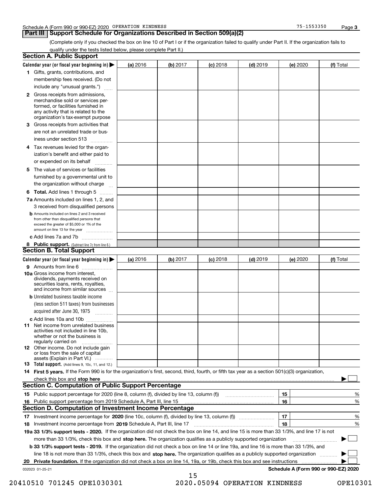## **Part III Support Schedule for Organizations Described in Section 509(a)(2)**

**3**

(Complete only if you checked the box on line 10 of Part I or if the organization failed to qualify under Part II. If the organization fails to qualify under the tests listed below, please complete Part II.)

|    | <b>Section A. Public Support</b>                                                                                                                                                                                               |          |          |            |            |          |                                      |
|----|--------------------------------------------------------------------------------------------------------------------------------------------------------------------------------------------------------------------------------|----------|----------|------------|------------|----------|--------------------------------------|
|    | Calendar year (or fiscal year beginning in) $\blacktriangleright$                                                                                                                                                              | (a) 2016 | (b) 2017 | $(c)$ 2018 | $(d)$ 2019 | (e) 2020 | (f) Total                            |
|    | 1 Gifts, grants, contributions, and                                                                                                                                                                                            |          |          |            |            |          |                                      |
|    | membership fees received. (Do not                                                                                                                                                                                              |          |          |            |            |          |                                      |
|    | include any "unusual grants.")                                                                                                                                                                                                 |          |          |            |            |          |                                      |
|    | <b>2</b> Gross receipts from admissions,<br>merchandise sold or services per-<br>formed, or facilities furnished in<br>any activity that is related to the<br>organization's tax-exempt purpose                                |          |          |            |            |          |                                      |
|    | 3 Gross receipts from activities that<br>are not an unrelated trade or bus-                                                                                                                                                    |          |          |            |            |          |                                      |
|    | iness under section 513                                                                                                                                                                                                        |          |          |            |            |          |                                      |
|    | 4 Tax revenues levied for the organ-                                                                                                                                                                                           |          |          |            |            |          |                                      |
|    | ization's benefit and either paid to<br>or expended on its behalf<br>.                                                                                                                                                         |          |          |            |            |          |                                      |
|    | 5 The value of services or facilities<br>furnished by a governmental unit to                                                                                                                                                   |          |          |            |            |          |                                      |
|    | the organization without charge                                                                                                                                                                                                |          |          |            |            |          |                                      |
|    | <b>6 Total.</b> Add lines 1 through 5                                                                                                                                                                                          |          |          |            |            |          |                                      |
|    | 7a Amounts included on lines 1, 2, and<br>3 received from disqualified persons                                                                                                                                                 |          |          |            |            |          |                                      |
|    | <b>b</b> Amounts included on lines 2 and 3 received<br>from other than disqualified persons that<br>exceed the greater of \$5,000 or 1% of the<br>amount on line 13 for the year                                               |          |          |            |            |          |                                      |
|    | c Add lines 7a and 7b                                                                                                                                                                                                          |          |          |            |            |          |                                      |
|    | 8 Public support. (Subtract line 7c from line 6.)<br><b>Section B. Total Support</b>                                                                                                                                           |          |          |            |            |          |                                      |
|    |                                                                                                                                                                                                                                |          |          |            |            |          |                                      |
|    | Calendar year (or fiscal year beginning in)                                                                                                                                                                                    | (a) 2016 | (b) 2017 | $(c)$ 2018 | $(d)$ 2019 | (e) 2020 | (f) Total                            |
|    | 9 Amounts from line 6<br>10a Gross income from interest,                                                                                                                                                                       |          |          |            |            |          |                                      |
|    | dividends, payments received on<br>securities loans, rents, royalties,<br>and income from similar sources                                                                                                                      |          |          |            |            |          |                                      |
|    | <b>b</b> Unrelated business taxable income                                                                                                                                                                                     |          |          |            |            |          |                                      |
|    | (less section 511 taxes) from businesses<br>acquired after June 30, 1975                                                                                                                                                       |          |          |            |            |          |                                      |
|    | c Add lines 10a and 10b                                                                                                                                                                                                        |          |          |            |            |          |                                      |
|    | 11 Net income from unrelated business<br>activities not included in line 10b,<br>whether or not the business is<br>regularly carried on                                                                                        |          |          |            |            |          |                                      |
|    | <b>12</b> Other income. Do not include gain<br>or loss from the sale of capital<br>assets (Explain in Part VI.)                                                                                                                |          |          |            |            |          |                                      |
|    | <b>13</b> Total support. (Add lines 9, 10c, 11, and 12.)                                                                                                                                                                       |          |          |            |            |          |                                      |
|    | 14 First 5 years. If the Form 990 is for the organization's first, second, third, fourth, or fifth tax year as a section 501(c)(3) organization,                                                                               |          |          |            |            |          |                                      |
|    | check this box and stop here manufactured and control the state of the state of the state of the state of the state of the state of the state of the state of the state of the state of the state of the state of the state of |          |          |            |            |          |                                      |
|    | Section C. Computation of Public Support Percentage                                                                                                                                                                            |          |          |            |            |          |                                      |
|    |                                                                                                                                                                                                                                |          |          |            |            | 15       | %                                    |
|    | 16 Public support percentage from 2019 Schedule A, Part III, line 15                                                                                                                                                           |          |          |            |            | 16       | %                                    |
|    | <b>Section D. Computation of Investment Income Percentage</b>                                                                                                                                                                  |          |          |            |            |          |                                      |
|    | 17 Investment income percentage for 2020 (line 10c, column (f), divided by line 13, column (f))<br><b>18</b> Investment income percentage from <b>2019</b> Schedule A, Part III, line 17                                       |          |          |            |            | 17<br>18 | %<br>%                               |
|    | 19a 33 1/3% support tests - 2020. If the organization did not check the box on line 14, and line 15 is more than 33 1/3%, and line 17 is not                                                                                   |          |          |            |            |          |                                      |
|    | more than 33 1/3%, check this box and stop here. The organization qualifies as a publicly supported organization                                                                                                               |          |          |            |            |          | $\sim$ 1                             |
|    | <b>b 33 1/3% support tests - 2019.</b> If the organization did not check a box on line 14 or line 19a, and line 16 is more than 33 1/3%, and                                                                                   |          |          |            |            |          |                                      |
|    | line 18 is not more than 33 1/3%, check this box and stop here. The organization qualifies as a publicly supported organization                                                                                                |          |          |            |            |          |                                      |
| 20 | <b>Private foundation.</b> If the organization did not check a box on line 14, 19a, or 19b, check this box and see instructions                                                                                                |          |          |            |            |          |                                      |
|    | 032023 01-25-21                                                                                                                                                                                                                |          |          |            |            |          | Schedule A (Form 990 or 990-EZ) 2020 |
|    |                                                                                                                                                                                                                                |          | 15       |            |            |          |                                      |

 <sup>20410510 701245</sup> OPE1030301 2020.05094 OPERATION KINDNESS OPE10301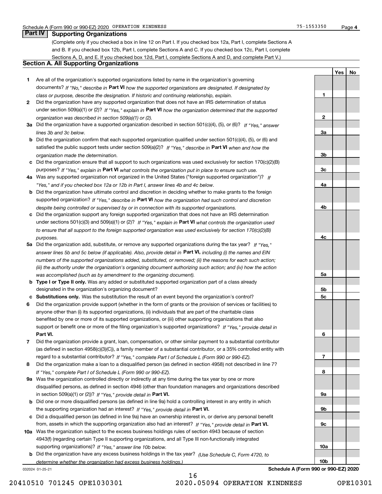#### **4**

**YesNo**

**1**

**2**

**3a**

**3b**

**3c**

**4a**

**4b**

**4c**

**5a**

**5b5c**

**6**

**7**

**8**

**9a**

**9b**

**9c**

**10a**

**10b**

## **Part IV Supporting Organizations**

(Complete only if you checked a box in line 12 on Part I. If you checked box 12a, Part I, complete Sections A and B. If you checked box 12b, Part I, complete Sections A and C. If you checked box 12c, Part I, complete Sections A, D, and E. If you checked box 12d, Part I, complete Sections A and D, and complete Part V.)

## **Section A. All Supporting Organizations**

- **1** Are all of the organization's supported organizations listed by name in the organization's governing documents? If "No," describe in **Part VI** how the supported organizations are designated. If designated by *class or purpose, describe the designation. If historic and continuing relationship, explain.*
- **2** Did the organization have any supported organization that does not have an IRS determination of status under section 509(a)(1) or (2)? If "Yes," explain in Part VI how the organization determined that the supported *organization was described in section 509(a)(1) or (2).*
- **3a** Did the organization have a supported organization described in section 501(c)(4), (5), or (6)? If "Yes," answer *lines 3b and 3c below.*
- **b** Did the organization confirm that each supported organization qualified under section 501(c)(4), (5), or (6) and satisfied the public support tests under section 509(a)(2)? If "Yes," describe in **Part VI** when and how the *organization made the determination.*
- **c**Did the organization ensure that all support to such organizations was used exclusively for section 170(c)(2)(B) purposes? If "Yes," explain in **Part VI** what controls the organization put in place to ensure such use.
- **4a***If* Was any supported organization not organized in the United States ("foreign supported organization")? *"Yes," and if you checked box 12a or 12b in Part I, answer lines 4b and 4c below.*
- **b** Did the organization have ultimate control and discretion in deciding whether to make grants to the foreign supported organization? If "Yes," describe in **Part VI** how the organization had such control and discretion *despite being controlled or supervised by or in connection with its supported organizations.*
- **c** Did the organization support any foreign supported organization that does not have an IRS determination under sections 501(c)(3) and 509(a)(1) or (2)? If "Yes," explain in **Part VI** what controls the organization used *to ensure that all support to the foreign supported organization was used exclusively for section 170(c)(2)(B) purposes.*
- **5a** Did the organization add, substitute, or remove any supported organizations during the tax year? If "Yes," answer lines 5b and 5c below (if applicable). Also, provide detail in **Part VI,** including (i) the names and EIN *numbers of the supported organizations added, substituted, or removed; (ii) the reasons for each such action; (iii) the authority under the organization's organizing document authorizing such action; and (iv) how the action was accomplished (such as by amendment to the organizing document).*
- **b** Type I or Type II only. Was any added or substituted supported organization part of a class already designated in the organization's organizing document?
- **cSubstitutions only.**  Was the substitution the result of an event beyond the organization's control?
- **6** Did the organization provide support (whether in the form of grants or the provision of services or facilities) to **Part VI.** *If "Yes," provide detail in* support or benefit one or more of the filing organization's supported organizations? anyone other than (i) its supported organizations, (ii) individuals that are part of the charitable class benefited by one or more of its supported organizations, or (iii) other supporting organizations that also
- **7**Did the organization provide a grant, loan, compensation, or other similar payment to a substantial contributor *If "Yes," complete Part I of Schedule L (Form 990 or 990-EZ).* regard to a substantial contributor? (as defined in section 4958(c)(3)(C)), a family member of a substantial contributor, or a 35% controlled entity with
- **8** Did the organization make a loan to a disqualified person (as defined in section 4958) not described in line 7? *If "Yes," complete Part I of Schedule L (Form 990 or 990-EZ).*
- **9a** Was the organization controlled directly or indirectly at any time during the tax year by one or more in section 509(a)(1) or (2))? If "Yes," *provide detail in* <code>Part VI.</code> disqualified persons, as defined in section 4946 (other than foundation managers and organizations described
- **b** Did one or more disqualified persons (as defined in line 9a) hold a controlling interest in any entity in which the supporting organization had an interest? If "Yes," provide detail in P**art VI**.
- **c**Did a disqualified person (as defined in line 9a) have an ownership interest in, or derive any personal benefit from, assets in which the supporting organization also had an interest? If "Yes," provide detail in P**art VI.**
- **10a** Was the organization subject to the excess business holdings rules of section 4943 because of section supporting organizations)? If "Yes," answer line 10b below. 4943(f) (regarding certain Type II supporting organizations, and all Type III non-functionally integrated
- **b** Did the organization have any excess business holdings in the tax year? (Use Schedule C, Form 4720, to *determine whether the organization had excess business holdings.)*

032024 01-25-21

**Schedule A (Form 990 or 990-EZ) 2020**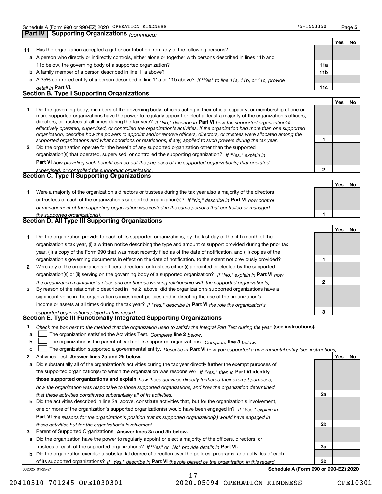**Part IV Supporting Organizations** *(continued)*

**2**

**1**

**YesNo**

|    |                                                                                                                            |                 | Yes | No |
|----|----------------------------------------------------------------------------------------------------------------------------|-----------------|-----|----|
| 11 | Has the organization accepted a gift or contribution from any of the following persons?                                    |                 |     |    |
|    | a A person who directly or indirectly controls, either alone or together with persons described in lines 11b and           |                 |     |    |
|    | 11c below, the governing body of a supported organization?                                                                 | 11a             |     |    |
|    | <b>b</b> A family member of a person described in line 11a above?                                                          | 11 <sub>b</sub> |     |    |
|    | c A 35% controlled entity of a person described in line 11a or 11b above? If "Yes" to line 11a, 11b, or 11c, provide       |                 |     |    |
|    | detail in Part VI.                                                                                                         | 11c             |     |    |
|    | <b>Section B. Type I Supporting Organizations</b>                                                                          |                 |     |    |
|    |                                                                                                                            |                 | Yes | No |
|    | Did the governing body, members of the governing body, officers acting in their official capacity, or membership of one or |                 |     |    |

|              | Did the governing body, members of the governing body, officers acting in their official capacity, or membership of one or<br>more supported organizations have the power to regularly appoint or elect at least a majority of the organization's officers,<br>directors, or trustees at all times during the tax year? If "No," describe in Part VI how the supported organization(s)<br>effectively operated, supervised, or controlled the organization's activities. If the organization had more than one supported |  |
|--------------|--------------------------------------------------------------------------------------------------------------------------------------------------------------------------------------------------------------------------------------------------------------------------------------------------------------------------------------------------------------------------------------------------------------------------------------------------------------------------------------------------------------------------|--|
|              | organization, describe how the powers to appoint and/or remove officers, directors, or trustees were allocated among the<br>supported organizations and what conditions or restrictions, if any, applied to such powers during the tax year.                                                                                                                                                                                                                                                                             |  |
| $\mathbf{2}$ | Did the organization operate for the benefit of any supported organization other than the supported                                                                                                                                                                                                                                                                                                                                                                                                                      |  |
|              | organization(s) that operated, supervised, or controlled the supporting organization? If "Yes," explain in                                                                                                                                                                                                                                                                                                                                                                                                               |  |

**Part VI**  *how providing such benefit carried out the purposes of the supported organization(s) that operated,*

| supervised, or controlled the supporting organization. |  |
|--------------------------------------------------------|--|
| <b>Section C. Type II Supporting Organizations</b>     |  |
|                                                        |  |

**1**or trustees of each of the organization's supported organization(s)? If "No," describe in **Part VI** how control *or management of the supporting organization was vested in the same persons that controlled or managed the supported organization(s).* Were a majority of the organization's directors or trustees during the tax year also a majority of the directors

| <b>Section D. All Type III Supporting Organizations</b> |  |
|---------------------------------------------------------|--|
|---------------------------------------------------------|--|

|              |                                                                                                                        |   | Yes l | No |
|--------------|------------------------------------------------------------------------------------------------------------------------|---|-------|----|
|              | Did the organization provide to each of its supported organizations, by the last day of the fifth month of the         |   |       |    |
|              | organization's tax year, (i) a written notice describing the type and amount of support provided during the prior tax  |   |       |    |
|              | year, (ii) a copy of the Form 990 that was most recently filed as of the date of notification, and (iii) copies of the |   |       |    |
|              | organization's governing documents in effect on the date of notification, to the extent not previously provided?       |   |       |    |
| $\mathbf{2}$ | Were any of the organization's officers, directors, or trustees either (i) appointed or elected by the supported       |   |       |    |
|              | organization(s) or (ii) serving on the governing body of a supported organization? If "No," explain in Part VI how     |   |       |    |
|              | the organization maintained a close and continuous working relationship with the supported organization(s).            | 2 |       |    |
| 3            | By reason of the relationship described in line 2, above, did the organization's supported organizations have a        |   |       |    |
|              | significant voice in the organization's investment policies and in directing the use of the organization's             |   |       |    |
|              | income or assets at all times during the tax year? If "Yes," describe in Part VI the role the organization's           |   |       |    |
|              | supported organizations played in this regard.                                                                         | з |       |    |

## *supported organizations played in this regard.* **Section E. Type III Functionally Integrated Supporting Organizations**

- **1**Check the box next to the method that the organization used to satisfy the Integral Part Test during the year (see instructions).
- **alinupy** The organization satisfied the Activities Test. Complete line 2 below.
- **b**The organization is the parent of each of its supported organizations. *Complete* line 3 *below.*  $\mathcal{L}^{\text{max}}$

|  |  |  | c $\Box$ The organization supported a governmental entity. Describe in Part VI how you supported a governmental entity (see instructions) |  |
|--|--|--|-------------------------------------------------------------------------------------------------------------------------------------------|--|
|--|--|--|-------------------------------------------------------------------------------------------------------------------------------------------|--|

17

- **2Answer lines 2a and 2b below. Yes No** Activities Test.
- **a** Did substantially all of the organization's activities during the tax year directly further the exempt purposes of the supported organization(s) to which the organization was responsive? If "Yes," then in **Part VI identify those supported organizations and explain**  *how these activities directly furthered their exempt purposes, how the organization was responsive to those supported organizations, and how the organization determined that these activities constituted substantially all of its activities.*
- **b** Did the activities described in line 2a, above, constitute activities that, but for the organization's involvement, **Part VI**  *the reasons for the organization's position that its supported organization(s) would have engaged in* one or more of the organization's supported organization(s) would have been engaged in? If "Yes," e*xplain in these activities but for the organization's involvement.*
- **3** Parent of Supported Organizations. Answer lines 3a and 3b below.
- **a** Did the organization have the power to regularly appoint or elect a majority of the officers, directors, or trustees of each of the supported organizations? If "Yes" or "No" provide details in **Part VI.**
- **b** Did the organization exercise a substantial degree of direction over the policies, programs, and activities of each of its supported organizations? If "Yes," describe in Part VI the role played by the organization in this regard.

032025 01-25-21

**Schedule A (Form 990 or 990-EZ) 2020**

**2a**

**2b**

**3a**

**3b**

20410510 701245 OPE1030301 2020.05094 OPERATION KINDNESS OPE10301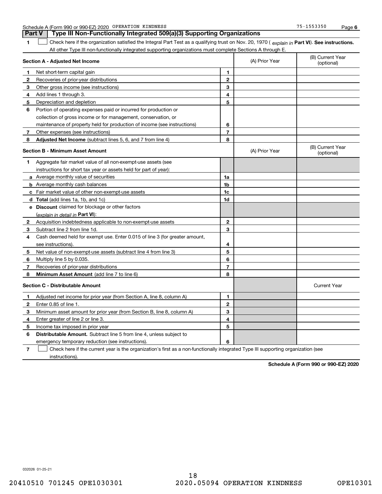|  | Schedule A (Form 990 or 990-EZ) 2020 | OPERATION KINDNESS |  | 1553350 | Page |  |
|--|--------------------------------------|--------------------|--|---------|------|--|
|--|--------------------------------------|--------------------|--|---------|------|--|

|              | Part V<br>Type III Non-Functionally Integrated 509(a)(3) Supporting Organizations                                                              |                |                |                                |
|--------------|------------------------------------------------------------------------------------------------------------------------------------------------|----------------|----------------|--------------------------------|
| 1.           | Check here if the organization satisfied the Integral Part Test as a qualifying trust on Nov. 20, 1970 (explain in Part VI). See instructions. |                |                |                                |
|              | All other Type III non-functionally integrated supporting organizations must complete Sections A through E.                                    |                |                |                                |
|              | Section A - Adjusted Net Income                                                                                                                |                | (A) Prior Year | (B) Current Year<br>(optional) |
| 1            | Net short-term capital gain                                                                                                                    | 1              |                |                                |
| $\mathbf{2}$ | Recoveries of prior-year distributions                                                                                                         | $\mathbf{2}$   |                |                                |
| 3            | Other gross income (see instructions)                                                                                                          | 3              |                |                                |
| 4            | Add lines 1 through 3.                                                                                                                         | 4              |                |                                |
| 5            | Depreciation and depletion                                                                                                                     | 5              |                |                                |
| 6            | Portion of operating expenses paid or incurred for production or                                                                               |                |                |                                |
|              | collection of gross income or for management, conservation, or                                                                                 |                |                |                                |
|              | maintenance of property held for production of income (see instructions)                                                                       | 6              |                |                                |
| 7            | Other expenses (see instructions)                                                                                                              | $\overline{7}$ |                |                                |
| 8            | <b>Adjusted Net Income</b> (subtract lines 5, 6, and 7 from line 4)                                                                            | 8              |                |                                |
|              | <b>Section B - Minimum Asset Amount</b>                                                                                                        |                | (A) Prior Year | (B) Current Year<br>(optional) |
| 1            | Aggregate fair market value of all non-exempt-use assets (see                                                                                  |                |                |                                |
|              | instructions for short tax year or assets held for part of year):                                                                              |                |                |                                |
|              | a Average monthly value of securities                                                                                                          | 1a             |                |                                |
|              | <b>b</b> Average monthly cash balances                                                                                                         | 1 <sub>b</sub> |                |                                |
|              | c Fair market value of other non-exempt-use assets                                                                                             | 1 <sub>c</sub> |                |                                |
|              | d Total (add lines 1a, 1b, and 1c)                                                                                                             | 1d             |                |                                |
|              | <b>e</b> Discount claimed for blockage or other factors                                                                                        |                |                |                                |
|              | (explain in detail in Part VI):                                                                                                                |                |                |                                |
| $\mathbf{2}$ | Acquisition indebtedness applicable to non-exempt-use assets                                                                                   | $\overline{2}$ |                |                                |
| 3            | Subtract line 2 from line 1d.                                                                                                                  | 3              |                |                                |
| 4            | Cash deemed held for exempt use. Enter 0.015 of line 3 (for greater amount,                                                                    |                |                |                                |
|              | see instructions).                                                                                                                             | 4              |                |                                |
| 5            | Net value of non-exempt-use assets (subtract line 4 from line 3)                                                                               | 5              |                |                                |
| 6            | Multiply line 5 by 0.035.                                                                                                                      | 6              |                |                                |
| 7            | Recoveries of prior-year distributions                                                                                                         | $\overline{7}$ |                |                                |
| 8            | Minimum Asset Amount (add line 7 to line 6)                                                                                                    | 8              |                |                                |
|              | <b>Section C - Distributable Amount</b>                                                                                                        |                |                | <b>Current Year</b>            |
| 1            | Adjusted net income for prior year (from Section A, line 8, column A)                                                                          | 1              |                |                                |
| $\mathbf{2}$ | Enter 0.85 of line 1.                                                                                                                          | $\overline{2}$ |                |                                |
| 3            | Minimum asset amount for prior year (from Section B, line 8, column A)                                                                         | 3              |                |                                |
| 4            | Enter greater of line 2 or line 3.                                                                                                             | 4              |                |                                |
| 5            | Income tax imposed in prior year                                                                                                               | 5              |                |                                |
| 6            | <b>Distributable Amount.</b> Subtract line 5 from line 4, unless subject to                                                                    |                |                |                                |
|              | emergency temporary reduction (see instructions).                                                                                              | 6              |                |                                |

**7**Check here if the current year is the organization's first as a non-functionally integrated Type III supporting organization (see instructions).

**Schedule A (Form 990 or 990-EZ) 2020**

032026 01-25-21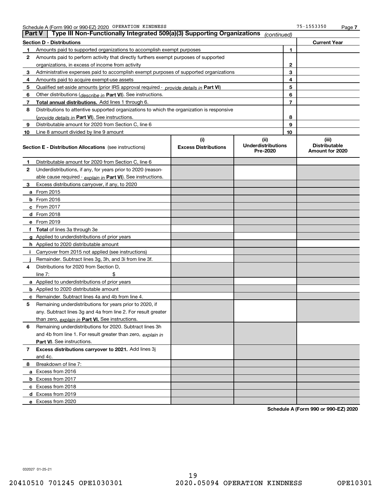|    | Type III Non-Functionally Integrated 509(a)(3) Supporting Organizations<br><b>Part V</b><br>(continued) |                             |                                       |                                         |  |  |
|----|---------------------------------------------------------------------------------------------------------|-----------------------------|---------------------------------------|-----------------------------------------|--|--|
|    | <b>Section D - Distributions</b>                                                                        |                             |                                       | <b>Current Year</b>                     |  |  |
| 1  | Amounts paid to supported organizations to accomplish exempt purposes                                   |                             |                                       | 1                                       |  |  |
| 2  | Amounts paid to perform activity that directly furthers exempt purposes of supported                    |                             |                                       |                                         |  |  |
|    | organizations, in excess of income from activity                                                        |                             |                                       | $\mathbf{2}$                            |  |  |
| 3  | Administrative expenses paid to accomplish exempt purposes of supported organizations                   |                             |                                       | 3                                       |  |  |
| 4  | Amounts paid to acquire exempt-use assets                                                               |                             |                                       | 4                                       |  |  |
| 5  | Qualified set-aside amounts (prior IRS approval required - provide details in Part VI)                  |                             |                                       | 5                                       |  |  |
| 6  | Other distributions ( <i>describe in</i> Part VI). See instructions.                                    |                             |                                       | 6                                       |  |  |
| 7  | Total annual distributions. Add lines 1 through 6.                                                      |                             |                                       | $\overline{7}$                          |  |  |
| 8  | Distributions to attentive supported organizations to which the organization is responsive              |                             |                                       |                                         |  |  |
|    | (provide details in Part VI). See instructions.                                                         |                             |                                       | 8                                       |  |  |
| 9  | Distributable amount for 2020 from Section C, line 6                                                    |                             |                                       | 9                                       |  |  |
| 10 | Line 8 amount divided by line 9 amount                                                                  |                             | 10                                    |                                         |  |  |
|    |                                                                                                         | (i)                         | (ii)                                  | (iii)                                   |  |  |
|    | <b>Section E - Distribution Allocations</b> (see instructions)                                          | <b>Excess Distributions</b> | <b>Underdistributions</b><br>Pre-2020 | <b>Distributable</b><br>Amount for 2020 |  |  |
| 1  | Distributable amount for 2020 from Section C, line 6                                                    |                             |                                       |                                         |  |  |
| 2  | Underdistributions, if any, for years prior to 2020 (reason-                                            |                             |                                       |                                         |  |  |
|    | able cause required - explain in Part VI). See instructions.                                            |                             |                                       |                                         |  |  |
| 3  | Excess distributions carryover, if any, to 2020                                                         |                             |                                       |                                         |  |  |
|    | a From 2015                                                                                             |                             |                                       |                                         |  |  |
|    | <b>b</b> From 2016                                                                                      |                             |                                       |                                         |  |  |
|    | $c$ From 2017                                                                                           |                             |                                       |                                         |  |  |
|    | d From 2018                                                                                             |                             |                                       |                                         |  |  |
|    | e From 2019                                                                                             |                             |                                       |                                         |  |  |
|    | f Total of lines 3a through 3e                                                                          |                             |                                       |                                         |  |  |
|    | g Applied to underdistributions of prior years                                                          |                             |                                       |                                         |  |  |
|    | <b>h</b> Applied to 2020 distributable amount                                                           |                             |                                       |                                         |  |  |
|    | Carryover from 2015 not applied (see instructions)                                                      |                             |                                       |                                         |  |  |
|    | Remainder. Subtract lines 3g, 3h, and 3i from line 3f.                                                  |                             |                                       |                                         |  |  |
| 4  | Distributions for 2020 from Section D,                                                                  |                             |                                       |                                         |  |  |
|    | line $7:$                                                                                               |                             |                                       |                                         |  |  |
|    | a Applied to underdistributions of prior years                                                          |                             |                                       |                                         |  |  |
|    | <b>b</b> Applied to 2020 distributable amount                                                           |                             |                                       |                                         |  |  |
|    | c Remainder. Subtract lines 4a and 4b from line 4.                                                      |                             |                                       |                                         |  |  |
| 5. | Remaining underdistributions for years prior to 2020, if                                                |                             |                                       |                                         |  |  |
|    | any. Subtract lines 3g and 4a from line 2. For result greater                                           |                             |                                       |                                         |  |  |
|    | than zero, explain in Part VI. See instructions.                                                        |                             |                                       |                                         |  |  |
| 6  | Remaining underdistributions for 2020. Subtract lines 3h                                                |                             |                                       |                                         |  |  |
|    | and 4b from line 1. For result greater than zero, explain in                                            |                             |                                       |                                         |  |  |
|    | Part VI. See instructions.                                                                              |                             |                                       |                                         |  |  |
| 7  | Excess distributions carryover to 2021. Add lines 3j                                                    |                             |                                       |                                         |  |  |
|    | and 4c.                                                                                                 |                             |                                       |                                         |  |  |
| 8  | Breakdown of line 7:                                                                                    |                             |                                       |                                         |  |  |
|    | a Excess from 2016                                                                                      |                             |                                       |                                         |  |  |
|    | <b>b</b> Excess from 2017                                                                               |                             |                                       |                                         |  |  |
|    | c Excess from 2018                                                                                      |                             |                                       |                                         |  |  |
|    | d Excess from 2019                                                                                      |                             |                                       |                                         |  |  |
|    | e Excess from 2020                                                                                      |                             |                                       |                                         |  |  |

**Schedule A (Form 990 or 990-EZ) 2020**

032027 01-25-21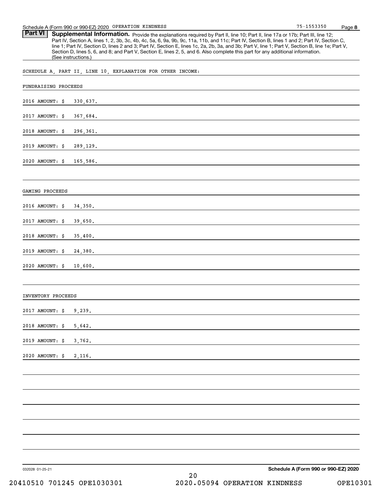Part VI | Supplemental Information. Provide the explanations required by Part II, line 10; Part II, line 17a or 17b; Part III, line 12; Part IV, Section A, lines 1, 2, 3b, 3c, 4b, 4c, 5a, 6, 9a, 9b, 9c, 11a, 11b, and 11c; Part IV, Section B, lines 1 and 2; Part IV, Section C, line 1; Part IV, Section D, lines 2 and 3; Part IV, Section E, lines 1c, 2a, 2b, 3a, and 3b; Part V, line 1; Part V, Section B, line 1e; Part V, Section D, lines 5, 6, and 8; and Part V, Section E, lines 2, 5, and 6. Also complete this part for any additional information. (See instructions.)

SCHEDULE A, PART II, LINE 10, EXPLANATION FOR OTHER INCOME:

| FUNDRAISING PROCEEDS                                                                                                                           |                                      |
|------------------------------------------------------------------------------------------------------------------------------------------------|--------------------------------------|
| $2016$ AMOUNT: \$ 330,637.                                                                                                                     |                                      |
| 2017 AMOUNT: \$ 367,684.                                                                                                                       |                                      |
| 2018 AMOUNT: \$296,361.                                                                                                                        |                                      |
| 2019 AMOUNT: \$289,129.                                                                                                                        |                                      |
| 2020 AMOUNT: \$ 165,586.                                                                                                                       |                                      |
|                                                                                                                                                |                                      |
| GAMING PROCEEDS                                                                                                                                |                                      |
| 2016 AMOUNT: \$ 34,350.                                                                                                                        |                                      |
| 2017 AMOUNT: \$ 39,650.                                                                                                                        |                                      |
| 2018 AMOUNT: \$ 35,400.                                                                                                                        |                                      |
| $2019$ AMOUNT: $\zeta$ 24,380.                                                                                                                 |                                      |
| $2020$ AMOUNT: \$ 10,600.                                                                                                                      |                                      |
|                                                                                                                                                |                                      |
| INVENTORY PROCEEDS                                                                                                                             |                                      |
| $2017$ AMOUNT: \$ 9,239.                                                                                                                       |                                      |
| $2018$ AMOUNT: $\zeta$ 5,642.                                                                                                                  |                                      |
| 2019 AMOUNT: \$ 3,762.<br><u> 1989 - Johann Stein, marwolaethau a bhann an t-Amhain Aonaich an t-Amhain Aonaich an t-Amhain Aonaich an t-A</u> |                                      |
| 2020 AMOUNT: \$2,116.                                                                                                                          |                                      |
|                                                                                                                                                |                                      |
|                                                                                                                                                |                                      |
|                                                                                                                                                |                                      |
|                                                                                                                                                |                                      |
|                                                                                                                                                |                                      |
|                                                                                                                                                |                                      |
|                                                                                                                                                |                                      |
| 032028 01-25-21                                                                                                                                | Schedule A (Form 990 or 990-EZ) 2020 |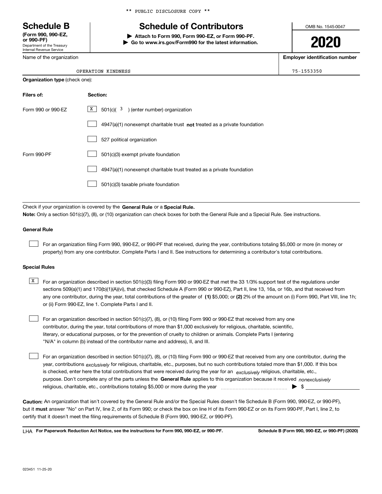Department of the Treasury Internal Revenue Service **(Form 990, 990-EZ, or 990-PF)**

Name of the organization

\*\* PUBLIC DISCLOSURE COPY \*\*

## **Schedule B Schedule of Contributors**

**| Attach to Form 990, Form 990-EZ, or Form 990-PF. | Go to www.irs.gov/Form990 for the latest information.** OMB No. 1545-0047

**2020**

**Employer identification number**

| OPERATION KINDNESS | 75-1553350 |
|--------------------|------------|

| <b>Organization type</b> (check one): |  |
|---------------------------------------|--|
|---------------------------------------|--|

| Filers of:         | Section:                                                                    |
|--------------------|-----------------------------------------------------------------------------|
| Form 990 or 990-EZ | X<br>$501(c)$ $3$ ) (enter number) organization                             |
|                    | $4947(a)(1)$ nonexempt charitable trust not treated as a private foundation |
|                    | 527 political organization                                                  |
| Form 990-PF        | 501(c)(3) exempt private foundation                                         |
|                    | 4947(a)(1) nonexempt charitable trust treated as a private foundation       |
|                    | 501(c)(3) taxable private foundation                                        |

Check if your organization is covered by the **General Rule** or a **Special Rule. Note:**  Only a section 501(c)(7), (8), or (10) organization can check boxes for both the General Rule and a Special Rule. See instructions.

### **General Rule**

 $\mathcal{L}^{\text{max}}$ 

For an organization filing Form 990, 990-EZ, or 990-PF that received, during the year, contributions totaling \$5,000 or more (in money or property) from any one contributor. Complete Parts I and II. See instructions for determining a contributor's total contributions.

#### **Special Rules**

any one contributor, during the year, total contributions of the greater of  $\,$  (1) \$5,000; or **(2)** 2% of the amount on (i) Form 990, Part VIII, line 1h;  $\overline{X}$  For an organization described in section 501(c)(3) filing Form 990 or 990-EZ that met the 33 1/3% support test of the regulations under sections 509(a)(1) and 170(b)(1)(A)(vi), that checked Schedule A (Form 990 or 990-EZ), Part II, line 13, 16a, or 16b, and that received from or (ii) Form 990-EZ, line 1. Complete Parts I and II.

For an organization described in section 501(c)(7), (8), or (10) filing Form 990 or 990-EZ that received from any one contributor, during the year, total contributions of more than \$1,000 exclusively for religious, charitable, scientific, literary, or educational purposes, or for the prevention of cruelty to children or animals. Complete Parts I (entering "N/A" in column (b) instead of the contributor name and address), II, and III.  $\mathcal{L}^{\text{max}}$ 

purpose. Don't complete any of the parts unless the **General Rule** applies to this organization because it received *nonexclusively* year, contributions <sub>exclusively</sub> for religious, charitable, etc., purposes, but no such contributions totaled more than \$1,000. If this box is checked, enter here the total contributions that were received during the year for an  $\;$ exclusively religious, charitable, etc., For an organization described in section 501(c)(7), (8), or (10) filing Form 990 or 990-EZ that received from any one contributor, during the religious, charitable, etc., contributions totaling \$5,000 or more during the year  $\Box$ — $\Box$   $\Box$  $\mathcal{L}^{\text{max}}$ 

**Caution:**  An organization that isn't covered by the General Rule and/or the Special Rules doesn't file Schedule B (Form 990, 990-EZ, or 990-PF),  **must** but it answer "No" on Part IV, line 2, of its Form 990; or check the box on line H of its Form 990-EZ or on its Form 990-PF, Part I, line 2, to certify that it doesn't meet the filing requirements of Schedule B (Form 990, 990-EZ, or 990-PF).

**For Paperwork Reduction Act Notice, see the instructions for Form 990, 990-EZ, or 990-PF. Schedule B (Form 990, 990-EZ, or 990-PF) (2020)** LHA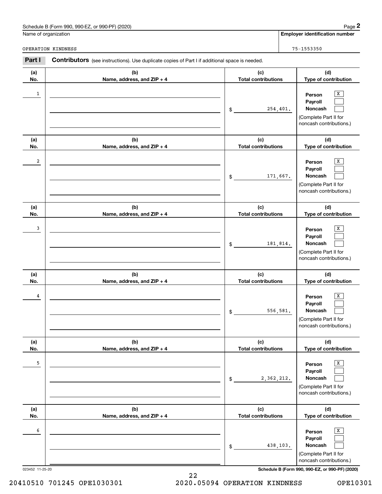| (2020)<br>. or 990-PF)<br>Schedule<br>990-EZ<br>3 (Form 990. | Page |
|--------------------------------------------------------------|------|
|--------------------------------------------------------------|------|

|                      | Schedule B (Form 990, 990-EZ, or 990-PF) (2020)                                                       |                                   | Page 2                                                                                                                                   |
|----------------------|-------------------------------------------------------------------------------------------------------|-----------------------------------|------------------------------------------------------------------------------------------------------------------------------------------|
| Name of organization |                                                                                                       |                                   | <b>Employer identification number</b>                                                                                                    |
|                      | OPERATION KINDNESS                                                                                    |                                   | 75-1553350                                                                                                                               |
| Part I               | <b>Contributors</b> (see instructions). Use duplicate copies of Part I if additional space is needed. |                                   |                                                                                                                                          |
| (a)<br>No.           | (b)<br>Name, address, and ZIP + 4                                                                     | (c)<br><b>Total contributions</b> | (d)<br>Type of contribution                                                                                                              |
| 1                    |                                                                                                       | 254,401.<br>\$                    | х<br>Person<br>Payroll<br>Noncash<br>(Complete Part II for<br>noncash contributions.)                                                    |
| (a)<br>No.           | (b)<br>Name, address, and ZIP + 4                                                                     | (c)<br><b>Total contributions</b> | (d)<br>Type of contribution                                                                                                              |
| 2                    |                                                                                                       | 171,667.<br>\$                    | х<br>Person<br>Payroll<br>Noncash<br>(Complete Part II for<br>noncash contributions.)                                                    |
| (a)<br>No.           | (b)<br>Name, address, and ZIP + 4                                                                     | (c)<br><b>Total contributions</b> | (d)<br>Type of contribution                                                                                                              |
| 3                    |                                                                                                       | 181,814.<br>\$                    | х<br>Person<br>Payroll<br>Noncash<br>(Complete Part II for<br>noncash contributions.)                                                    |
| (a)<br>No.           | (b)<br>Name, address, and ZIP + 4                                                                     | (c)<br><b>Total contributions</b> | (d)<br>Type of contribution                                                                                                              |
| 4                    |                                                                                                       | 556,581.<br>\$                    | х<br>Person<br>Payroll<br>Noncash<br>(Complete Part II for<br>noncash contributions.)                                                    |
| (a)<br>No.           | (b)<br>Name, address, and ZIP + 4                                                                     | (c)<br><b>Total contributions</b> | (d)<br>Type of contribution                                                                                                              |
| 5                    |                                                                                                       | 2, 362, 212.<br>\$                | X<br>Person<br>Payroll<br>Noncash<br>(Complete Part II for<br>noncash contributions.)                                                    |
| (a)<br>No.           | (b)<br>Name, address, and ZIP + 4                                                                     | (c)<br><b>Total contributions</b> | (d)<br>Type of contribution                                                                                                              |
| 6                    | 023452 11-25-20                                                                                       | 438,103.<br>\$                    | x<br>Person<br>Payroll<br>Noncash<br>(Complete Part II for<br>noncash contributions.)<br>Schedule B (Form 990, 990-EZ, or 990-PF) (2020) |

22 20410510 701245 OPE1030301 2020.05094 OPERATION KINDNESS OPE10301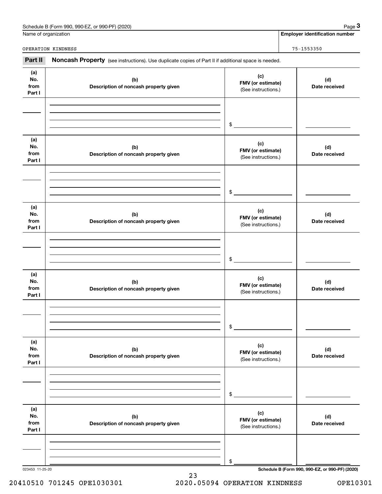| Schedule B (Form 990,<br>. or 990-PF) (2020)<br>990-EZ. | Page |
|---------------------------------------------------------|------|
|                                                         |      |

|                              | Schedule B (Form 990, 990-EZ, or 990-PF) (2020)                                                     |                                                                  | Page 3                                          |
|------------------------------|-----------------------------------------------------------------------------------------------------|------------------------------------------------------------------|-------------------------------------------------|
| Name of organization         |                                                                                                     |                                                                  | <b>Employer identification number</b>           |
|                              | OPERATION KINDNESS                                                                                  |                                                                  | 75-1553350                                      |
| Part II                      | Noncash Property (see instructions). Use duplicate copies of Part II if additional space is needed. |                                                                  |                                                 |
| (a)<br>No.<br>from<br>Part I | (b)<br>Description of noncash property given                                                        | (d)<br>FMV (or estimate)<br>Date received<br>(See instructions.) |                                                 |
|                              |                                                                                                     | \$                                                               |                                                 |
| (a)<br>No.<br>from<br>Part I | (b)<br>Description of noncash property given                                                        | (c)<br>FMV (or estimate)<br>(See instructions.)                  | (d)<br>Date received                            |
|                              |                                                                                                     | \$                                                               |                                                 |
| (a)<br>No.<br>from<br>Part I | (b)<br>Description of noncash property given                                                        | (c)<br>FMV (or estimate)<br>(See instructions.)                  | (d)<br>Date received                            |
|                              |                                                                                                     | \$                                                               |                                                 |
| (a)<br>No.<br>from<br>Part I | (b)<br>Description of noncash property given                                                        | (c)<br>FMV (or estimate)<br>(See instructions.)                  | (d)<br>Date received                            |
|                              |                                                                                                     | \$                                                               |                                                 |
| (a)<br>No.<br>from<br>Part I | (b)<br>Description of noncash property given                                                        | (c)<br>FMV (or estimate)<br>(See instructions.)                  | (d)<br>Date received                            |
|                              |                                                                                                     | \$                                                               |                                                 |
| (a)<br>No.<br>from<br>Part I | (b)<br>Description of noncash property given                                                        | (c)<br>FMV (or estimate)<br>(See instructions.)                  | (d)<br>Date received                            |
|                              |                                                                                                     | \$                                                               |                                                 |
| 023453 11-25-20              |                                                                                                     |                                                                  | Schedule B (Form 990, 990-EZ, or 990-PF) (2020) |

23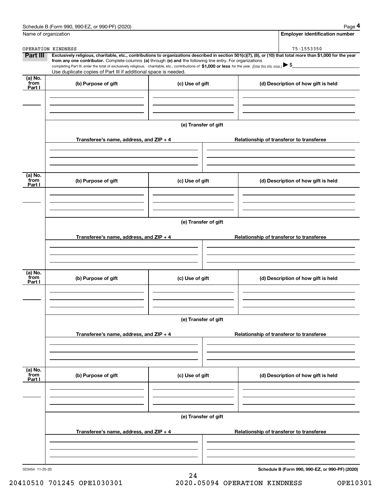| Employer identification number<br>Name of organization<br>OPERATION KINDNESS<br>75-1553350<br><b>Part III</b><br>Exclusively religious, charitable, etc., contributions to organizations described in section 501(c)(7), (8), or (10) that total more than \$1,000 for the year<br>from any one contributor. Complete columns (a) through (e) and the following line entry. For organizations<br>completing Part III, enter the total of exclusively religious, charitable, etc., contributions of \$1,000 or less for the year. (Enter this info. once.) \\$<br>Use duplicate copies of Part III if additional space is needed.<br>(a) No.<br>from<br>(b) Purpose of gift<br>(c) Use of gift<br>(d) Description of how gift is held<br>Part I<br>(e) Transfer of gift<br>Transferee's name, address, and ZIP + 4<br>Relationship of transferor to transferee<br>(a) No.<br>from<br>(b) Purpose of gift<br>(c) Use of gift<br>(d) Description of how gift is held<br>Part I | Page 4               |  |  |  |  |  |  |  |
|-----------------------------------------------------------------------------------------------------------------------------------------------------------------------------------------------------------------------------------------------------------------------------------------------------------------------------------------------------------------------------------------------------------------------------------------------------------------------------------------------------------------------------------------------------------------------------------------------------------------------------------------------------------------------------------------------------------------------------------------------------------------------------------------------------------------------------------------------------------------------------------------------------------------------------------------------------------------------------|----------------------|--|--|--|--|--|--|--|
|                                                                                                                                                                                                                                                                                                                                                                                                                                                                                                                                                                                                                                                                                                                                                                                                                                                                                                                                                                             |                      |  |  |  |  |  |  |  |
|                                                                                                                                                                                                                                                                                                                                                                                                                                                                                                                                                                                                                                                                                                                                                                                                                                                                                                                                                                             |                      |  |  |  |  |  |  |  |
|                                                                                                                                                                                                                                                                                                                                                                                                                                                                                                                                                                                                                                                                                                                                                                                                                                                                                                                                                                             |                      |  |  |  |  |  |  |  |
|                                                                                                                                                                                                                                                                                                                                                                                                                                                                                                                                                                                                                                                                                                                                                                                                                                                                                                                                                                             |                      |  |  |  |  |  |  |  |
|                                                                                                                                                                                                                                                                                                                                                                                                                                                                                                                                                                                                                                                                                                                                                                                                                                                                                                                                                                             |                      |  |  |  |  |  |  |  |
|                                                                                                                                                                                                                                                                                                                                                                                                                                                                                                                                                                                                                                                                                                                                                                                                                                                                                                                                                                             |                      |  |  |  |  |  |  |  |
|                                                                                                                                                                                                                                                                                                                                                                                                                                                                                                                                                                                                                                                                                                                                                                                                                                                                                                                                                                             |                      |  |  |  |  |  |  |  |
|                                                                                                                                                                                                                                                                                                                                                                                                                                                                                                                                                                                                                                                                                                                                                                                                                                                                                                                                                                             |                      |  |  |  |  |  |  |  |
|                                                                                                                                                                                                                                                                                                                                                                                                                                                                                                                                                                                                                                                                                                                                                                                                                                                                                                                                                                             |                      |  |  |  |  |  |  |  |
|                                                                                                                                                                                                                                                                                                                                                                                                                                                                                                                                                                                                                                                                                                                                                                                                                                                                                                                                                                             |                      |  |  |  |  |  |  |  |
|                                                                                                                                                                                                                                                                                                                                                                                                                                                                                                                                                                                                                                                                                                                                                                                                                                                                                                                                                                             |                      |  |  |  |  |  |  |  |
|                                                                                                                                                                                                                                                                                                                                                                                                                                                                                                                                                                                                                                                                                                                                                                                                                                                                                                                                                                             |                      |  |  |  |  |  |  |  |
|                                                                                                                                                                                                                                                                                                                                                                                                                                                                                                                                                                                                                                                                                                                                                                                                                                                                                                                                                                             |                      |  |  |  |  |  |  |  |
| Transferee's name, address, and ZIP + 4<br>Relationship of transferor to transferee                                                                                                                                                                                                                                                                                                                                                                                                                                                                                                                                                                                                                                                                                                                                                                                                                                                                                         | (e) Transfer of gift |  |  |  |  |  |  |  |
|                                                                                                                                                                                                                                                                                                                                                                                                                                                                                                                                                                                                                                                                                                                                                                                                                                                                                                                                                                             |                      |  |  |  |  |  |  |  |
| (a) No.                                                                                                                                                                                                                                                                                                                                                                                                                                                                                                                                                                                                                                                                                                                                                                                                                                                                                                                                                                     |                      |  |  |  |  |  |  |  |
| from<br>(b) Purpose of gift<br>(c) Use of gift<br>(d) Description of how gift is held<br>Part I                                                                                                                                                                                                                                                                                                                                                                                                                                                                                                                                                                                                                                                                                                                                                                                                                                                                             |                      |  |  |  |  |  |  |  |
|                                                                                                                                                                                                                                                                                                                                                                                                                                                                                                                                                                                                                                                                                                                                                                                                                                                                                                                                                                             |                      |  |  |  |  |  |  |  |
| (e) Transfer of gift                                                                                                                                                                                                                                                                                                                                                                                                                                                                                                                                                                                                                                                                                                                                                                                                                                                                                                                                                        |                      |  |  |  |  |  |  |  |
| Transferee's name, address, and $ZIP + 4$<br>Relationship of transferor to transferee                                                                                                                                                                                                                                                                                                                                                                                                                                                                                                                                                                                                                                                                                                                                                                                                                                                                                       |                      |  |  |  |  |  |  |  |
|                                                                                                                                                                                                                                                                                                                                                                                                                                                                                                                                                                                                                                                                                                                                                                                                                                                                                                                                                                             |                      |  |  |  |  |  |  |  |
| (a) No.<br>from<br>(b) Purpose of gift<br>(c) Use of gift<br>(d) Description of how gift is held<br>Part I                                                                                                                                                                                                                                                                                                                                                                                                                                                                                                                                                                                                                                                                                                                                                                                                                                                                  |                      |  |  |  |  |  |  |  |
|                                                                                                                                                                                                                                                                                                                                                                                                                                                                                                                                                                                                                                                                                                                                                                                                                                                                                                                                                                             |                      |  |  |  |  |  |  |  |
| (e) Transfer of gift                                                                                                                                                                                                                                                                                                                                                                                                                                                                                                                                                                                                                                                                                                                                                                                                                                                                                                                                                        |                      |  |  |  |  |  |  |  |
| Transferee's name, address, and ZIP + 4<br>Relationship of transferor to transferee                                                                                                                                                                                                                                                                                                                                                                                                                                                                                                                                                                                                                                                                                                                                                                                                                                                                                         |                      |  |  |  |  |  |  |  |
|                                                                                                                                                                                                                                                                                                                                                                                                                                                                                                                                                                                                                                                                                                                                                                                                                                                                                                                                                                             |                      |  |  |  |  |  |  |  |
| Schedule B (Form 990, 990-EZ, or 990-PF) (2020)<br>023454 11-25-20                                                                                                                                                                                                                                                                                                                                                                                                                                                                                                                                                                                                                                                                                                                                                                                                                                                                                                          |                      |  |  |  |  |  |  |  |

20410510 701245 OPE1030301 2020.05094 OPERATION KINDNESS OPE10301

24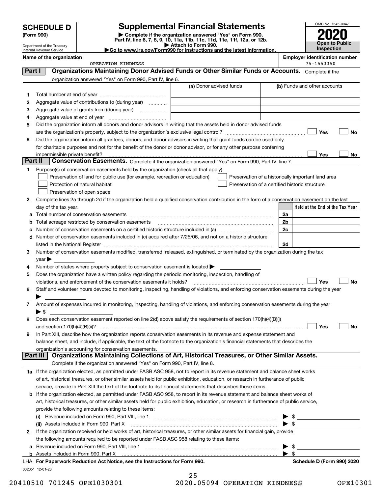| <b>SCHEDULE D</b> |  |
|-------------------|--|
|-------------------|--|

Department of the Treasury Internal Revenue Service

| (Form 990) |
|------------|
|            |

## **SCHEDULE D Supplemental Financial Statements**

(Form 990)<br>
Pepartment of the Treasury<br>
Department of the Treasury<br>
Department of the Treasury<br>
Department of the Treasury<br> **Co to www.irs.gov/Form990 for instructions and the latest information.**<br> **Co to www.irs.gov/Form9** 



| Name of the organization |  |  |
|--------------------------|--|--|

**Name of the organization Employer identification number**

|         | ivallie of the organization.<br>OPERATION KINDNESS                                                                                                                                                                                             | Employer luentilication number<br>75-1553350       |
|---------|------------------------------------------------------------------------------------------------------------------------------------------------------------------------------------------------------------------------------------------------|----------------------------------------------------|
| Part I  | Organizations Maintaining Donor Advised Funds or Other Similar Funds or Accounts. Complete if the                                                                                                                                              |                                                    |
|         | organization answered "Yes" on Form 990, Part IV, line 6.                                                                                                                                                                                      |                                                    |
|         | (a) Donor advised funds                                                                                                                                                                                                                        | (b) Funds and other accounts                       |
| 1.      |                                                                                                                                                                                                                                                |                                                    |
| 2       | Aggregate value of contributions to (during year)                                                                                                                                                                                              |                                                    |
| з       | Aggregate value of grants from (during year)                                                                                                                                                                                                   |                                                    |
| 4       |                                                                                                                                                                                                                                                |                                                    |
| 5       | Did the organization inform all donors and donor advisors in writing that the assets held in donor advised funds                                                                                                                               |                                                    |
|         | are the organization's property, subject to the organization's exclusive legal control?                                                                                                                                                        | Yes<br>No                                          |
| 6       | Did the organization inform all grantees, donors, and donor advisors in writing that grant funds can be used only                                                                                                                              |                                                    |
|         | for charitable purposes and not for the benefit of the donor or donor advisor, or for any other purpose conferring                                                                                                                             |                                                    |
|         | impermissible private benefit?                                                                                                                                                                                                                 | Yes<br>No                                          |
| Part II | Conservation Easements. Complete if the organization answered "Yes" on Form 990, Part IV, line 7.                                                                                                                                              |                                                    |
| 1       | Purpose(s) of conservation easements held by the organization (check all that apply).                                                                                                                                                          |                                                    |
|         | Preservation of land for public use (for example, recreation or education)                                                                                                                                                                     | Preservation of a historically important land area |
|         | Protection of natural habitat                                                                                                                                                                                                                  | Preservation of a certified historic structure     |
|         | Preservation of open space                                                                                                                                                                                                                     |                                                    |
| 2       | Complete lines 2a through 2d if the organization held a qualified conservation contribution in the form of a conservation easement on the last                                                                                                 |                                                    |
|         | day of the tax year.                                                                                                                                                                                                                           | Held at the End of the Tax Year                    |
| a       | Total number of conservation easements                                                                                                                                                                                                         | 2a                                                 |
| b       | Total acreage restricted by conservation easements                                                                                                                                                                                             | 2b                                                 |
| c       | Number of conservation easements on a certified historic structure included in (a) manufacture included in (a)                                                                                                                                 | 2c                                                 |
| d       | Number of conservation easements included in (c) acquired after 7/25/06, and not on a historic structure                                                                                                                                       |                                                    |
|         | listed in the National Register [111] Marshall Register [11] Marshall Register [11] Marshall Register [11] Marshall Register [11] Marshall Register [11] Marshall Register [11] Marshall Register [11] Marshall Register [11]                  | 2d                                                 |
| 3.      | Number of conservation easements modified, transferred, released, extinguished, or terminated by the organization during the tax                                                                                                               |                                                    |
| 4       | $year \triangleright$<br>Number of states where property subject to conservation easement is located                                                                                                                                           |                                                    |
| 5       | Does the organization have a written policy regarding the periodic monitoring, inspection, handling of                                                                                                                                         |                                                    |
|         | violations, and enforcement of the conservation easements it holds?                                                                                                                                                                            | Yes<br><b>No</b>                                   |
| 6       | Staff and volunteer hours devoted to monitoring, inspecting, handling of violations, and enforcing conservation easements during the year                                                                                                      |                                                    |
|         |                                                                                                                                                                                                                                                |                                                    |
| 7       | Amount of expenses incurred in monitoring, inspecting, handling of violations, and enforcing conservation easements during the year                                                                                                            |                                                    |
|         | $\blacktriangleright$ \$                                                                                                                                                                                                                       |                                                    |
| 8       | Does each conservation easement reported on line 2(d) above satisfy the requirements of section 170(h)(4)(B)(i)                                                                                                                                |                                                    |
|         |                                                                                                                                                                                                                                                | Yes<br>No                                          |
| 9       | In Part XIII, describe how the organization reports conservation easements in its revenue and expense statement and                                                                                                                            |                                                    |
|         | balance sheet, and include, if applicable, the text of the footnote to the organization's financial statements that describes the                                                                                                              |                                                    |
|         | organization's accounting for conservation easements.                                                                                                                                                                                          |                                                    |
|         | Organizations Maintaining Collections of Art, Historical Treasures, or Other Similar Assets.<br>Part III                                                                                                                                       |                                                    |
|         | Complete if the organization answered "Yes" on Form 990, Part IV, line 8.                                                                                                                                                                      |                                                    |
|         | 1a If the organization elected, as permitted under FASB ASC 958, not to report in its revenue statement and balance sheet works                                                                                                                |                                                    |
|         | of art, historical treasures, or other similar assets held for public exhibition, education, or research in furtherance of public                                                                                                              |                                                    |
|         | service, provide in Part XIII the text of the footnote to its financial statements that describes these items.                                                                                                                                 |                                                    |
| b       | If the organization elected, as permitted under FASB ASC 958, to report in its revenue statement and balance sheet works of                                                                                                                    |                                                    |
|         | art, historical treasures, or other similar assets held for public exhibition, education, or research in furtherance of public service,                                                                                                        |                                                    |
|         | provide the following amounts relating to these items:                                                                                                                                                                                         |                                                    |
|         |                                                                                                                                                                                                                                                | $\blacktriangleright$ \$                           |
|         | (ii) Assets included in Form 990, Part X [11] [2000] [2010] Assets included in Form 990, Part X [11] [11] [200<br>If the organization received or held works of art, historical treasures, or other similar assets for financial gain, provide | $\triangleright$ \$                                |
| 2       | the following amounts required to be reported under FASB ASC 958 relating to these items:                                                                                                                                                      |                                                    |
| а       |                                                                                                                                                                                                                                                |                                                    |
|         |                                                                                                                                                                                                                                                | $\frac{1}{2}$<br>$\blacktriangleright$ s           |
|         | LHA For Paperwork Reduction Act Notice, see the Instructions for Form 990.                                                                                                                                                                     | Schedule D (Form 990) 2020                         |

032051 12-01-20

| 25 |                       |  |
|----|-----------------------|--|
|    | 120.05094 OPERATION K |  |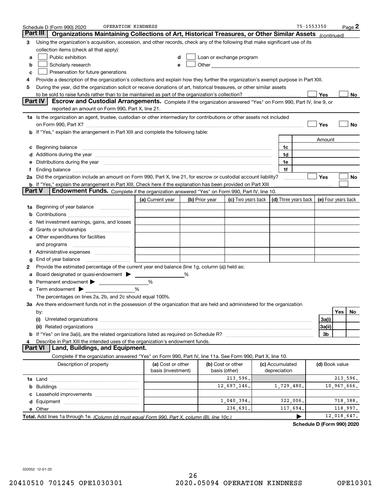|    | OPERATION KINDNESS<br>Schedule D (Form 990) 2020                                                                                                                                                                               |                    |                |                                                                                                                                                                                                                               |                    |                      | 75-1553350 |                     |             | Page 2 |
|----|--------------------------------------------------------------------------------------------------------------------------------------------------------------------------------------------------------------------------------|--------------------|----------------|-------------------------------------------------------------------------------------------------------------------------------------------------------------------------------------------------------------------------------|--------------------|----------------------|------------|---------------------|-------------|--------|
|    | Part III<br>Organizations Maintaining Collections of Art, Historical Treasures, or Other Similar Assets (continued)                                                                                                            |                    |                |                                                                                                                                                                                                                               |                    |                      |            |                     |             |        |
| 3  | Using the organization's acquisition, accession, and other records, check any of the following that make significant use of its                                                                                                |                    |                |                                                                                                                                                                                                                               |                    |                      |            |                     |             |        |
|    | collection items (check all that apply):                                                                                                                                                                                       |                    |                |                                                                                                                                                                                                                               |                    |                      |            |                     |             |        |
| a  | Public exhibition                                                                                                                                                                                                              |                    |                | Loan or exchange program                                                                                                                                                                                                      |                    |                      |            |                     |             |        |
| b  | Scholarly research                                                                                                                                                                                                             |                    |                | Other and the contract of the contract of the contract of the contract of the contract of the contract of the contract of the contract of the contract of the contract of the contract of the contract of the contract of the |                    |                      |            |                     |             |        |
| с  | Preservation for future generations                                                                                                                                                                                            |                    |                |                                                                                                                                                                                                                               |                    |                      |            |                     |             |        |
| 4  | Provide a description of the organization's collections and explain how they further the organization's exempt purpose in Part XIII.                                                                                           |                    |                |                                                                                                                                                                                                                               |                    |                      |            |                     |             |        |
| 5  | During the year, did the organization solicit or receive donations of art, historical treasures, or other similar assets                                                                                                       |                    |                |                                                                                                                                                                                                                               |                    |                      |            |                     |             |        |
|    | to be sold to raise funds rather than to be maintained as part of the organization's collection?                                                                                                                               |                    |                |                                                                                                                                                                                                                               |                    |                      |            | Yes                 |             | No     |
|    | Escrow and Custodial Arrangements. Complete if the organization answered "Yes" on Form 990, Part IV, line 9, or<br><b>Part IV</b>                                                                                              |                    |                |                                                                                                                                                                                                                               |                    |                      |            |                     |             |        |
|    | reported an amount on Form 990, Part X, line 21.                                                                                                                                                                               |                    |                |                                                                                                                                                                                                                               |                    |                      |            |                     |             |        |
|    | 1a Is the organization an agent, trustee, custodian or other intermediary for contributions or other assets not included                                                                                                       |                    |                |                                                                                                                                                                                                                               |                    |                      |            |                     |             |        |
|    | on Form 990, Part X? <b>Entitled Strategie Control</b> and Terms and Terms and Terms and Terms and Terms and Terms and                                                                                                         |                    |                |                                                                                                                                                                                                                               |                    |                      |            | Yes                 |             | No     |
| b  | If "Yes," explain the arrangement in Part XIII and complete the following table:                                                                                                                                               |                    |                |                                                                                                                                                                                                                               |                    |                      |            |                     |             |        |
|    |                                                                                                                                                                                                                                |                    |                |                                                                                                                                                                                                                               |                    |                      |            | Amount              |             |        |
| с  |                                                                                                                                                                                                                                |                    |                |                                                                                                                                                                                                                               |                    | 1c                   |            |                     |             |        |
|    | Additions during the year manufactured and an account of the year manufactured and account of the year manufactured and account of the state of the state of the state of the state of the state of the state of the state of  |                    |                |                                                                                                                                                                                                                               |                    | 1d                   |            |                     |             |        |
| е  | Distributions during the year manufactured and content to the year manufactured and the year manufactured and the year manufactured and the year manufactured and the year manufactured and the year manufactured and the year |                    |                |                                                                                                                                                                                                                               |                    | 1e                   |            |                     |             |        |
| Ť. |                                                                                                                                                                                                                                |                    |                |                                                                                                                                                                                                                               |                    | 1f                   |            |                     |             |        |
|    | 2a Did the organization include an amount on Form 990, Part X, line 21, for escrow or custodial account liability?                                                                                                             |                    |                |                                                                                                                                                                                                                               |                    | .                    |            | Yes                 |             | No     |
|    | <b>b</b> If "Yes," explain the arrangement in Part XIII. Check here if the explanation has been provided on Part XIII<br>Part V                                                                                                |                    |                |                                                                                                                                                                                                                               |                    |                      |            |                     |             |        |
|    | Endowment Funds. Complete if the organization answered "Yes" on Form 990, Part IV, line 10.                                                                                                                                    |                    |                |                                                                                                                                                                                                                               |                    |                      |            |                     |             |        |
|    |                                                                                                                                                                                                                                | (a) Current year   | (b) Prior year |                                                                                                                                                                                                                               | (c) Two years back | (d) Three years back |            | (e) Four years back |             |        |
| 1a | Beginning of year balance                                                                                                                                                                                                      |                    |                |                                                                                                                                                                                                                               |                    |                      |            |                     |             |        |
| b  |                                                                                                                                                                                                                                |                    |                |                                                                                                                                                                                                                               |                    |                      |            |                     |             |        |
|    | Net investment earnings, gains, and losses                                                                                                                                                                                     |                    |                |                                                                                                                                                                                                                               |                    |                      |            |                     |             |        |
| a  |                                                                                                                                                                                                                                |                    |                |                                                                                                                                                                                                                               |                    |                      |            |                     |             |        |
| е  | Other expenditures for facilities                                                                                                                                                                                              |                    |                |                                                                                                                                                                                                                               |                    |                      |            |                     |             |        |
|    | and programs                                                                                                                                                                                                                   |                    |                |                                                                                                                                                                                                                               |                    |                      |            |                     |             |        |
|    |                                                                                                                                                                                                                                |                    |                |                                                                                                                                                                                                                               |                    |                      |            |                     |             |        |
| g  | End of year balance<br>Provide the estimated percentage of the current year end balance (line 1g, column (a)) held as:                                                                                                         |                    |                |                                                                                                                                                                                                                               |                    |                      |            |                     |             |        |
| 2  | Board designated or quasi-endowment                                                                                                                                                                                            |                    | %              |                                                                                                                                                                                                                               |                    |                      |            |                     |             |        |
| а  | Permanent endowment > <u>example</u>                                                                                                                                                                                           | %                  |                |                                                                                                                                                                                                                               |                    |                      |            |                     |             |        |
|    | Term endowment $\blacktriangleright$                                                                                                                                                                                           | %                  |                |                                                                                                                                                                                                                               |                    |                      |            |                     |             |        |
| с  | The percentages on lines 2a, 2b, and 2c should equal 100%.                                                                                                                                                                     |                    |                |                                                                                                                                                                                                                               |                    |                      |            |                     |             |        |
|    | 3a Are there endowment funds not in the possession of the organization that are held and administered for the organization                                                                                                     |                    |                |                                                                                                                                                                                                                               |                    |                      |            |                     |             |        |
|    | by:                                                                                                                                                                                                                            |                    |                |                                                                                                                                                                                                                               |                    |                      |            |                     | Yes         | No.    |
|    | (i)                                                                                                                                                                                                                            |                    |                |                                                                                                                                                                                                                               |                    |                      |            | 3a(i)               |             |        |
|    |                                                                                                                                                                                                                                |                    |                |                                                                                                                                                                                                                               |                    |                      |            | 3a(ii)              |             |        |
|    |                                                                                                                                                                                                                                |                    |                |                                                                                                                                                                                                                               |                    |                      |            | 3b                  |             |        |
|    | Describe in Part XIII the intended uses of the organization's endowment funds.                                                                                                                                                 |                    |                |                                                                                                                                                                                                                               |                    |                      |            |                     |             |        |
|    | Land, Buildings, and Equipment.<br><b>Part VI</b>                                                                                                                                                                              |                    |                |                                                                                                                                                                                                                               |                    |                      |            |                     |             |        |
|    | Complete if the organization answered "Yes" on Form 990, Part IV, line 11a. See Form 990, Part X, line 10.                                                                                                                     |                    |                |                                                                                                                                                                                                                               |                    |                      |            |                     |             |        |
|    | Description of property                                                                                                                                                                                                        | (a) Cost or other  |                | (b) Cost or other                                                                                                                                                                                                             |                    | (c) Accumulated      |            | (d) Book value      |             |        |
|    |                                                                                                                                                                                                                                | basis (investment) |                | basis (other)                                                                                                                                                                                                                 |                    | depreciation         |            |                     |             |        |
|    |                                                                                                                                                                                                                                |                    |                | 213,596.                                                                                                                                                                                                                      |                    |                      |            |                     | 213,596.    |        |
| b  |                                                                                                                                                                                                                                |                    |                | 12,697,146.                                                                                                                                                                                                                   |                    | 1,729,480.           |            |                     | 10,967,666. |        |
|    | Leasehold improvements                                                                                                                                                                                                         |                    |                |                                                                                                                                                                                                                               |                    |                      |            |                     |             |        |
|    |                                                                                                                                                                                                                                |                    |                | 1,040,394.                                                                                                                                                                                                                    |                    | 322,006.             |            |                     | 718,388.    |        |
|    |                                                                                                                                                                                                                                |                    |                | 236,691.                                                                                                                                                                                                                      |                    | 117,694.             |            |                     | 118,997.    |        |
|    |                                                                                                                                                                                                                                |                    |                |                                                                                                                                                                                                                               |                    |                      | ▶          |                     | 12,018,647. |        |

**Schedule D (Form 990) 2020**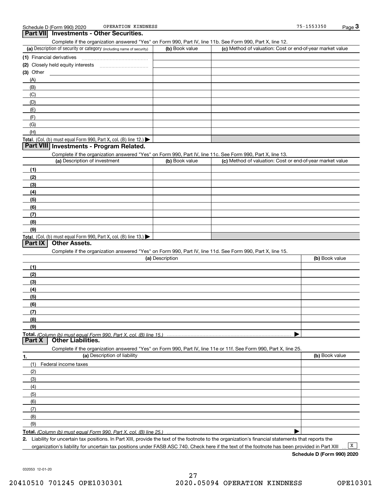### (a) Description of security or category (including name of security)  $\vert$  (b) Book value  $\vert$  (c) Total. (Col. (b) must equal Form 990, Part X, col. (B) line 12.) Total. (Col. (b) must equal Form 990, Part X, col. (B) line 13.) **(1)**Financial derivatives **(2)** Closely held equity interests **(3)** Other (a) Description of investment **b (b)** Book value **(1)(2) (3)(4) (5)(6)(7) (8)(9)(a) (b)**  Description**(1)(2) (3)(4)(5) (6)(7) (8)(9)Total.**  *(Column (b) must equal Form 990, Part X, col. (B) line 15.)* **1.(a)** Description of liability **Book value** Book value Book value Book value Book value **Total.**  *(Column (b) must equal Form 990, Part X, col. (B) line 25.)* Complete if the organization answered "Yes" on Form 990, Part IV, line 11b. See Form 990, Part X, line 12.  $(b)$  Book value  $\vert$  (c) Method of valuation: Cost or end-of-year market value ~~~~~~~~~~~~~~~(A)(B)(C)(D)(E)(F)(G)(H)Complete if the organization answered "Yes" on Form 990, Part IV, line 11c. See Form 990, Part X, line 13. (c) Method of valuation: Cost or end-of-year market value Complete if the organization answered "Yes" on Form 990, Part IV, line 11d. See Form 990, Part X, line 15. (b) Book value  $\blacktriangleright$ Complete if the organization answered "Yes" on Form 990, Part IV, line 11e or 11f. See Form 990, Part X, line 25. (1)Federal income taxes (2)(3)(4)(5)(6)(7)(8)(9) $\blacktriangleright$ **Part VII Investments - Other Securities. Part VIII Investments - Program Related. Part IX Other Assets. Part X Other Liabilities.**

**2.**Liability for uncertain tax positions. In Part XIII, provide the text of the footnote to the organization's financial statements that reports the organization's liability for uncertain tax positions under FASB ASC 740. Check here if the text of the footnote has been provided in Part XIII

**Schedule D (Form 990) 2020**

032053 12-01-20

 $\boxed{\mathbf{X}}$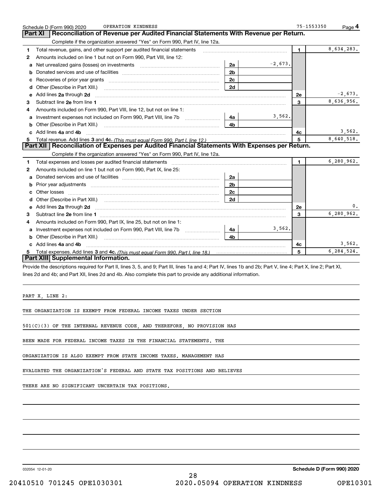|    | OPERATION KINDNESS<br>Schedule D (Form 990) 2020                                                                                                                                                                                                      | 75-1553350     | Page 4     |
|----|-------------------------------------------------------------------------------------------------------------------------------------------------------------------------------------------------------------------------------------------------------|----------------|------------|
|    | Reconciliation of Revenue per Audited Financial Statements With Revenue per Return.<br><b>Part XI</b>                                                                                                                                                 |                |            |
|    | Complete if the organization answered "Yes" on Form 990, Part IV, line 12a.                                                                                                                                                                           |                |            |
| 1  | Total revenue, gains, and other support per audited financial statements                                                                                                                                                                              | $\mathbf{1}$   | 8,634,283. |
| 2  | Amounts included on line 1 but not on Form 990, Part VIII, line 12:                                                                                                                                                                                   |                |            |
| a  | $-2,673.$<br>Net unrealized gains (losses) on investments [11] matter contracts and the unrealized gains (losses) on investments<br>2a                                                                                                                |                |            |
| b  | 2 <sub>b</sub>                                                                                                                                                                                                                                        |                |            |
| c  | 2c<br>Recoveries of prior year grants [11] matter contracts and prior year grants [11] matter contracts and prior year grants and all the contracts and all the contracts of prior year.                                                              |                |            |
| d  | 2d<br>Other (Describe in Part XIII.)                                                                                                                                                                                                                  |                |            |
| e  |                                                                                                                                                                                                                                                       | <b>2e</b>      | $-2,673.$  |
| 3  |                                                                                                                                                                                                                                                       | 3              | 8,636,956. |
| 4  | Amounts included on Form 990, Part VIII, line 12, but not on line 1:                                                                                                                                                                                  |                |            |
| a  | 3,562.<br>Investment expenses not included on Form 990, Part VIII, line 7b [100] [100] [100] [100] [100] [100] [100] [10<br>4a                                                                                                                        |                |            |
| b  | 4 <sub>b</sub><br>Other (Describe in Part XIII.) <b>Construction Contract Construction</b> Chemistry Chemistry Chemistry Chemistry Chemistry Chemistry Chemistry Chemistry Chemistry Chemistry Chemistry Chemistry Chemistry Chemistry Chemistry Chem |                |            |
| C. | Add lines 4a and 4b                                                                                                                                                                                                                                   | 4с             | 3,562.     |
| 5  |                                                                                                                                                                                                                                                       | 5              | 8,640,518. |
|    | Part XII   Reconciliation of Expenses per Audited Financial Statements With Expenses per Return.                                                                                                                                                      |                |            |
|    | Complete if the organization answered "Yes" on Form 990, Part IV, line 12a.                                                                                                                                                                           |                |            |
| 1  | Total expenses and losses per audited financial statements [11, 11] material expenses and losses per audited financial statements [11, 11] materials and the statements and the statements and the statements and the statemen                        | $\blacksquare$ | 6,280,962. |
| 2  | Amounts included on line 1 but not on Form 990, Part IX, line 25:                                                                                                                                                                                     |                |            |
| a  | 2a                                                                                                                                                                                                                                                    |                |            |
| b  | 2b                                                                                                                                                                                                                                                    |                |            |
| C. | 2c                                                                                                                                                                                                                                                    |                |            |
|    | 2d                                                                                                                                                                                                                                                    |                |            |
|    |                                                                                                                                                                                                                                                       | 2e             | 0.         |
| 3  |                                                                                                                                                                                                                                                       | 3              | 6,280,962. |
| 4  | Amounts included on Form 990, Part IX, line 25, but not on line 1:                                                                                                                                                                                    |                |            |
| a  | 3,562.<br>Investment expenses not included on Form 990, Part VIII, line 7b [1000000000000000000000000000000000<br>4a                                                                                                                                  |                |            |
| b  | Other (Describe in Part XIII.) <b>Construction Contract Construction</b> Chemistry Chemistry Chemistry Chemistry Chemistry<br>4b.                                                                                                                     |                |            |
|    | Add lines 4a and 4b                                                                                                                                                                                                                                   | 4с             | 3,562.     |
| 5  |                                                                                                                                                                                                                                                       | 5              | 6,284,524. |
|    | Part XIII Supplemental Information.                                                                                                                                                                                                                   |                |            |

Provide the descriptions required for Part II, lines 3, 5, and 9; Part III, lines 1a and 4; Part IV, lines 1b and 2b; Part V, line 4; Part X, line 2; Part XI, lines 2d and 4b; and Part XII, lines 2d and 4b. Also complete this part to provide any additional information.

PART X, LINE 2:

THE ORGANIZATION IS EXEMPT FROM FEDERAL INCOME TAXES UNDER SECTION

501(C)(3) OF THE INTERNAL REVENUE CODE, AND THEREFORE, NO PROVISION HAS

BEEN MADE FOR FEDERAL INCOME TAXES IN THE FINANCIAL STATEMENTS. THE

ORGANIZATION IS ALSO EXEMPT FROM STATE INCOME TAXES. MANAGEMENT HAS

EVALUATED THE ORGANIZATION'S FEDERAL AND STATE TAX POSITIONS AND BELIEVES

THERE ARE NO SIGNIFICANT UNCERTAIN TAX POSITIONS.

032054 12-01-20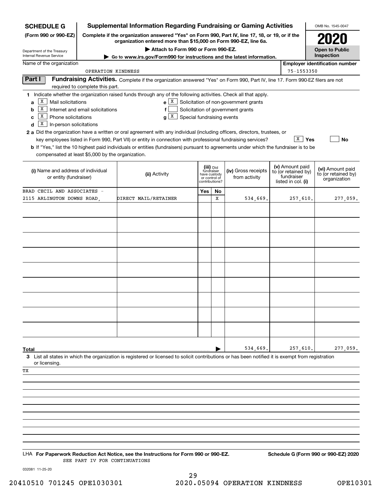| <b>SCHEDULE G</b>                                            |                                                                                                                                                                     | <b>Supplemental Information Regarding Fundraising or Gaming Activities</b>                                                                                                                                                                |                                             |    |                                              |  |                                   | OMB No. 1545-0047                     |
|--------------------------------------------------------------|---------------------------------------------------------------------------------------------------------------------------------------------------------------------|-------------------------------------------------------------------------------------------------------------------------------------------------------------------------------------------------------------------------------------------|---------------------------------------------|----|----------------------------------------------|--|-----------------------------------|---------------------------------------|
| (Form 990 or 990-EZ)                                         | Complete if the organization answered "Yes" on Form 990, Part IV, line 17, 18, or 19, or if the<br>organization entered more than \$15,000 on Form 990-EZ, line 6a. |                                                                                                                                                                                                                                           |                                             |    |                                              |  | <b>ZUZU</b>                       |                                       |
| Department of the Treasury<br>Internal Revenue Service       |                                                                                                                                                                     | Attach to Form 990 or Form 990-EZ.                                                                                                                                                                                                        |                                             |    |                                              |  |                                   | <b>Open to Public</b><br>Inspection   |
| Name of the organization                                     |                                                                                                                                                                     | Go to www.irs.gov/Form990 for instructions and the latest information.                                                                                                                                                                    |                                             |    |                                              |  |                                   | <b>Employer identification number</b> |
|                                                              | OPERATION KINDNESS                                                                                                                                                  |                                                                                                                                                                                                                                           |                                             |    |                                              |  | 75-1553350                        |                                       |
| Part I                                                       |                                                                                                                                                                     | Fundraising Activities. Complete if the organization answered "Yes" on Form 990, Part IV, line 17. Form 990-EZ filers are not                                                                                                             |                                             |    |                                              |  |                                   |                                       |
|                                                              | required to complete this part.                                                                                                                                     | 1 Indicate whether the organization raised funds through any of the following activities. Check all that apply.                                                                                                                           |                                             |    |                                              |  |                                   |                                       |
| х<br>Mail solicitations<br>a                                 |                                                                                                                                                                     |                                                                                                                                                                                                                                           |                                             |    | $e[X]$ Solicitation of non-government grants |  |                                   |                                       |
| $\mathbf{X}$<br>b                                            | Internet and email solicitations                                                                                                                                    | f                                                                                                                                                                                                                                         |                                             |    | Solicitation of government grants            |  |                                   |                                       |
| x<br>Phone solicitations<br>c                                |                                                                                                                                                                     | $g\left[\begin{array}{c} x \\ y \end{array}\right]$ Special fundraising events                                                                                                                                                            |                                             |    |                                              |  |                                   |                                       |
| x<br>In-person solicitations<br>d                            |                                                                                                                                                                     |                                                                                                                                                                                                                                           |                                             |    |                                              |  |                                   |                                       |
|                                                              |                                                                                                                                                                     | 2 a Did the organization have a written or oral agreement with any individual (including officers, directors, trustees, or<br>key employees listed in Form 990, Part VII) or entity in connection with professional fundraising services? |                                             |    |                                              |  | $\overline{X}$ Yes                | No                                    |
|                                                              |                                                                                                                                                                     | b If "Yes," list the 10 highest paid individuals or entities (fundraisers) pursuant to agreements under which the fundraiser is to be                                                                                                     |                                             |    |                                              |  |                                   |                                       |
| compensated at least \$5,000 by the organization.            |                                                                                                                                                                     |                                                                                                                                                                                                                                           |                                             |    |                                              |  |                                   |                                       |
|                                                              |                                                                                                                                                                     |                                                                                                                                                                                                                                           | (iii) Did                                   |    |                                              |  | (v) Amount paid                   | (vi) Amount paid                      |
| (i) Name and address of individual<br>or entity (fundraiser) |                                                                                                                                                                     | (ii) Activity                                                                                                                                                                                                                             | fundraiser<br>have custody<br>or control of |    | (iv) Gross receipts<br>from activity         |  | to (or retained by)<br>fundraiser | to (or retained by)                   |
|                                                              |                                                                                                                                                                     |                                                                                                                                                                                                                                           | contributions?                              |    |                                              |  | listed in col. (i)                | organization                          |
| BRAD CECIL AND ASSOCIATES -                                  |                                                                                                                                                                     |                                                                                                                                                                                                                                           | Yes                                         | No |                                              |  |                                   |                                       |
| 2115 ARLINGTON DOWNS ROAD,                                   |                                                                                                                                                                     | DIRECT MAIL/RETAINER                                                                                                                                                                                                                      |                                             | X  | 534,669.                                     |  | 257,610.                          | 277,059.                              |
|                                                              |                                                                                                                                                                     |                                                                                                                                                                                                                                           |                                             |    |                                              |  |                                   |                                       |
|                                                              |                                                                                                                                                                     |                                                                                                                                                                                                                                           |                                             |    |                                              |  |                                   |                                       |
|                                                              |                                                                                                                                                                     |                                                                                                                                                                                                                                           |                                             |    |                                              |  |                                   |                                       |
|                                                              |                                                                                                                                                                     |                                                                                                                                                                                                                                           |                                             |    |                                              |  |                                   |                                       |
|                                                              |                                                                                                                                                                     |                                                                                                                                                                                                                                           |                                             |    |                                              |  |                                   |                                       |
|                                                              |                                                                                                                                                                     |                                                                                                                                                                                                                                           |                                             |    |                                              |  |                                   |                                       |
|                                                              |                                                                                                                                                                     |                                                                                                                                                                                                                                           |                                             |    |                                              |  |                                   |                                       |
|                                                              |                                                                                                                                                                     |                                                                                                                                                                                                                                           |                                             |    |                                              |  |                                   |                                       |
|                                                              |                                                                                                                                                                     |                                                                                                                                                                                                                                           |                                             |    |                                              |  |                                   |                                       |
|                                                              |                                                                                                                                                                     |                                                                                                                                                                                                                                           |                                             |    |                                              |  |                                   |                                       |
|                                                              |                                                                                                                                                                     |                                                                                                                                                                                                                                           |                                             |    |                                              |  |                                   |                                       |
|                                                              |                                                                                                                                                                     |                                                                                                                                                                                                                                           |                                             |    |                                              |  |                                   |                                       |
|                                                              |                                                                                                                                                                     |                                                                                                                                                                                                                                           |                                             |    |                                              |  |                                   |                                       |
|                                                              |                                                                                                                                                                     |                                                                                                                                                                                                                                           |                                             |    |                                              |  |                                   |                                       |
|                                                              |                                                                                                                                                                     |                                                                                                                                                                                                                                           |                                             |    |                                              |  |                                   |                                       |
|                                                              |                                                                                                                                                                     |                                                                                                                                                                                                                                           |                                             |    |                                              |  |                                   |                                       |
| Total                                                        |                                                                                                                                                                     |                                                                                                                                                                                                                                           |                                             |    | 534,669.                                     |  | 257,610.                          | 277,059.                              |
| or licensing                                                 |                                                                                                                                                                     | 3 List all states in which the organization is registered or licensed to solicit contributions or has been notified it is exempt from registration                                                                                        |                                             |    |                                              |  |                                   |                                       |
| TХ                                                           |                                                                                                                                                                     |                                                                                                                                                                                                                                           |                                             |    |                                              |  |                                   |                                       |
|                                                              |                                                                                                                                                                     |                                                                                                                                                                                                                                           |                                             |    |                                              |  |                                   |                                       |
|                                                              |                                                                                                                                                                     |                                                                                                                                                                                                                                           |                                             |    |                                              |  |                                   |                                       |
|                                                              |                                                                                                                                                                     |                                                                                                                                                                                                                                           |                                             |    |                                              |  |                                   |                                       |
|                                                              |                                                                                                                                                                     |                                                                                                                                                                                                                                           |                                             |    |                                              |  |                                   |                                       |
|                                                              |                                                                                                                                                                     |                                                                                                                                                                                                                                           |                                             |    |                                              |  |                                   |                                       |
|                                                              |                                                                                                                                                                     |                                                                                                                                                                                                                                           |                                             |    |                                              |  |                                   |                                       |
|                                                              |                                                                                                                                                                     |                                                                                                                                                                                                                                           |                                             |    |                                              |  |                                   |                                       |
|                                                              |                                                                                                                                                                     |                                                                                                                                                                                                                                           |                                             |    |                                              |  |                                   |                                       |
|                                                              |                                                                                                                                                                     |                                                                                                                                                                                                                                           |                                             |    |                                              |  |                                   |                                       |
|                                                              | SEE PART IV FOR CONTINUATIONS                                                                                                                                       | LHA For Paperwork Reduction Act Notice, see the Instructions for Form 990 or 990-EZ.                                                                                                                                                      |                                             |    |                                              |  |                                   | Schedule G (Form 990 or 990-EZ) 2020  |
| 032081 11-25-20                                              |                                                                                                                                                                     |                                                                                                                                                                                                                                           |                                             |    |                                              |  |                                   |                                       |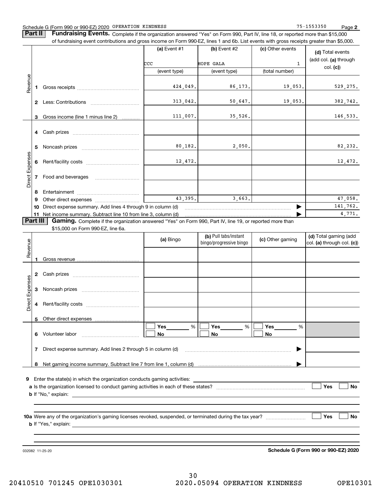### Schedule G (Form 990 or 990-EZ) 2020 Page OPERATION KINDNESS 75-1553350

**Part II** | Fundraising Events. Complete if the organization answered "Yes" on Form 990, Part IV, line 18, or reported more than \$15,000 of fundraising event contributions and gross income on Form 990-EZ, lines 1 and 6b. List events with gross receipts greater than \$5,000.

|                 |              |                                                                                                          | (a) Event $#1$<br>lccc | $(b)$ Event #2<br>HOPE GALA                      | (c) Other events<br>$\mathbf{1}$ | (d) Total events<br>(add col. (a) through<br>col. (c)   |
|-----------------|--------------|----------------------------------------------------------------------------------------------------------|------------------------|--------------------------------------------------|----------------------------------|---------------------------------------------------------|
|                 |              |                                                                                                          | (event type)           | (event type)                                     | (total number)                   |                                                         |
| Revenue         | 1.           |                                                                                                          | 424.049.               | 86,173.                                          | 19,053.                          | 529, 275.                                               |
|                 | $\mathbf{2}$ | Less: Contributions                                                                                      | 313,042.               | 50,647.                                          | 19,053.                          | 382,742.                                                |
|                 | 3            | Gross income (line 1 minus line 2)                                                                       | 111,007.               | 35,526.                                          |                                  | 146,533.                                                |
|                 | 4            |                                                                                                          |                        |                                                  |                                  |                                                         |
|                 | 5            |                                                                                                          | 80.182.                | 2,050.                                           |                                  | 82,232.                                                 |
| Direct Expenses | 6            |                                                                                                          | 12,472.                |                                                  |                                  | 12,472.                                                 |
|                 | 7            | Food and beverages                                                                                       |                        |                                                  |                                  |                                                         |
|                 | 8            |                                                                                                          |                        |                                                  |                                  |                                                         |
|                 | 9            |                                                                                                          | 43,395.                | 3.663.                                           |                                  | 47,058.                                                 |
|                 | 10           | Direct expense summary. Add lines 4 through 9 in column (d)                                              |                        | 141,762.                                         |                                  |                                                         |
|                 |              | 11 Net income summary. Subtract line 10 from line 3, column (d)                                          |                        |                                                  |                                  | 4,771.                                                  |
| Part III        |              | Gaming. Complete if the organization answered "Yes" on Form 990, Part IV, line 19, or reported more than |                        |                                                  |                                  |                                                         |
|                 |              | \$15,000 on Form 990-EZ, line 6a.                                                                        |                        |                                                  |                                  |                                                         |
| enue            |              |                                                                                                          | (a) Bingo              | (b) Pull tabs/instant<br>bingo/progressive bingo | (c) Other gaming                 | (d) Total gaming (add<br>$ col. (a)$ through col. $(c)$ |
|                 |              |                                                                                                          |                        |                                                  |                                  |                                                         |

|                 |   |                                                                          | (a) Bingo<br>bingo/progressive bingo |                                               | (c) Other gaming      | col. (a) through col. (c)) |
|-----------------|---|--------------------------------------------------------------------------|--------------------------------------|-----------------------------------------------|-----------------------|----------------------------|
| Revenue         |   |                                                                          |                                      |                                               |                       |                            |
|                 | 2 |                                                                          |                                      |                                               |                       |                            |
|                 | 3 |                                                                          |                                      |                                               |                       |                            |
| Direct Expenses | 4 |                                                                          |                                      |                                               |                       |                            |
|                 | 5 |                                                                          |                                      |                                               |                       |                            |
|                 | 6 |                                                                          | Yes $\qquad \qquad$<br>%<br>No       | %<br><b>No</b>                                | Yes $\_\_$<br>%<br>No |                            |
|                 | 7 | Direct expense summary. Add lines 2 through 5 in column (d)              |                                      |                                               |                       |                            |
|                 | 8 |                                                                          |                                      |                                               |                       |                            |
| 9               |   | Enter the state(s) in which the organization conducts gaming activities: |                                      | <u> 1989 - Andrea Andrew Maria (h. 1989).</u> |                       | Yes<br><b>No</b>           |
|                 |   |                                                                          |                                      |                                               |                       |                            |
|                 |   |                                                                          |                                      |                                               |                       | <b>No</b><br><b>Yes</b>    |
|                 |   |                                                                          |                                      |                                               |                       |                            |

032082 11-25-20

**Schedule G (Form 990 or 990-EZ) 2020**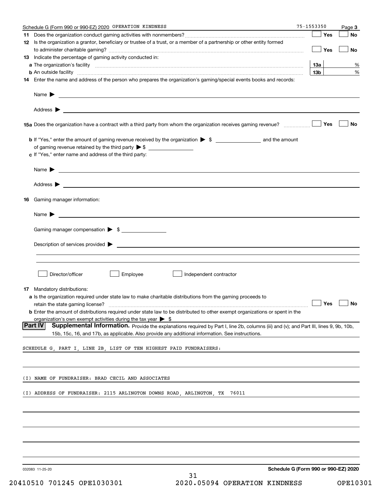| Schedule G (Form 990 or 990-EZ) 2020 OPERATION KINDNESS                                                                                                                                                                                               | 75-1553350      |     | Page 3                                             |
|-------------------------------------------------------------------------------------------------------------------------------------------------------------------------------------------------------------------------------------------------------|-----------------|-----|----------------------------------------------------|
|                                                                                                                                                                                                                                                       |                 | Yes | No                                                 |
| 12 Is the organization a grantor, beneficiary or trustee of a trust, or a member of a partnership or other entity formed                                                                                                                              |                 |     |                                                    |
| <b>13</b> Indicate the percentage of gaming activity conducted in:                                                                                                                                                                                    |                 | Yes | No                                                 |
|                                                                                                                                                                                                                                                       | 13а             |     | %                                                  |
| <b>b</b> An outside facility <b>contained an according to the contract of the contract of the contract of the contract of the contract of the contract of the contract of the contract of the contract of the contract of the contrac</b>             | 13 <sub>b</sub> |     | %                                                  |
| 14 Enter the name and address of the person who prepares the organization's gaming/special events books and records:                                                                                                                                  |                 |     |                                                    |
|                                                                                                                                                                                                                                                       |                 |     |                                                    |
|                                                                                                                                                                                                                                                       |                 |     |                                                    |
|                                                                                                                                                                                                                                                       |                 |     |                                                    |
|                                                                                                                                                                                                                                                       |                 | Yes | No                                                 |
|                                                                                                                                                                                                                                                       |                 |     |                                                    |
|                                                                                                                                                                                                                                                       |                 |     |                                                    |
| c If "Yes," enter name and address of the third party:                                                                                                                                                                                                |                 |     |                                                    |
| Name $\blacktriangleright$ $\bot$                                                                                                                                                                                                                     |                 |     |                                                    |
|                                                                                                                                                                                                                                                       |                 |     |                                                    |
| 16 Gaming manager information:                                                                                                                                                                                                                        |                 |     |                                                    |
|                                                                                                                                                                                                                                                       |                 |     |                                                    |
| $Name \rightarrow$                                                                                                                                                                                                                                    |                 |     |                                                    |
| Gaming manager compensation > \$                                                                                                                                                                                                                      |                 |     |                                                    |
|                                                                                                                                                                                                                                                       |                 |     |                                                    |
| $Description of services provided$ $\triangleright$                                                                                                                                                                                                   |                 |     |                                                    |
|                                                                                                                                                                                                                                                       |                 |     |                                                    |
| Director/officer<br>Employee<br>Independent contractor                                                                                                                                                                                                |                 |     |                                                    |
| <b>17</b> Mandatory distributions:                                                                                                                                                                                                                    |                 |     |                                                    |
| a Is the organization required under state law to make charitable distributions from the gaming proceeds to                                                                                                                                           |                 |     |                                                    |
| retain the state gaming license?                                                                                                                                                                                                                      |                 |     | $\boxed{\phantom{1}}$ Yes $\boxed{\phantom{1}}$ No |
| <b>b</b> Enter the amount of distributions required under state law to be distributed to other exempt organizations or spent in the                                                                                                                   |                 |     |                                                    |
| organization's own exempt activities during the tax year $\triangleright$ \$                                                                                                                                                                          |                 |     |                                                    |
| Part IV<br>Supplemental Information. Provide the explanations required by Part I, line 2b, columns (iii) and (v); and Part III, lines 9, 9b, 10b,<br>15b, 15c, 16, and 17b, as applicable. Also provide any additional information. See instructions. |                 |     |                                                    |
|                                                                                                                                                                                                                                                       |                 |     |                                                    |
| SCHEDULE G, PART I, LINE 2B, LIST OF TEN HIGHEST PAID FUNDRAISERS:                                                                                                                                                                                    |                 |     |                                                    |
|                                                                                                                                                                                                                                                       |                 |     |                                                    |
| (I) NAME OF FUNDRAISER: BRAD CECIL AND ASSOCIATES                                                                                                                                                                                                     |                 |     |                                                    |
| (I) ADDRESS OF FUNDRAISER: 2115 ARLINGTON DOWNS ROAD, ARLINGTON, TX 76011                                                                                                                                                                             |                 |     |                                                    |
|                                                                                                                                                                                                                                                       |                 |     |                                                    |
|                                                                                                                                                                                                                                                       |                 |     |                                                    |
|                                                                                                                                                                                                                                                       |                 |     |                                                    |
|                                                                                                                                                                                                                                                       |                 |     |                                                    |
|                                                                                                                                                                                                                                                       |                 |     |                                                    |
| Schedule G (Form 990 or 990-EZ) 2020<br>032083 11-25-20                                                                                                                                                                                               |                 |     |                                                    |
|                                                                                                                                                                                                                                                       |                 |     |                                                    |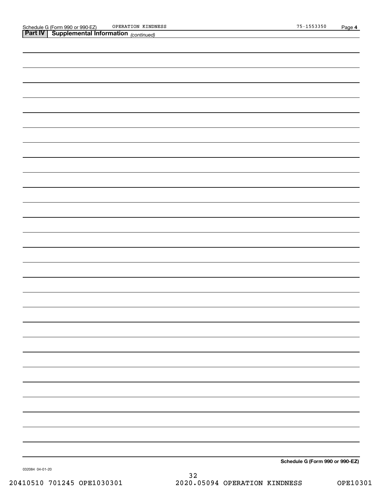*(continued)*

| Schedule G (Form 990 or 990-EZ) |
|---------------------------------|

032084 04-01-20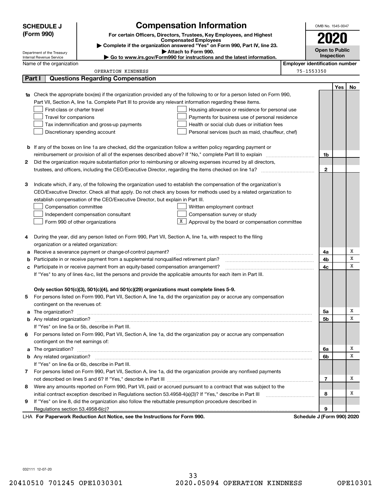| <b>SCHEDULE J</b> |                                         | <b>Compensation Information</b>                                                                                                                                                                                                          |                                       | OMB No. 1545-0047          |     |    |  |  |
|-------------------|-----------------------------------------|------------------------------------------------------------------------------------------------------------------------------------------------------------------------------------------------------------------------------------------|---------------------------------------|----------------------------|-----|----|--|--|
|                   | (Form 990)                              | For certain Officers, Directors, Trustees, Key Employees, and Highest                                                                                                                                                                    |                                       |                            |     |    |  |  |
|                   |                                         | <b>Compensated Employees</b>                                                                                                                                                                                                             |                                       | 2020                       |     |    |  |  |
|                   | Department of the Treasury              | Complete if the organization answered "Yes" on Form 990, Part IV, line 23.<br>Attach to Form 990.                                                                                                                                        |                                       | <b>Open to Public</b>      |     |    |  |  |
|                   | Internal Revenue Service                | ► Go to www.irs.gov/Form990 for instructions and the latest information.                                                                                                                                                                 |                                       | Inspection                 |     |    |  |  |
|                   | Name of the organization                |                                                                                                                                                                                                                                          | <b>Employer identification number</b> |                            |     |    |  |  |
|                   |                                         | OPERATION KINDNESS                                                                                                                                                                                                                       |                                       | 75-1553350                 |     |    |  |  |
|                   | Part I                                  | <b>Questions Regarding Compensation</b>                                                                                                                                                                                                  |                                       |                            |     |    |  |  |
|                   |                                         |                                                                                                                                                                                                                                          |                                       |                            | Yes | No |  |  |
|                   |                                         | <b>1a</b> Check the appropriate box(es) if the organization provided any of the following to or for a person listed on Form 990,                                                                                                         |                                       |                            |     |    |  |  |
|                   |                                         | Part VII, Section A, line 1a. Complete Part III to provide any relevant information regarding these items.                                                                                                                               |                                       |                            |     |    |  |  |
|                   | First-class or charter travel           | Housing allowance or residence for personal use                                                                                                                                                                                          |                                       |                            |     |    |  |  |
|                   | Travel for companions                   | Payments for business use of personal residence                                                                                                                                                                                          |                                       |                            |     |    |  |  |
|                   |                                         | Tax indemnification and gross-up payments<br>Health or social club dues or initiation fees                                                                                                                                               |                                       |                            |     |    |  |  |
|                   |                                         | Discretionary spending account<br>Personal services (such as maid, chauffeur, chef)                                                                                                                                                      |                                       |                            |     |    |  |  |
|                   |                                         |                                                                                                                                                                                                                                          |                                       |                            |     |    |  |  |
|                   |                                         | <b>b</b> If any of the boxes on line 1a are checked, did the organization follow a written policy regarding payment or                                                                                                                   |                                       |                            |     |    |  |  |
|                   |                                         |                                                                                                                                                                                                                                          |                                       | 1b                         |     |    |  |  |
| 2                 |                                         | Did the organization require substantiation prior to reimbursing or allowing expenses incurred by all directors,                                                                                                                         |                                       |                            |     |    |  |  |
|                   |                                         |                                                                                                                                                                                                                                          |                                       | $\mathbf{2}$               |     |    |  |  |
| З                 |                                         |                                                                                                                                                                                                                                          |                                       |                            |     |    |  |  |
|                   |                                         | Indicate which, if any, of the following the organization used to establish the compensation of the organization's<br>CEO/Executive Director. Check all that apply. Do not check any boxes for methods used by a related organization to |                                       |                            |     |    |  |  |
|                   |                                         | establish compensation of the CEO/Executive Director, but explain in Part III.                                                                                                                                                           |                                       |                            |     |    |  |  |
|                   | Compensation committee                  | Written employment contract                                                                                                                                                                                                              |                                       |                            |     |    |  |  |
|                   |                                         | Compensation survey or study<br>Independent compensation consultant                                                                                                                                                                      |                                       |                            |     |    |  |  |
|                   |                                         | X  <br>Approval by the board or compensation committee<br>Form 990 of other organizations                                                                                                                                                |                                       |                            |     |    |  |  |
|                   |                                         |                                                                                                                                                                                                                                          |                                       |                            |     |    |  |  |
| 4                 |                                         | During the year, did any person listed on Form 990, Part VII, Section A, line 1a, with respect to the filing                                                                                                                             |                                       |                            |     |    |  |  |
|                   | organization or a related organization: |                                                                                                                                                                                                                                          |                                       |                            |     |    |  |  |
| а                 |                                         | Receive a severance payment or change-of-control payment?                                                                                                                                                                                |                                       | 4a                         |     | Χ  |  |  |
| b                 |                                         | Participate in or receive payment from a supplemental nonqualified retirement plan?                                                                                                                                                      |                                       | 4b                         |     | х  |  |  |
| с                 |                                         | Participate in or receive payment from an equity-based compensation arrangement?                                                                                                                                                         |                                       | 4c                         |     | X  |  |  |
|                   |                                         | If "Yes" to any of lines 4a-c, list the persons and provide the applicable amounts for each item in Part III.                                                                                                                            |                                       |                            |     |    |  |  |
|                   |                                         |                                                                                                                                                                                                                                          |                                       |                            |     |    |  |  |
|                   |                                         | Only section 501(c)(3), 501(c)(4), and 501(c)(29) organizations must complete lines 5-9.                                                                                                                                                 |                                       |                            |     |    |  |  |
|                   |                                         | For persons listed on Form 990, Part VII, Section A, line 1a, did the organization pay or accrue any compensation                                                                                                                        |                                       |                            |     |    |  |  |
|                   | contingent on the revenues of:          |                                                                                                                                                                                                                                          |                                       |                            |     |    |  |  |
|                   |                                         |                                                                                                                                                                                                                                          |                                       | 5a                         |     | Χ  |  |  |
|                   |                                         |                                                                                                                                                                                                                                          |                                       | 5b                         |     | х  |  |  |
|                   |                                         | If "Yes" on line 5a or 5b, describe in Part III.                                                                                                                                                                                         |                                       |                            |     |    |  |  |
|                   |                                         | 6 For persons listed on Form 990, Part VII, Section A, line 1a, did the organization pay or accrue any compensation                                                                                                                      |                                       |                            |     |    |  |  |
|                   | contingent on the net earnings of:      |                                                                                                                                                                                                                                          |                                       |                            |     |    |  |  |
|                   |                                         |                                                                                                                                                                                                                                          |                                       | 6a                         |     | Χ  |  |  |
|                   |                                         |                                                                                                                                                                                                                                          |                                       | 6b                         |     | х  |  |  |
|                   |                                         | If "Yes" on line 6a or 6b, describe in Part III.                                                                                                                                                                                         |                                       |                            |     |    |  |  |
|                   |                                         | 7 For persons listed on Form 990, Part VII, Section A, line 1a, did the organization provide any nonfixed payments                                                                                                                       |                                       |                            |     |    |  |  |
|                   |                                         |                                                                                                                                                                                                                                          |                                       | $\overline{7}$             |     | х  |  |  |
|                   |                                         | 8 Were any amounts reported on Form 990, Part VII, paid or accrued pursuant to a contract that was subject to the                                                                                                                        |                                       |                            |     |    |  |  |
|                   |                                         | initial contract exception described in Regulations section 53.4958-4(a)(3)? If "Yes," describe in Part III                                                                                                                              |                                       | 8                          |     | х  |  |  |
| 9                 |                                         | If "Yes" on line 8, did the organization also follow the rebuttable presumption procedure described in                                                                                                                                   |                                       |                            |     |    |  |  |
|                   |                                         |                                                                                                                                                                                                                                          |                                       | 9                          |     |    |  |  |
|                   |                                         | LHA For Paperwork Reduction Act Notice, see the Instructions for Form 990.                                                                                                                                                               |                                       | Schedule J (Form 990) 2020 |     |    |  |  |

032111 12-07-20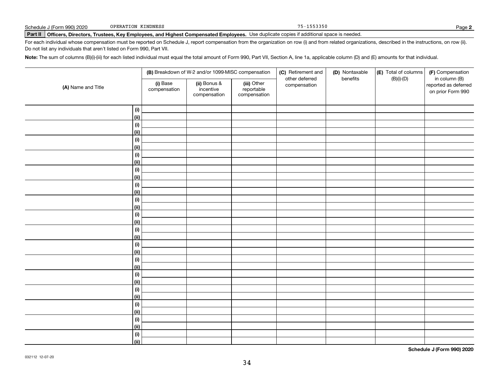## **Part II Officers, Directors, Trustees, Key Employees, and Highest Compensated Employees.**  Schedule J (Form 990) 2020 Page Use duplicate copies if additional space is needed.

For each individual whose compensation must be reported on Schedule J, report compensation from the organization on row (i) and from related organizations, described in the instructions, on row (ii). Do not list any individuals that aren't listed on Form 990, Part VII.

**Note:**  The sum of columns (B)(i)-(iii) for each listed individual must equal the total amount of Form 990, Part VII, Section A, line 1a, applicable column (D) and (E) amounts for that individual.

|                    |                          | (B) Breakdown of W-2 and/or 1099-MISC compensation |                                           | (C) Retirement and<br>other deferred | (D) Nontaxable<br>benefits | (E) Total of columns<br>$(B)(i)$ - $(D)$ | (F) Compensation<br>in column (B)         |  |
|--------------------|--------------------------|----------------------------------------------------|-------------------------------------------|--------------------------------------|----------------------------|------------------------------------------|-------------------------------------------|--|
| (A) Name and Title | (i) Base<br>compensation | (ii) Bonus &<br>incentive<br>compensation          | (iii) Other<br>reportable<br>compensation | compensation                         |                            |                                          | reported as deferred<br>on prior Form 990 |  |
| (i)                |                          |                                                    |                                           |                                      |                            |                                          |                                           |  |
| <u>(ii)</u>        |                          |                                                    |                                           |                                      |                            |                                          |                                           |  |
| (i)                |                          |                                                    |                                           |                                      |                            |                                          |                                           |  |
| <u>(ii)</u>        |                          |                                                    |                                           |                                      |                            |                                          |                                           |  |
| (i)                |                          |                                                    |                                           |                                      |                            |                                          |                                           |  |
| <u>(ii)</u>        |                          |                                                    |                                           |                                      |                            |                                          |                                           |  |
| (i)                |                          |                                                    |                                           |                                      |                            |                                          |                                           |  |
| <u>(ii)</u>        |                          |                                                    |                                           |                                      |                            |                                          |                                           |  |
| (i)                |                          |                                                    |                                           |                                      |                            |                                          |                                           |  |
| <u>(ii)</u>        |                          |                                                    |                                           |                                      |                            |                                          |                                           |  |
| (i)                |                          |                                                    |                                           |                                      |                            |                                          |                                           |  |
| <u>(ii)</u>        |                          |                                                    |                                           |                                      |                            |                                          |                                           |  |
| (i)                |                          |                                                    |                                           |                                      |                            |                                          |                                           |  |
| <u>(ii)</u>        |                          |                                                    |                                           |                                      |                            |                                          |                                           |  |
| (i)                |                          |                                                    |                                           |                                      |                            |                                          |                                           |  |
| <u>(ii)</u>        |                          |                                                    |                                           |                                      |                            |                                          |                                           |  |
| (i)                |                          |                                                    |                                           |                                      |                            |                                          |                                           |  |
| <u>(ii)</u>        |                          |                                                    |                                           |                                      |                            |                                          |                                           |  |
| (i)                |                          |                                                    |                                           |                                      |                            |                                          |                                           |  |
| <u>(ii)</u>        |                          |                                                    |                                           |                                      |                            |                                          |                                           |  |
| (i)                |                          |                                                    |                                           |                                      |                            |                                          |                                           |  |
| <u>(ii)</u>        |                          |                                                    |                                           |                                      |                            |                                          |                                           |  |
| (i)                |                          |                                                    |                                           |                                      |                            |                                          |                                           |  |
| <u>(ii)</u>        |                          |                                                    |                                           |                                      |                            |                                          |                                           |  |
| (i)                |                          |                                                    |                                           |                                      |                            |                                          |                                           |  |
| <u>(ii)</u>        |                          |                                                    |                                           |                                      |                            |                                          |                                           |  |
| (i)                |                          |                                                    |                                           |                                      |                            |                                          |                                           |  |
| <u>(ii)</u>        |                          |                                                    |                                           |                                      |                            |                                          |                                           |  |
| (i)                |                          |                                                    |                                           |                                      |                            |                                          |                                           |  |
| <u>(ii)</u>        |                          |                                                    |                                           |                                      |                            |                                          |                                           |  |
| (i)                |                          |                                                    |                                           |                                      |                            |                                          |                                           |  |
| (ii)               |                          |                                                    |                                           |                                      |                            |                                          |                                           |  |

**Schedule J (Form 990) 2020**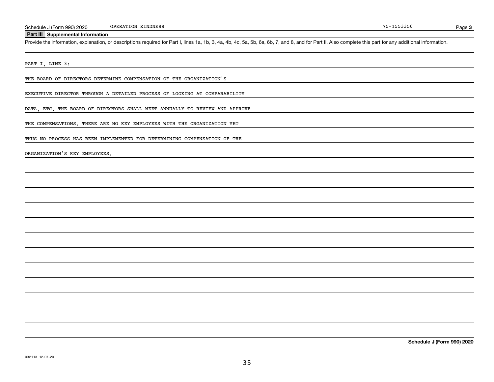#### **Part III Supplemental Information**

Schedule J (Form 990) 2020 OPERATION KINDNESS<br>Part III Supplemental Information<br>Provide the information, explanation, or descriptions required for Part I, lines 1a, 1b, 3, 4a, 4b, 4c, 5a, 5b, 6a, 6b, 7, and 8, and for Part

PART I, LINE 3:

THE BOARD OF DIRECTORS DETERMINE COMPENSATION OF THE ORGANIZATION'S

EXECUTIVE DIRECTOR THROUGH A DETAILED PROCESS OF LOOKING AT COMPARABILITY

DATA, ETC. THE BOARD OF DIRECTORS SHALL MEET ANNUALLY TO REVIEW AND APPROVE

THE COMPENSATIONS. THERE ARE NO KEY EMPLOYEES WITH THE ORGANIZATION YET

THUS NO PROCESS HAS BEEN IMPLEMENTED FOR DETERMINING COMPENSATION OF THE

ORGANIZATION'S KEY EMPLOYEES.

**Schedule J (Form 990) 2020**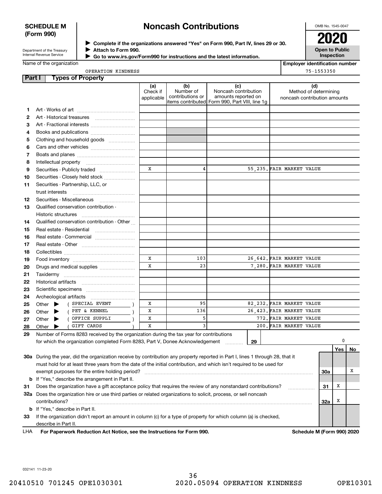## **SCHEDULE M (Form 990)**

## **Noncash Contributions**

OMB No. 1545-0047

| Department of the Treasury |
|----------------------------|
| Internal Revenue Service   |

**Complete if the organizations answered "Yes" on Form 990, Part IV, lines 29 or 30.** <sup>J</sup>**2020 Attach to Form 990.** J

**Open to Public Inspection**

| Name of the organization |  |
|--------------------------|--|
|--------------------------|--|

 **Go to www.irs.gov/Form990 for instructions and the latest information.** J

| <b>Employer identification number</b> |
|---------------------------------------|
| 75-1553350                            |

OPERATION KINDNESS

| Part I | <b>Types of Property</b>                                                                                                       |                               |                                      |                                                    |                                                              |     |     |    |
|--------|--------------------------------------------------------------------------------------------------------------------------------|-------------------------------|--------------------------------------|----------------------------------------------------|--------------------------------------------------------------|-----|-----|----|
|        |                                                                                                                                | (a)<br>Check if<br>applicable | (b)<br>Number of<br>contributions or | (c)<br>Noncash contribution<br>amounts reported on | (d)<br>Method of determining<br>noncash contribution amounts |     |     |    |
|        |                                                                                                                                |                               |                                      | items contributed Form 990, Part VIII, line 1g     |                                                              |     |     |    |
| 1      |                                                                                                                                |                               |                                      |                                                    |                                                              |     |     |    |
| 2      |                                                                                                                                |                               |                                      |                                                    |                                                              |     |     |    |
| 3      | Art - Fractional interests                                                                                                     |                               |                                      |                                                    |                                                              |     |     |    |
| 4      | Books and publications                                                                                                         |                               |                                      |                                                    |                                                              |     |     |    |
| 5      | Clothing and household goods                                                                                                   |                               |                                      |                                                    |                                                              |     |     |    |
| 6      |                                                                                                                                |                               |                                      |                                                    |                                                              |     |     |    |
| 7      |                                                                                                                                |                               |                                      |                                                    |                                                              |     |     |    |
| 8      | Intellectual property                                                                                                          |                               |                                      |                                                    |                                                              |     |     |    |
| 9      |                                                                                                                                | X                             | 4                                    |                                                    | 55,235. FAIR MARKET VALUE                                    |     |     |    |
| 10     | Securities - Closely held stock                                                                                                |                               |                                      |                                                    |                                                              |     |     |    |
| 11     | Securities - Partnership, LLC, or                                                                                              |                               |                                      |                                                    |                                                              |     |     |    |
|        | trust interests                                                                                                                |                               |                                      |                                                    |                                                              |     |     |    |
| 12     | Securities - Miscellaneous                                                                                                     |                               |                                      |                                                    |                                                              |     |     |    |
| 13     | Qualified conservation contribution -                                                                                          |                               |                                      |                                                    |                                                              |     |     |    |
|        | Historic structures                                                                                                            |                               |                                      |                                                    |                                                              |     |     |    |
| 14     | Qualified conservation contribution - Other                                                                                    |                               |                                      |                                                    |                                                              |     |     |    |
| 15     | Real estate - Residential                                                                                                      |                               |                                      |                                                    |                                                              |     |     |    |
| 16     | Real estate - Commercial                                                                                                       |                               |                                      |                                                    |                                                              |     |     |    |
| 17     |                                                                                                                                |                               |                                      |                                                    |                                                              |     |     |    |
| 18     |                                                                                                                                |                               |                                      |                                                    |                                                              |     |     |    |
| 19     |                                                                                                                                | X                             | 103                                  |                                                    | 26,642. FAIR MARKET VALUE                                    |     |     |    |
| 20     | Drugs and medical supplies                                                                                                     | $\mathbf{x}$                  | 23                                   |                                                    | 7,280. FAIR MARKET VALUE                                     |     |     |    |
| 21     |                                                                                                                                |                               |                                      |                                                    |                                                              |     |     |    |
| 22     |                                                                                                                                |                               |                                      |                                                    |                                                              |     |     |    |
| 23     |                                                                                                                                |                               |                                      |                                                    |                                                              |     |     |    |
| 24     | Archeological artifacts                                                                                                        |                               |                                      |                                                    |                                                              |     |     |    |
| 25     | SPECIAL EVENT<br>Other $\blacktriangleright$                                                                                   | x                             | 95                                   |                                                    | 82, 232. FAIR MARKET VALUE                                   |     |     |    |
| 26     | PET & KENNEL<br>Other $\blacktriangleright$                                                                                    | X                             | 136                                  |                                                    | 26,423. FAIR MARKET VALUE                                    |     |     |    |
| 27     | OFFICE SUPPLI<br>Other $\blacktriangleright$                                                                                   | X                             | 5                                    |                                                    | 772. FAIR MARKET VALUE                                       |     |     |    |
| 28     | GIFT CARDS<br>Other $\blacktriangleright$                                                                                      | X                             | 3                                    |                                                    | 200. FAIR MARKET VALUE                                       |     |     |    |
| 29     | Number of Forms 8283 received by the organization during the tax year for contributions                                        |                               |                                      |                                                    |                                                              |     |     |    |
|        | for which the organization completed Form 8283, Part V, Donee Acknowledgement                                                  |                               |                                      | 29                                                 |                                                              |     | 0   |    |
|        |                                                                                                                                |                               |                                      |                                                    |                                                              |     | Yes | No |
|        | 30a During the year, did the organization receive by contribution any property reported in Part I, lines 1 through 28, that it |                               |                                      |                                                    |                                                              |     |     |    |
|        | must hold for at least three years from the date of the initial contribution, and which isn't required to be used for          |                               |                                      |                                                    |                                                              |     |     |    |
|        | exempt purposes for the entire holding period?                                                                                 |                               |                                      |                                                    |                                                              | 30a |     | х  |
| b      | If "Yes," describe the arrangement in Part II.                                                                                 |                               |                                      |                                                    |                                                              |     |     |    |
| 31     | Does the organization have a gift acceptance policy that requires the review of any nonstandard contributions?                 |                               |                                      |                                                    |                                                              | 31  | Х   |    |
|        | 32a Does the organization hire or use third parties or related organizations to solicit, process, or sell noncash              |                               |                                      |                                                    |                                                              |     |     |    |
|        | contributions?                                                                                                                 |                               |                                      |                                                    |                                                              | 32a | Х   |    |
| b      | If "Yes," describe in Part II.                                                                                                 |                               |                                      |                                                    |                                                              |     |     |    |
| 33     | If the organization didn't report an amount in column (c) for a type of property for which column (a) is checked,              |                               |                                      |                                                    |                                                              |     |     |    |
|        | describe in Part II.                                                                                                           |                               |                                      |                                                    |                                                              |     |     |    |

For Paperwork Reduction Act Notice, see the Instructions for Form 990. **Schedule M (Form 990) 2020** LHA

032141 11-23-20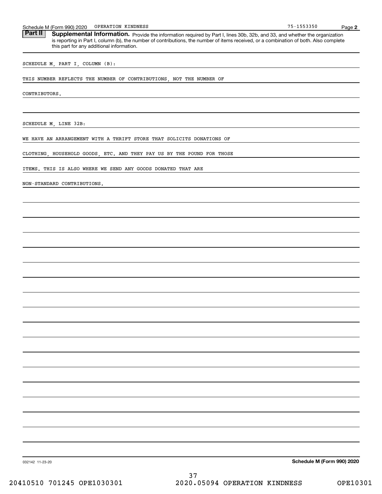| Schedule M (Form 990) 2020 | KINDNESS<br>OPERATION | 1553350<br>- -<br>$\cdot$ .<br>Page<br>. |  |
|----------------------------|-----------------------|------------------------------------------|--|
|----------------------------|-----------------------|------------------------------------------|--|

Part II | Supplemental Information. Provide the information required by Part I, lines 30b, 32b, and 33, and whether the organization is reporting in Part I, column (b), the number of contributions, the number of items received, or a combination of both. Also complete this part for any additional information.

SCHEDULE M, PART I, COLUMN (B):

THIS NUMBER REFLECTS THE NUMBER OF CONTRIBUTIONS, NOT THE NUMBER OF

CONTRIBUTORS.

SCHEDULE M, LINE 32B:

WE HAVE AN ARRANGEMENT WITH A THRIFT STORE THAT SOLICITS DONATIONS OF

CLOTHING, HOUSEHOLD GOODS, ETC. AND THEY PAY US BY THE POUND FOR THOSE

ITEMS. THIS IS ALSO WHERE WE SEND ANY GOODS DONATED THAT ARE

NON-STANDARD CONTRIBUTIONS.

**Schedule M (Form 990) 2020**

032142 11-23-20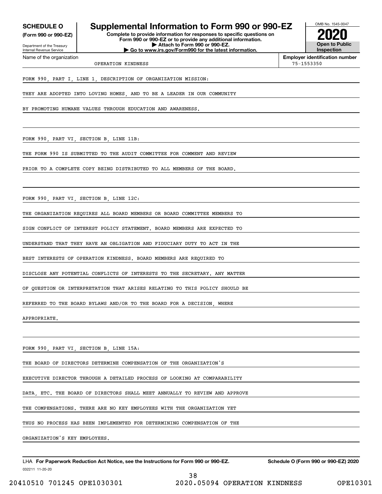Internal Revenue Service

Department of the Treasury **(Form 990 or 990-EZ)**

Name of the organization

## **SCHEDULE O Supplemental Information to Form 990 or 990-EZ**

**Complete to provide information for responses to specific questions on Form 990 or 990-EZ or to provide any additional information. | Attach to Form 990 or 990-EZ. | Go to www.irs.gov/Form990 for the latest information.**



**Employer identification number**

OPERATION KINDNESS 75-1553350

FORM 990, PART I, LINE 1, DESCRIPTION OF ORGANIZATION MISSION:

THEY ARE ADOPTED INTO LOVING HOMES AND TO BE A LEADER IN OUR COMMUNITY

BY PROMOTING HUMANE VALUES THROUGH EDUCATION AND AWARENESS.

FORM 990, PART VI, SECTION B, LINE 11B:

THE FORM 990 IS SUBMITTED TO THE AUDIT COMMITTEE FOR COMMENT AND REVIEW

PRIOR TO A COMPLETE COPY BEING DISTRIBUTED TO ALL MEMBERS OF THE BOARD.

FORM 990, PART VI, SECTION B, LINE 12C:

THE ORGANIZATION REQUIRES ALL BOARD MEMBERS OR BOARD COMMITTEE MEMBERS TO

SIGN CONFLICT OF INTEREST POLICY STATEMENT. BOARD MEMBERS ARE EXPECTED TO

UNDERSTAND THAT THEY HAVE AN OBLIGATION AND FIDUCIARY DUTY TO ACT IN THE

BEST INTERESTS OF OPERATION KINDNESS. BOARD MEMBERS ARE REQUIRED TO

DISCLOSE ANY POTENTIAL CONFLICTS OF INTERESTS TO THE SECRETARY. ANY MATTER

OF QUESTION OR INTERPRETATION THAT ARISES RELATING TO THIS POLICY SHOULD BE

REFERRED TO THE BOARD BYLAWS AND/OR TO THE BOARD FOR A DECISION, WHERE

APPROPRIATE.

FORM 990, PART VI, SECTION B, LINE 15A:

THE BOARD OF DIRECTORS DETERMINE COMPENSATION OF THE ORGANIZATION'S

EXECUTIVE DIRECTOR THROUGH A DETAILED PROCESS OF LOOKING AT COMPARABILITY

DATA, ETC. THE BOARD OF DIRECTORS SHALL MEET ANNUALLY TO REVIEW AND APPROVE

THE COMPENSATIONS. THERE ARE NO KEY EMPLOYEES WITH THE ORGANIZATION YET

THUS NO PROCESS HAS BEEN IMPLEMENTED FOR DETERMINING COMPENSATION OF THE

ORGANIZATION'S KEY EMPLOYEES.

032211 11-20-20 LHA For Paperwork Reduction Act Notice, see the Instructions for Form 990 or 990-EZ. Schedule O (Form 990 or 990-EZ) 2020

38 20410510 701245 OPE1030301 2020.05094 OPERATION KINDNESS OPE10301